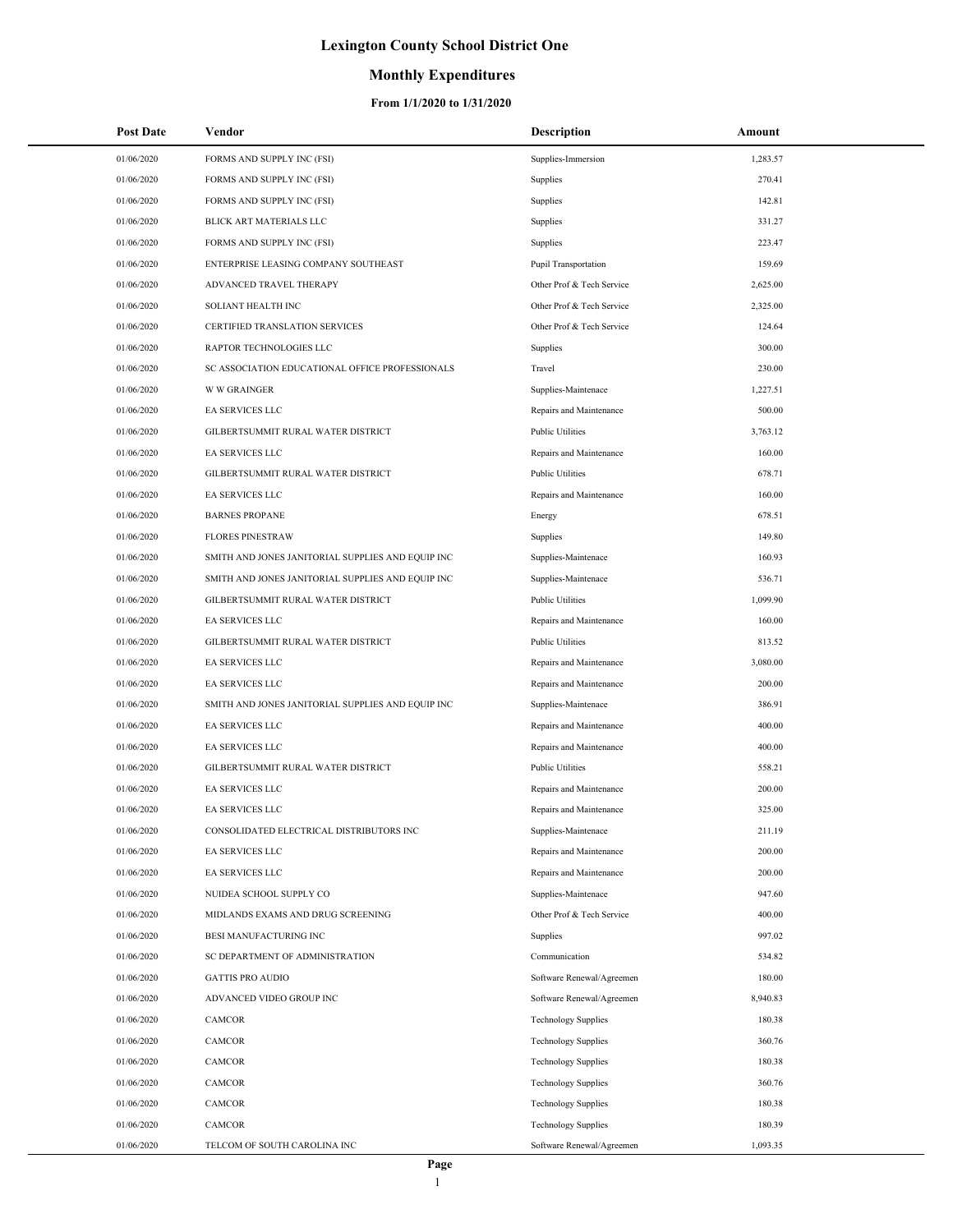## **Monthly Expenditures**

| <b>Post Date</b> | Vendor                                            | <b>Description</b>          | Amount   |
|------------------|---------------------------------------------------|-----------------------------|----------|
| 01/06/2020       | FORMS AND SUPPLY INC (FSI)                        | Supplies-Immersion          | 1,283.57 |
| 01/06/2020       | FORMS AND SUPPLY INC (FSI)                        | Supplies                    | 270.41   |
| 01/06/2020       | FORMS AND SUPPLY INC (FSI)                        | Supplies                    | 142.81   |
| 01/06/2020       | BLICK ART MATERIALS LLC                           | Supplies                    | 331.27   |
| 01/06/2020       | FORMS AND SUPPLY INC (FSI)                        | Supplies                    | 223.47   |
| 01/06/2020       | ENTERPRISE LEASING COMPANY SOUTHEAST              | <b>Pupil Transportation</b> | 159.69   |
| 01/06/2020       | ADVANCED TRAVEL THERAPY                           | Other Prof & Tech Service   | 2,625.00 |
| 01/06/2020       | SOLIANT HEALTH INC                                | Other Prof & Tech Service   | 2,325.00 |
| 01/06/2020       | CERTIFIED TRANSLATION SERVICES                    | Other Prof & Tech Service   | 124.64   |
| 01/06/2020       | RAPTOR TECHNOLOGIES LLC                           | Supplies                    | 300.00   |
| 01/06/2020       | SC ASSOCIATION EDUCATIONAL OFFICE PROFESSIONALS   | Travel                      | 230.00   |
| 01/06/2020       | <b>W W GRAINGER</b>                               | Supplies-Maintenace         | 1,227.51 |
| 01/06/2020       | EA SERVICES LLC                                   | Repairs and Maintenance     | 500.00   |
| 01/06/2020       | GILBERTSUMMIT RURAL WATER DISTRICT                | Public Utilities            | 3,763.12 |
| 01/06/2020       | EA SERVICES LLC                                   | Repairs and Maintenance     | 160.00   |
| 01/06/2020       | GILBERTSUMMIT RURAL WATER DISTRICT                | Public Utilities            | 678.71   |
| 01/06/2020       | <b>EA SERVICES LLC</b>                            | Repairs and Maintenance     | 160.00   |
| 01/06/2020       | <b>BARNES PROPANE</b>                             | Energy                      | 678.51   |
| 01/06/2020       | <b>FLORES PINESTRAW</b>                           | Supplies                    | 149.80   |
| 01/06/2020       | SMITH AND JONES JANITORIAL SUPPLIES AND EQUIP INC | Supplies-Maintenace         | 160.93   |
| 01/06/2020       | SMITH AND JONES JANITORIAL SUPPLIES AND EQUIP INC | Supplies-Maintenace         | 536.71   |
| 01/06/2020       | GILBERTSUMMIT RURAL WATER DISTRICT                | <b>Public Utilities</b>     | 1,099.90 |
| 01/06/2020       | EA SERVICES LLC                                   | Repairs and Maintenance     | 160.00   |
| 01/06/2020       | GILBERTSUMMIT RURAL WATER DISTRICT                | Public Utilities            | 813.52   |
| 01/06/2020       | EA SERVICES LLC                                   | Repairs and Maintenance     | 3,080.00 |
| 01/06/2020       | EA SERVICES LLC                                   | Repairs and Maintenance     | 200.00   |
| 01/06/2020       | SMITH AND JONES JANITORIAL SUPPLIES AND EQUIP INC | Supplies-Maintenace         | 386.91   |
| 01/06/2020       | EA SERVICES LLC                                   | Repairs and Maintenance     | 400.00   |
| 01/06/2020       | EA SERVICES LLC                                   | Repairs and Maintenance     | 400.00   |
| 01/06/2020       | GILBERTSUMMIT RURAL WATER DISTRICT                | <b>Public Utilities</b>     | 558.21   |
| 01/06/2020       | EA SERVICES LLC                                   | Repairs and Maintenance     | 200.00   |
| 01/06/2020       | <b>EA SERVICES LLC</b>                            | Repairs and Maintenance     | 325.00   |
| 01/06/2020       | CONSOLIDATED ELECTRICAL DISTRIBUTORS INC          | Supplies-Maintenace         | 211.19   |
| 01/06/2020       | EA SERVICES LLC                                   | Repairs and Maintenance     | 200.00   |
| 01/06/2020       | EA SERVICES LLC                                   | Repairs and Maintenance     | 200.00   |
| 01/06/2020       | NUIDEA SCHOOL SUPPLY CO                           | Supplies-Maintenace         | 947.60   |
| 01/06/2020       | MIDLANDS EXAMS AND DRUG SCREENING                 | Other Prof & Tech Service   | 400.00   |
| 01/06/2020       | BESI MANUFACTURING INC                            | Supplies                    | 997.02   |
| 01/06/2020       | SC DEPARTMENT OF ADMINISTRATION                   | Communication               | 534.82   |
| 01/06/2020       | <b>GATTIS PRO AUDIO</b>                           | Software Renewal/Agreemen   | 180.00   |
| 01/06/2020       | ADVANCED VIDEO GROUP INC                          | Software Renewal/Agreemen   | 8,940.83 |
| 01/06/2020       | CAMCOR                                            | <b>Technology Supplies</b>  | 180.38   |
| 01/06/2020       | CAMCOR                                            | <b>Technology Supplies</b>  | 360.76   |
| 01/06/2020       | CAMCOR                                            | <b>Technology Supplies</b>  | 180.38   |
| 01/06/2020       | CAMCOR                                            | <b>Technology Supplies</b>  | 360.76   |
| 01/06/2020       | CAMCOR                                            | <b>Technology Supplies</b>  | 180.38   |
| 01/06/2020       | CAMCOR                                            | <b>Technology Supplies</b>  | 180.39   |
| 01/06/2020       | TELCOM OF SOUTH CAROLINA INC                      | Software Renewal/Agreemen   | 1,093.35 |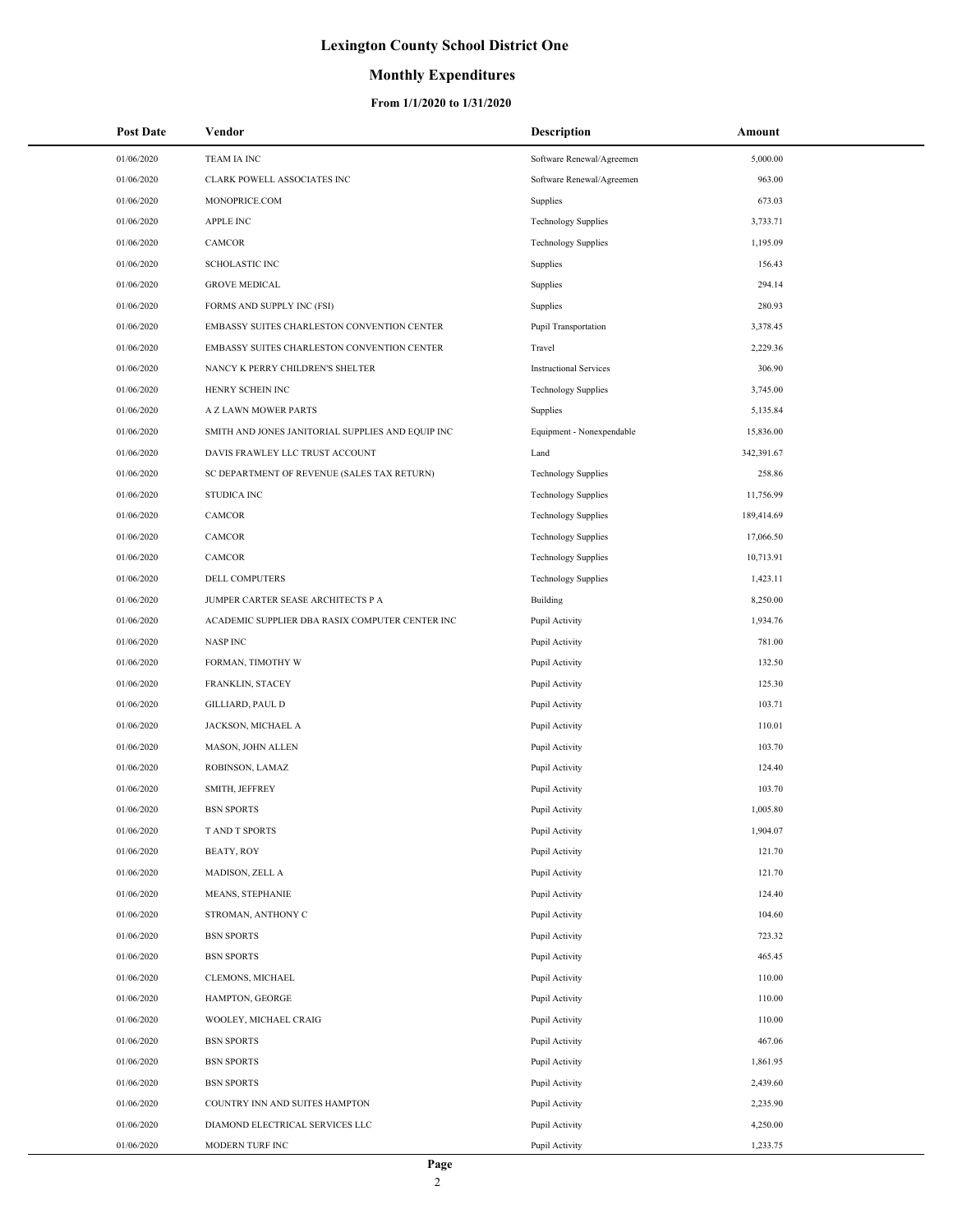### **Monthly Expenditures**

| <b>Post Date</b> | Vendor                                            | <b>Description</b>            | Amount     |
|------------------|---------------------------------------------------|-------------------------------|------------|
| 01/06/2020       | <b>TEAM IA INC</b>                                | Software Renewal/Agreemen     | 5,000.00   |
| 01/06/2020       | CLARK POWELL ASSOCIATES INC                       | Software Renewal/Agreemen     | 963.00     |
| 01/06/2020       | MONOPRICE.COM                                     | Supplies                      | 673.03     |
| 01/06/2020       | <b>APPLE INC</b>                                  | <b>Technology Supplies</b>    | 3,733.71   |
| 01/06/2020       | CAMCOR                                            | <b>Technology Supplies</b>    | 1,195.09   |
| 01/06/2020       | <b>SCHOLASTIC INC</b>                             | Supplies                      | 156.43     |
| 01/06/2020       | <b>GROVE MEDICAL</b>                              | Supplies                      | 294.14     |
| 01/06/2020       | FORMS AND SUPPLY INC (FSI)                        | Supplies                      | 280.93     |
| 01/06/2020       | EMBASSY SUITES CHARLESTON CONVENTION CENTER       | Pupil Transportation          | 3,378.45   |
| 01/06/2020       | EMBASSY SUITES CHARLESTON CONVENTION CENTER       | Travel                        | 2,229.36   |
| 01/06/2020       | NANCY K PERRY CHILDREN'S SHELTER                  | <b>Instructional Services</b> | 306.90     |
| 01/06/2020       | HENRY SCHEIN INC                                  | <b>Technology Supplies</b>    | 3,745.00   |
| 01/06/2020       | A Z LAWN MOWER PARTS                              | Supplies                      | 5,135.84   |
| 01/06/2020       | SMITH AND JONES JANITORIAL SUPPLIES AND EQUIP INC | Equipment - Nonexpendable     | 15,836.00  |
| 01/06/2020       | DAVIS FRAWLEY LLC TRUST ACCOUNT                   | Land                          | 342,391.67 |
| 01/06/2020       | SC DEPARTMENT OF REVENUE (SALES TAX RETURN)       | <b>Technology Supplies</b>    | 258.86     |
| 01/06/2020       | <b>STUDICA INC</b>                                | <b>Technology Supplies</b>    | 11,756.99  |
| 01/06/2020       | CAMCOR                                            | <b>Technology Supplies</b>    | 189,414.69 |
| 01/06/2020       | <b>CAMCOR</b>                                     | <b>Technology Supplies</b>    | 17,066.50  |
| 01/06/2020       | CAMCOR                                            | <b>Technology Supplies</b>    | 10,713.91  |
| 01/06/2020       | DELL COMPUTERS                                    | <b>Technology Supplies</b>    | 1,423.11   |
| 01/06/2020       | JUMPER CARTER SEASE ARCHITECTS P A                | Building                      | 8,250.00   |
| 01/06/2020       | ACADEMIC SUPPLIER DBA RASIX COMPUTER CENTER INC   | Pupil Activity                | 1,934.76   |
| 01/06/2020       | <b>NASP INC</b>                                   | Pupil Activity                | 781.00     |
| 01/06/2020       | FORMAN, TIMOTHY W                                 | Pupil Activity                | 132.50     |
| 01/06/2020       | FRANKLIN, STACEY                                  | Pupil Activity                | 125.30     |
| 01/06/2020       | GILLIARD, PAUL D                                  | Pupil Activity                | 103.71     |
| 01/06/2020       | JACKSON, MICHAEL A                                | Pupil Activity                | 110.01     |
| 01/06/2020       | MASON, JOHN ALLEN                                 | Pupil Activity                | 103.70     |
| 01/06/2020       | ROBINSON, LAMAZ                                   | Pupil Activity                | 124.40     |
| 01/06/2020       | SMITH, JEFFREY                                    | Pupil Activity                | 103.70     |
| 01/06/2020       | <b>BSN SPORTS</b>                                 | Pupil Activity                | 1,005.80   |
| 01/06/2020       | T AND T SPORTS                                    | Pupil Activity                | 1,904.07   |
| 01/06/2020       | <b>BEATY, ROY</b>                                 | Pupil Activity                | 121.70     |
| 01/06/2020       | MADISON, ZELL A                                   | Pupil Activity                | 121.70     |
| 01/06/2020       | MEANS, STEPHANIE                                  | Pupil Activity                | 124.40     |
| 01/06/2020       | STROMAN, ANTHONY C                                | Pupil Activity                | 104.60     |
| 01/06/2020       | <b>BSN SPORTS</b>                                 | Pupil Activity                | 723.32     |
| 01/06/2020       | <b>BSN SPORTS</b>                                 | Pupil Activity                | 465.45     |
| 01/06/2020       | CLEMONS, MICHAEL                                  | Pupil Activity                | 110.00     |
| 01/06/2020       | HAMPTON, GEORGE                                   | Pupil Activity                | 110.00     |
| 01/06/2020       | WOOLEY, MICHAEL CRAIG                             | Pupil Activity                | 110.00     |
| 01/06/2020       | <b>BSN SPORTS</b>                                 | Pupil Activity                | 467.06     |
| 01/06/2020       | <b>BSN SPORTS</b>                                 | Pupil Activity                | 1,861.95   |
| 01/06/2020       | <b>BSN SPORTS</b>                                 | Pupil Activity                | 2,439.60   |
| 01/06/2020       | COUNTRY INN AND SUITES HAMPTON                    | Pupil Activity                | 2,235.90   |
| 01/06/2020       | DIAMOND ELECTRICAL SERVICES LLC                   | Pupil Activity                | 4,250.00   |
| 01/06/2020       | MODERN TURF INC                                   | Pupil Activity                | 1,233.75   |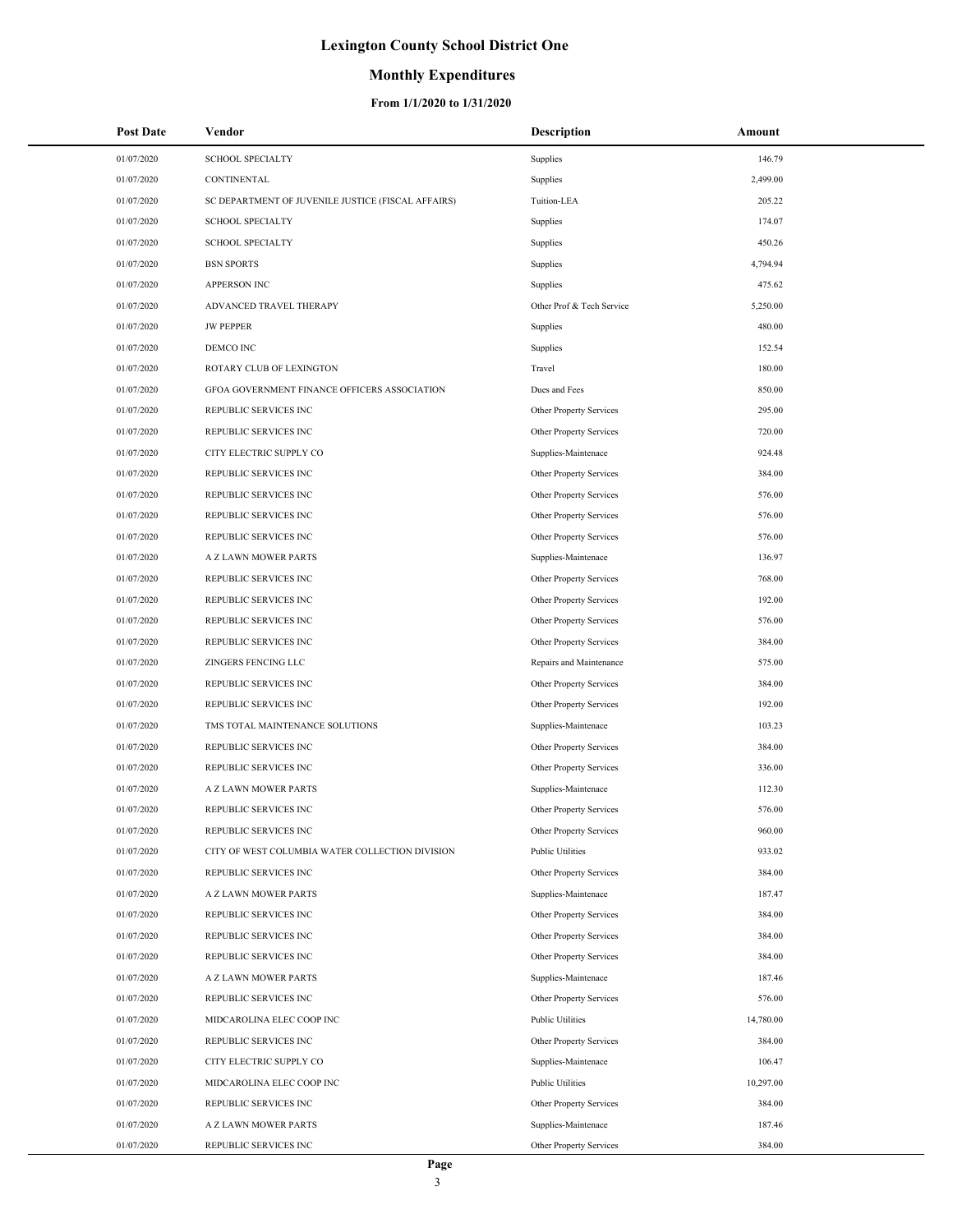## **Monthly Expenditures**

| <b>Post Date</b> | Vendor                                             | <b>Description</b>        | Amount    |
|------------------|----------------------------------------------------|---------------------------|-----------|
| 01/07/2020       | <b>SCHOOL SPECIALTY</b>                            | Supplies                  | 146.79    |
| 01/07/2020       | CONTINENTAL                                        | Supplies                  | 2,499.00  |
| 01/07/2020       | SC DEPARTMENT OF JUVENILE JUSTICE (FISCAL AFFAIRS) | Tuition-LEA               | 205.22    |
| 01/07/2020       | <b>SCHOOL SPECIALTY</b>                            | Supplies                  | 174.07    |
| 01/07/2020       | <b>SCHOOL SPECIALTY</b>                            | Supplies                  | 450.26    |
| 01/07/2020       | <b>BSN SPORTS</b>                                  | Supplies                  | 4,794.94  |
| 01/07/2020       | <b>APPERSON INC</b>                                | Supplies                  | 475.62    |
| 01/07/2020       | ADVANCED TRAVEL THERAPY                            | Other Prof & Tech Service | 5,250.00  |
| 01/07/2020       | <b>JW PEPPER</b>                                   | Supplies                  | 480.00    |
| 01/07/2020       | DEMCO INC                                          | Supplies                  | 152.54    |
| 01/07/2020       | ROTARY CLUB OF LEXINGTON                           | Travel                    | 180.00    |
| 01/07/2020       | GFOA GOVERNMENT FINANCE OFFICERS ASSOCIATION       | Dues and Fees             | 850.00    |
| 01/07/2020       | REPUBLIC SERVICES INC                              | Other Property Services   | 295.00    |
| 01/07/2020       | REPUBLIC SERVICES INC                              | Other Property Services   | 720.00    |
| 01/07/2020       | CITY ELECTRIC SUPPLY CO                            | Supplies-Maintenace       | 924.48    |
| 01/07/2020       | REPUBLIC SERVICES INC                              | Other Property Services   | 384.00    |
| 01/07/2020       | REPUBLIC SERVICES INC                              | Other Property Services   | 576.00    |
| 01/07/2020       | REPUBLIC SERVICES INC                              | Other Property Services   | 576.00    |
| 01/07/2020       | REPUBLIC SERVICES INC                              | Other Property Services   | 576.00    |
| 01/07/2020       | A Z LAWN MOWER PARTS                               | Supplies-Maintenace       | 136.97    |
| 01/07/2020       | REPUBLIC SERVICES INC                              | Other Property Services   | 768.00    |
| 01/07/2020       | REPUBLIC SERVICES INC                              | Other Property Services   | 192.00    |
| 01/07/2020       | REPUBLIC SERVICES INC                              | Other Property Services   | 576.00    |
| 01/07/2020       | REPUBLIC SERVICES INC                              | Other Property Services   | 384.00    |
| 01/07/2020       | ZINGERS FENCING LLC                                | Repairs and Maintenance   | 575.00    |
| 01/07/2020       | REPUBLIC SERVICES INC                              | Other Property Services   | 384.00    |
| 01/07/2020       | REPUBLIC SERVICES INC                              | Other Property Services   | 192.00    |
| 01/07/2020       | TMS TOTAL MAINTENANCE SOLUTIONS                    | Supplies-Maintenace       | 103.23    |
| 01/07/2020       | REPUBLIC SERVICES INC                              | Other Property Services   | 384.00    |
| 01/07/2020       | REPUBLIC SERVICES INC                              | Other Property Services   | 336.00    |
| 01/07/2020       | A Z LAWN MOWER PARTS                               | Supplies-Maintenace       | 112.30    |
| 01/07/2020       | REPUBLIC SERVICES INC                              | Other Property Services   | 576.00    |
| 01/07/2020       | REPUBLIC SERVICES INC                              | Other Property Services   | 960.00    |
| 01/07/2020       | CITY OF WEST COLUMBIA WATER COLLECTION DIVISION    | <b>Public Utilities</b>   | 933.02    |
| 01/07/2020       | REPUBLIC SERVICES INC                              | Other Property Services   | 384.00    |
| 01/07/2020       | A Z LAWN MOWER PARTS                               | Supplies-Maintenace       | 187.47    |
| 01/07/2020       | REPUBLIC SERVICES INC                              | Other Property Services   | 384.00    |
| 01/07/2020       | REPUBLIC SERVICES INC                              | Other Property Services   | 384.00    |
| 01/07/2020       | REPUBLIC SERVICES INC                              | Other Property Services   | 384.00    |
| 01/07/2020       | A Z LAWN MOWER PARTS                               | Supplies-Maintenace       | 187.46    |
| 01/07/2020       | REPUBLIC SERVICES INC                              | Other Property Services   | 576.00    |
| 01/07/2020       | MIDCAROLINA ELEC COOP INC                          | <b>Public Utilities</b>   | 14,780.00 |
| 01/07/2020       | REPUBLIC SERVICES INC                              | Other Property Services   | 384.00    |
| 01/07/2020       | CITY ELECTRIC SUPPLY CO                            | Supplies-Maintenace       | 106.47    |
| 01/07/2020       | MIDCAROLINA ELEC COOP INC                          | <b>Public Utilities</b>   | 10,297.00 |
| 01/07/2020       | REPUBLIC SERVICES INC                              | Other Property Services   | 384.00    |
| 01/07/2020       | A Z LAWN MOWER PARTS                               | Supplies-Maintenace       | 187.46    |
| 01/07/2020       | REPUBLIC SERVICES INC                              | Other Property Services   | 384.00    |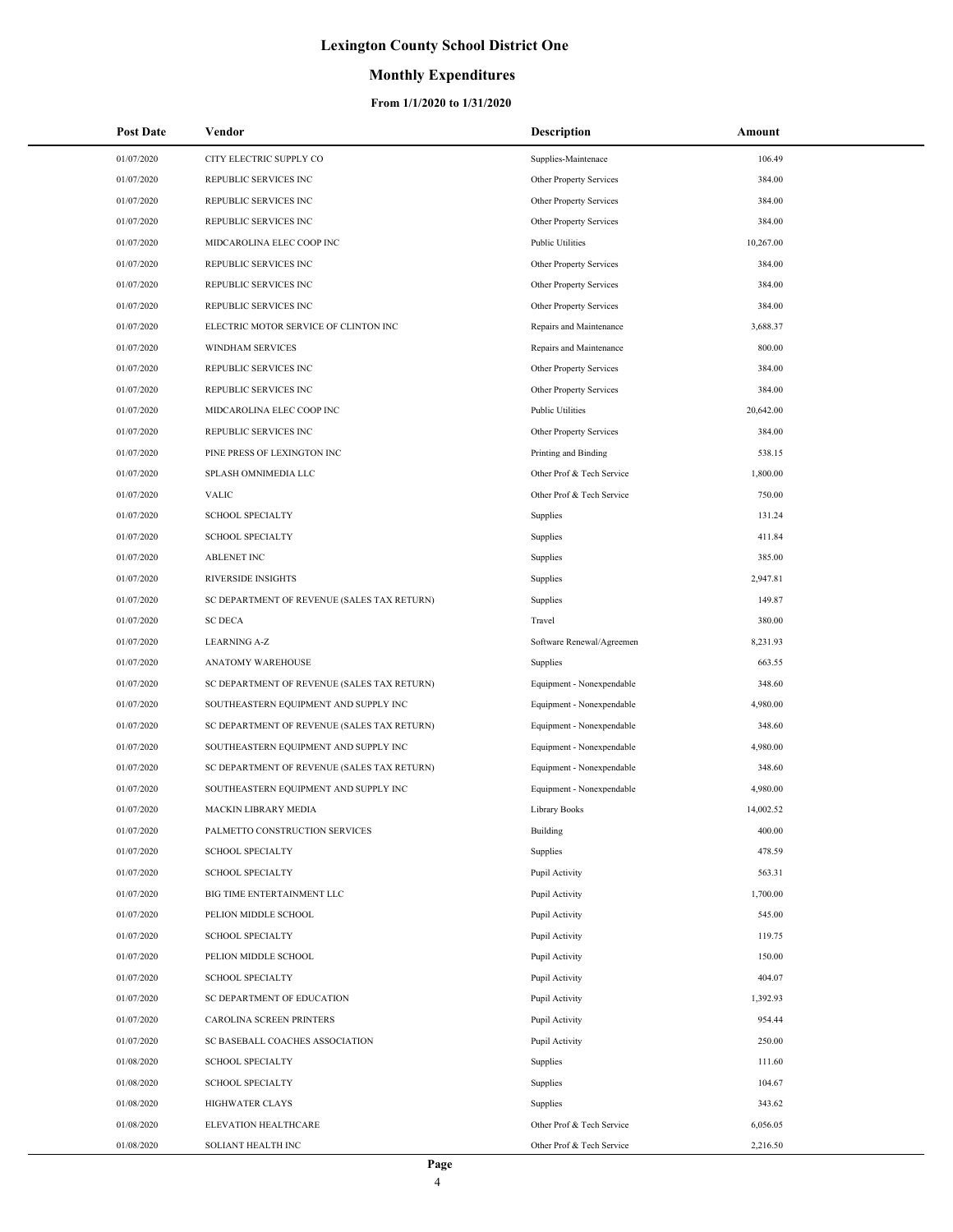## **Monthly Expenditures**

| <b>Post Date</b> | Vendor                                      | Description               | Amount    |
|------------------|---------------------------------------------|---------------------------|-----------|
| 01/07/2020       | CITY ELECTRIC SUPPLY CO                     | Supplies-Maintenace       | 106.49    |
| 01/07/2020       | REPUBLIC SERVICES INC                       | Other Property Services   | 384.00    |
| 01/07/2020       | REPUBLIC SERVICES INC                       | Other Property Services   | 384.00    |
| 01/07/2020       | REPUBLIC SERVICES INC                       | Other Property Services   | 384.00    |
| 01/07/2020       | MIDCAROLINA ELEC COOP INC                   | <b>Public Utilities</b>   | 10,267.00 |
| 01/07/2020       | REPUBLIC SERVICES INC                       | Other Property Services   | 384.00    |
| 01/07/2020       | REPUBLIC SERVICES INC                       | Other Property Services   | 384.00    |
| 01/07/2020       | REPUBLIC SERVICES INC                       | Other Property Services   | 384.00    |
| 01/07/2020       | ELECTRIC MOTOR SERVICE OF CLINTON INC       | Repairs and Maintenance   | 3,688.37  |
| 01/07/2020       | WINDHAM SERVICES                            | Repairs and Maintenance   | 800.00    |
| 01/07/2020       | REPUBLIC SERVICES INC                       | Other Property Services   | 384.00    |
| 01/07/2020       | REPUBLIC SERVICES INC                       | Other Property Services   | 384.00    |
| 01/07/2020       | MIDCAROLINA ELEC COOP INC                   | <b>Public Utilities</b>   | 20,642.00 |
| 01/07/2020       | REPUBLIC SERVICES INC                       | Other Property Services   | 384.00    |
| 01/07/2020       | PINE PRESS OF LEXINGTON INC                 | Printing and Binding      | 538.15    |
| 01/07/2020       | SPLASH OMNIMEDIA LLC                        | Other Prof & Tech Service | 1,800.00  |
| 01/07/2020       | <b>VALIC</b>                                | Other Prof & Tech Service | 750.00    |
| 01/07/2020       | <b>SCHOOL SPECIALTY</b>                     | Supplies                  | 131.24    |
| 01/07/2020       | <b>SCHOOL SPECIALTY</b>                     | Supplies                  | 411.84    |
| 01/07/2020       | <b>ABLENET INC</b>                          | Supplies                  | 385.00    |
| 01/07/2020       | RIVERSIDE INSIGHTS                          | Supplies                  | 2,947.81  |
| 01/07/2020       | SC DEPARTMENT OF REVENUE (SALES TAX RETURN) | Supplies                  | 149.87    |
| 01/07/2020       | <b>SC DECA</b>                              | Travel                    | 380.00    |
| 01/07/2020       | <b>LEARNING A-Z</b>                         | Software Renewal/Agreemen | 8,231.93  |
| 01/07/2020       | ANATOMY WAREHOUSE                           | Supplies                  | 663.55    |
| 01/07/2020       | SC DEPARTMENT OF REVENUE (SALES TAX RETURN) | Equipment - Nonexpendable | 348.60    |
| 01/07/2020       | SOUTHEASTERN EQUIPMENT AND SUPPLY INC       | Equipment - Nonexpendable | 4,980.00  |
| 01/07/2020       | SC DEPARTMENT OF REVENUE (SALES TAX RETURN) | Equipment - Nonexpendable | 348.60    |
| 01/07/2020       | SOUTHEASTERN EQUIPMENT AND SUPPLY INC       | Equipment - Nonexpendable | 4,980.00  |
| 01/07/2020       | SC DEPARTMENT OF REVENUE (SALES TAX RETURN) | Equipment - Nonexpendable | 348.60    |
| 01/07/2020       | SOUTHEASTERN EQUIPMENT AND SUPPLY INC       | Equipment - Nonexpendable | 4,980.00  |
| 01/07/2020       | <b>MACKIN LIBRARY MEDIA</b>                 | Library Books             | 14,002.52 |
| 01/07/2020       | PALMETTO CONSTRUCTION SERVICES              | Building                  | 400.00    |
| 01/07/2020       | <b>SCHOOL SPECIALTY</b>                     | Supplies                  | 478.59    |
| 01/07/2020       | <b>SCHOOL SPECIALTY</b>                     | Pupil Activity            | 563.31    |
| 01/07/2020       | BIG TIME ENTERTAINMENT LLC                  | Pupil Activity            | 1,700.00  |
| 01/07/2020       | PELION MIDDLE SCHOOL                        | Pupil Activity            | 545.00    |
| 01/07/2020       | <b>SCHOOL SPECIALTY</b>                     | Pupil Activity            | 119.75    |
| 01/07/2020       | PELION MIDDLE SCHOOL                        | Pupil Activity            | 150.00    |
| 01/07/2020       | <b>SCHOOL SPECIALTY</b>                     | Pupil Activity            | 404.07    |
| 01/07/2020       | SC DEPARTMENT OF EDUCATION                  | Pupil Activity            | 1,392.93  |
| 01/07/2020       | CAROLINA SCREEN PRINTERS                    | Pupil Activity            | 954.44    |
| 01/07/2020       | SC BASEBALL COACHES ASSOCIATION             | Pupil Activity            | 250.00    |
| 01/08/2020       | <b>SCHOOL SPECIALTY</b>                     | Supplies                  | 111.60    |
| 01/08/2020       | <b>SCHOOL SPECIALTY</b>                     | Supplies                  | 104.67    |
| 01/08/2020       | <b>HIGHWATER CLAYS</b>                      | Supplies                  | 343.62    |
| 01/08/2020       | ELEVATION HEALTHCARE                        | Other Prof & Tech Service | 6,056.05  |
| 01/08/2020       | SOLIANT HEALTH INC                          | Other Prof & Tech Service | 2,216.50  |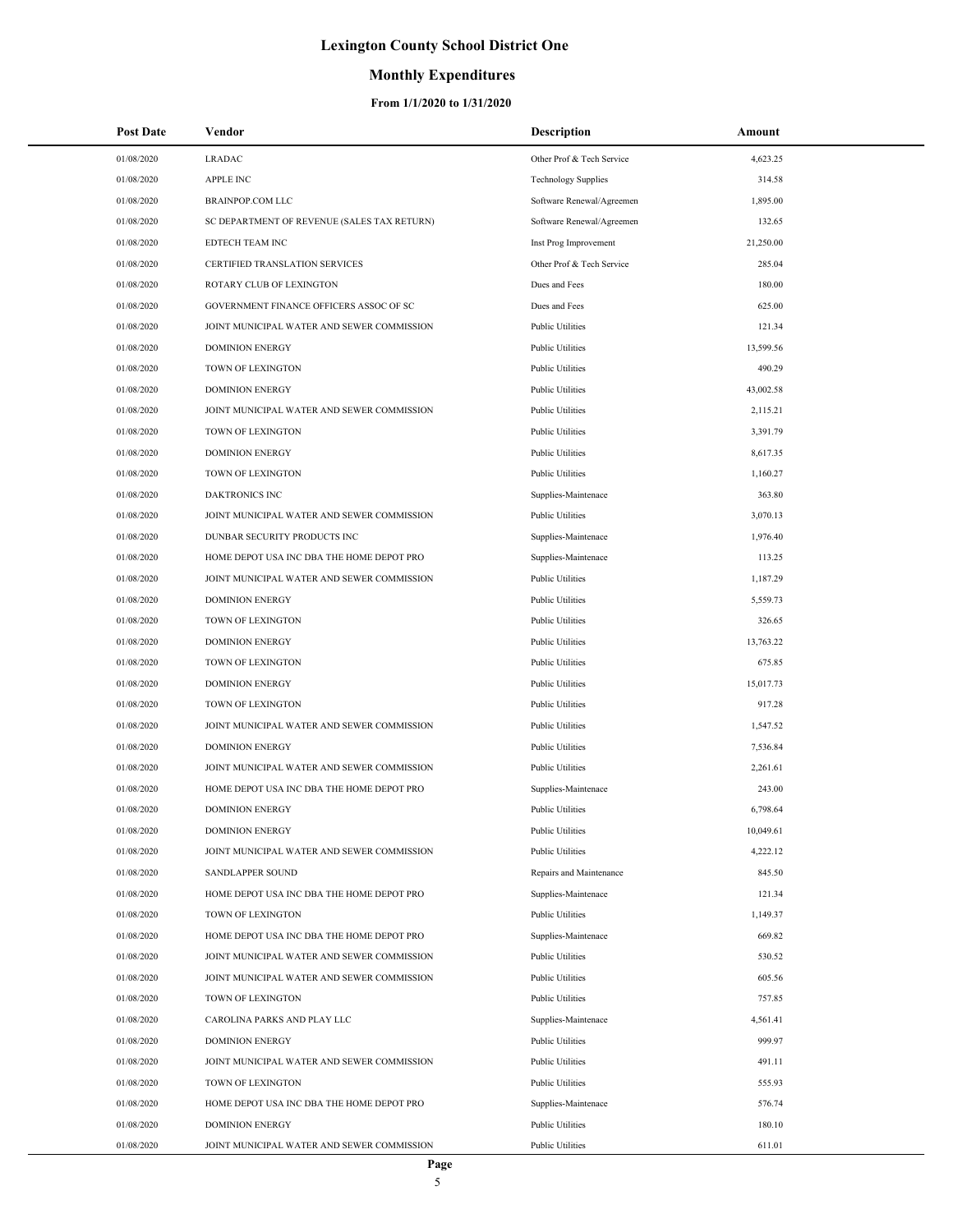## **Monthly Expenditures**

#### **From 1/1/2020 to 1/31/2020**

Ξ,

| <b>Post Date</b> | Vendor                                      | Description                | Amount    |
|------------------|---------------------------------------------|----------------------------|-----------|
| 01/08/2020       | <b>LRADAC</b>                               | Other Prof & Tech Service  | 4,623.25  |
| 01/08/2020       | <b>APPLE INC</b>                            | <b>Technology Supplies</b> | 314.58    |
| 01/08/2020       | <b>BRAINPOP.COM LLC</b>                     | Software Renewal/Agreemen  | 1,895.00  |
| 01/08/2020       | SC DEPARTMENT OF REVENUE (SALES TAX RETURN) | Software Renewal/Agreemen  | 132.65    |
| 01/08/2020       | EDTECH TEAM INC                             | Inst Prog Improvement      | 21,250.00 |
| 01/08/2020       | CERTIFIED TRANSLATION SERVICES              | Other Prof & Tech Service  | 285.04    |
| 01/08/2020       | ROTARY CLUB OF LEXINGTON                    | Dues and Fees              | 180.00    |
| 01/08/2020       | GOVERNMENT FINANCE OFFICERS ASSOC OF SC     | Dues and Fees              | 625.00    |
| 01/08/2020       | JOINT MUNICIPAL WATER AND SEWER COMMISSION  | <b>Public Utilities</b>    | 121.34    |
| 01/08/2020       | <b>DOMINION ENERGY</b>                      | <b>Public Utilities</b>    | 13,599.56 |
| 01/08/2020       | TOWN OF LEXINGTON                           | <b>Public Utilities</b>    | 490.29    |
| 01/08/2020       | <b>DOMINION ENERGY</b>                      | <b>Public Utilities</b>    | 43,002.58 |
| 01/08/2020       | JOINT MUNICIPAL WATER AND SEWER COMMISSION  | <b>Public Utilities</b>    | 2,115.21  |
| 01/08/2020       | TOWN OF LEXINGTON                           | <b>Public Utilities</b>    | 3,391.79  |
| 01/08/2020       | <b>DOMINION ENERGY</b>                      | <b>Public Utilities</b>    | 8,617.35  |
| 01/08/2020       | TOWN OF LEXINGTON                           | <b>Public Utilities</b>    | 1,160.27  |
| 01/08/2020       | <b>DAKTRONICS INC</b>                       | Supplies-Maintenace        | 363.80    |
| 01/08/2020       | JOINT MUNICIPAL WATER AND SEWER COMMISSION  | <b>Public Utilities</b>    | 3,070.13  |
| 01/08/2020       | DUNBAR SECURITY PRODUCTS INC                | Supplies-Maintenace        | 1,976.40  |
| 01/08/2020       | HOME DEPOT USA INC DBA THE HOME DEPOT PRO   | Supplies-Maintenace        | 113.25    |
| 01/08/2020       | JOINT MUNICIPAL WATER AND SEWER COMMISSION  | <b>Public Utilities</b>    | 1,187.29  |
| 01/08/2020       | <b>DOMINION ENERGY</b>                      | <b>Public Utilities</b>    | 5,559.73  |
| 01/08/2020       | TOWN OF LEXINGTON                           | <b>Public Utilities</b>    | 326.65    |
| 01/08/2020       | <b>DOMINION ENERGY</b>                      | <b>Public Utilities</b>    | 13,763.22 |
| 01/08/2020       | TOWN OF LEXINGTON                           | <b>Public Utilities</b>    | 675.85    |
| 01/08/2020       | <b>DOMINION ENERGY</b>                      | <b>Public Utilities</b>    | 15,017.73 |
| 01/08/2020       | TOWN OF LEXINGTON                           | <b>Public Utilities</b>    | 917.28    |
| 01/08/2020       | JOINT MUNICIPAL WATER AND SEWER COMMISSION  | <b>Public Utilities</b>    | 1,547.52  |
| 01/08/2020       | <b>DOMINION ENERGY</b>                      | <b>Public Utilities</b>    | 7,536.84  |
| 01/08/2020       | JOINT MUNICIPAL WATER AND SEWER COMMISSION  | <b>Public Utilities</b>    | 2,261.61  |
| 01/08/2020       | HOME DEPOT USA INC DBA THE HOME DEPOT PRO   | Supplies-Maintenace        | 243.00    |
| 01/08/2020       | <b>DOMINION ENERGY</b>                      | <b>Public Utilities</b>    | 6,798.64  |
| 01/08/2020       | <b>DOMINION ENERGY</b>                      | <b>Public Utilities</b>    | 10,049.61 |
| 01/08/2020       | JOINT MUNICIPAL WATER AND SEWER COMMISSION  | <b>Public Utilities</b>    | 4,222.12  |
| 01/08/2020       | SANDLAPPER SOUND                            | Repairs and Maintenance    | 845.50    |
| 01/08/2020       | HOME DEPOT USA INC DBA THE HOME DEPOT PRO   | Supplies-Maintenace        | 121.34    |
| 01/08/2020       | TOWN OF LEXINGTON                           | <b>Public Utilities</b>    | 1,149.37  |
| 01/08/2020       | HOME DEPOT USA INC DBA THE HOME DEPOT PRO   | Supplies-Maintenace        | 669.82    |
| 01/08/2020       | JOINT MUNICIPAL WATER AND SEWER COMMISSION  | <b>Public Utilities</b>    | 530.52    |
| 01/08/2020       | JOINT MUNICIPAL WATER AND SEWER COMMISSION  | <b>Public Utilities</b>    | 605.56    |
| 01/08/2020       | TOWN OF LEXINGTON                           | <b>Public Utilities</b>    | 757.85    |
| 01/08/2020       | CAROLINA PARKS AND PLAY LLC                 | Supplies-Maintenace        | 4,561.41  |
| 01/08/2020       | <b>DOMINION ENERGY</b>                      | <b>Public Utilities</b>    | 999.97    |
| 01/08/2020       | JOINT MUNICIPAL WATER AND SEWER COMMISSION  | <b>Public Utilities</b>    | 491.11    |
| 01/08/2020       | TOWN OF LEXINGTON                           | <b>Public Utilities</b>    | 555.93    |
| 01/08/2020       | HOME DEPOT USA INC DBA THE HOME DEPOT PRO   | Supplies-Maintenace        | 576.74    |
| 01/08/2020       | <b>DOMINION ENERGY</b>                      | <b>Public Utilities</b>    | 180.10    |
| 01/08/2020       | JOINT MUNICIPAL WATER AND SEWER COMMISSION  | Public Utilities           | 611.01    |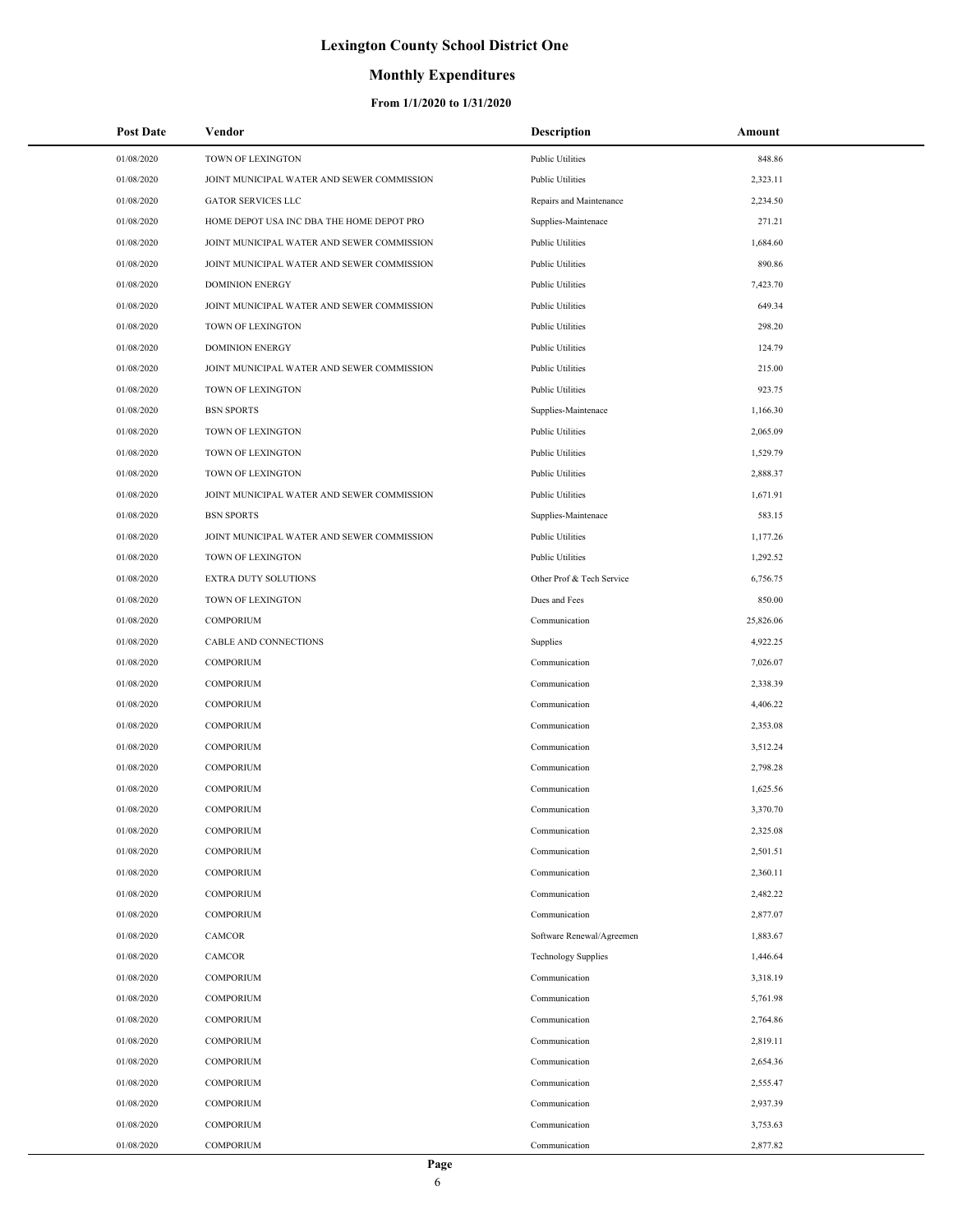### **Monthly Expenditures**

| 01/08/2020<br>TOWN OF LEXINGTON<br><b>Public Utilities</b><br>848.86<br>01/08/2020<br>JOINT MUNICIPAL WATER AND SEWER COMMISSION<br><b>Public Utilities</b><br>2,323.11<br>01/08/2020<br><b>GATOR SERVICES LLC</b><br>2,234.50<br>Repairs and Maintenance<br>01/08/2020<br>HOME DEPOT USA INC DBA THE HOME DEPOT PRO<br>271.21<br>Supplies-Maintenace<br>01/08/2020<br>JOINT MUNICIPAL WATER AND SEWER COMMISSION<br><b>Public Utilities</b><br>1,684.60<br>01/08/2020<br>JOINT MUNICIPAL WATER AND SEWER COMMISSION<br><b>Public Utilities</b><br>890.86<br>01/08/2020<br><b>DOMINION ENERGY</b><br><b>Public Utilities</b><br>7,423.70<br>01/08/2020<br>JOINT MUNICIPAL WATER AND SEWER COMMISSION<br><b>Public Utilities</b><br>649.34<br>01/08/2020<br>TOWN OF LEXINGTON<br><b>Public Utilities</b><br>298.20<br>01/08/2020<br><b>DOMINION ENERGY</b><br><b>Public Utilities</b><br>124.79<br>01/08/2020<br>JOINT MUNICIPAL WATER AND SEWER COMMISSION<br><b>Public Utilities</b><br>215.00<br>01/08/2020<br>TOWN OF LEXINGTON<br><b>Public Utilities</b><br>923.75<br>01/08/2020<br><b>BSN SPORTS</b><br>1,166.30<br>Supplies-Maintenace<br>01/08/2020<br>TOWN OF LEXINGTON<br><b>Public Utilities</b><br>2,065.09<br>01/08/2020<br>TOWN OF LEXINGTON<br><b>Public Utilities</b><br>1,529.79<br>01/08/2020<br>TOWN OF LEXINGTON<br><b>Public Utilities</b><br>2,888.37<br>01/08/2020<br>JOINT MUNICIPAL WATER AND SEWER COMMISSION<br><b>Public Utilities</b><br>1,671.91<br>01/08/2020<br><b>BSN SPORTS</b><br>Supplies-Maintenace<br>583.15<br>01/08/2020<br>JOINT MUNICIPAL WATER AND SEWER COMMISSION<br><b>Public Utilities</b><br>1,177.26<br>01/08/2020<br>TOWN OF LEXINGTON<br><b>Public Utilities</b><br>1,292.52<br>01/08/2020<br>EXTRA DUTY SOLUTIONS<br>Other Prof & Tech Service<br>6,756.75<br>01/08/2020<br>TOWN OF LEXINGTON<br>Dues and Fees<br>850.00<br>01/08/2020<br><b>COMPORIUM</b><br>Communication<br>25,826.06<br>01/08/2020<br>CABLE AND CONNECTIONS<br>Supplies<br>4,922.25<br>01/08/2020<br><b>COMPORIUM</b><br>7,026.07<br>Communication<br>01/08/2020<br>COMPORIUM<br>Communication<br>2,338.39<br>01/08/2020<br><b>COMPORIUM</b><br>4,406.22<br>Communication<br>01/08/2020<br><b>COMPORIUM</b><br>Communication<br>2,353.08<br>01/08/2020<br>COMPORIUM<br>3,512.24<br>Communication<br>01/08/2020<br><b>COMPORIUM</b><br>Communication<br>2,798.28<br><b>COMPORIUM</b><br>01/08/2020<br>Communication<br>1,625.56<br><b>COMPORIUM</b><br>3,370.70<br>01/08/2020<br>Communication<br>01/08/2020<br>2,325.08<br>COMPORIUM<br>Communication<br>01/08/2020<br>COMPORIUM<br>Communication<br>2,501.51<br>01/08/2020<br><b>COMPORIUM</b><br>2,360.11<br>Communication<br>01/08/2020<br><b>COMPORIUM</b><br>Communication<br>2,482.22<br>01/08/2020<br><b>COMPORIUM</b><br>2,877.07<br>Communication<br>01/08/2020<br>1,883.67<br>CAMCOR<br>Software Renewal/Agreemen<br>01/08/2020<br>CAMCOR<br><b>Technology Supplies</b><br>1,446.64<br>01/08/2020<br><b>COMPORIUM</b><br>3,318.19<br>Communication<br>01/08/2020<br>COMPORIUM<br>5,761.98<br>Communication<br>01/08/2020<br>COMPORIUM<br>Communication<br>2,764.86<br>01/08/2020<br><b>COMPORIUM</b><br>2,819.11<br>Communication<br>01/08/2020<br><b>COMPORIUM</b><br>Communication<br>2,654.36<br>01/08/2020<br>COMPORIUM<br>Communication<br>2,555.47<br>01/08/2020<br>COMPORIUM<br>2,937.39<br>Communication<br>01/08/2020<br>COMPORIUM<br>Communication<br>3,753.63 | <b>Post Date</b> | Vendor    | Description   | Amount   |
|------------------------------------------------------------------------------------------------------------------------------------------------------------------------------------------------------------------------------------------------------------------------------------------------------------------------------------------------------------------------------------------------------------------------------------------------------------------------------------------------------------------------------------------------------------------------------------------------------------------------------------------------------------------------------------------------------------------------------------------------------------------------------------------------------------------------------------------------------------------------------------------------------------------------------------------------------------------------------------------------------------------------------------------------------------------------------------------------------------------------------------------------------------------------------------------------------------------------------------------------------------------------------------------------------------------------------------------------------------------------------------------------------------------------------------------------------------------------------------------------------------------------------------------------------------------------------------------------------------------------------------------------------------------------------------------------------------------------------------------------------------------------------------------------------------------------------------------------------------------------------------------------------------------------------------------------------------------------------------------------------------------------------------------------------------------------------------------------------------------------------------------------------------------------------------------------------------------------------------------------------------------------------------------------------------------------------------------------------------------------------------------------------------------------------------------------------------------------------------------------------------------------------------------------------------------------------------------------------------------------------------------------------------------------------------------------------------------------------------------------------------------------------------------------------------------------------------------------------------------------------------------------------------------------------------------------------------------------------------------------------------------------------------------------------------------------------------------------------------------------------------------------------------------------------------------------------------------------------------------------------------------------------------------------------------------------------------------------------------------------------------------------------------------------------------------------------------|------------------|-----------|---------------|----------|
|                                                                                                                                                                                                                                                                                                                                                                                                                                                                                                                                                                                                                                                                                                                                                                                                                                                                                                                                                                                                                                                                                                                                                                                                                                                                                                                                                                                                                                                                                                                                                                                                                                                                                                                                                                                                                                                                                                                                                                                                                                                                                                                                                                                                                                                                                                                                                                                                                                                                                                                                                                                                                                                                                                                                                                                                                                                                                                                                                                                                                                                                                                                                                                                                                                                                                                                                                                                                                                                            |                  |           |               |          |
|                                                                                                                                                                                                                                                                                                                                                                                                                                                                                                                                                                                                                                                                                                                                                                                                                                                                                                                                                                                                                                                                                                                                                                                                                                                                                                                                                                                                                                                                                                                                                                                                                                                                                                                                                                                                                                                                                                                                                                                                                                                                                                                                                                                                                                                                                                                                                                                                                                                                                                                                                                                                                                                                                                                                                                                                                                                                                                                                                                                                                                                                                                                                                                                                                                                                                                                                                                                                                                                            |                  |           |               |          |
|                                                                                                                                                                                                                                                                                                                                                                                                                                                                                                                                                                                                                                                                                                                                                                                                                                                                                                                                                                                                                                                                                                                                                                                                                                                                                                                                                                                                                                                                                                                                                                                                                                                                                                                                                                                                                                                                                                                                                                                                                                                                                                                                                                                                                                                                                                                                                                                                                                                                                                                                                                                                                                                                                                                                                                                                                                                                                                                                                                                                                                                                                                                                                                                                                                                                                                                                                                                                                                                            |                  |           |               |          |
|                                                                                                                                                                                                                                                                                                                                                                                                                                                                                                                                                                                                                                                                                                                                                                                                                                                                                                                                                                                                                                                                                                                                                                                                                                                                                                                                                                                                                                                                                                                                                                                                                                                                                                                                                                                                                                                                                                                                                                                                                                                                                                                                                                                                                                                                                                                                                                                                                                                                                                                                                                                                                                                                                                                                                                                                                                                                                                                                                                                                                                                                                                                                                                                                                                                                                                                                                                                                                                                            |                  |           |               |          |
|                                                                                                                                                                                                                                                                                                                                                                                                                                                                                                                                                                                                                                                                                                                                                                                                                                                                                                                                                                                                                                                                                                                                                                                                                                                                                                                                                                                                                                                                                                                                                                                                                                                                                                                                                                                                                                                                                                                                                                                                                                                                                                                                                                                                                                                                                                                                                                                                                                                                                                                                                                                                                                                                                                                                                                                                                                                                                                                                                                                                                                                                                                                                                                                                                                                                                                                                                                                                                                                            |                  |           |               |          |
|                                                                                                                                                                                                                                                                                                                                                                                                                                                                                                                                                                                                                                                                                                                                                                                                                                                                                                                                                                                                                                                                                                                                                                                                                                                                                                                                                                                                                                                                                                                                                                                                                                                                                                                                                                                                                                                                                                                                                                                                                                                                                                                                                                                                                                                                                                                                                                                                                                                                                                                                                                                                                                                                                                                                                                                                                                                                                                                                                                                                                                                                                                                                                                                                                                                                                                                                                                                                                                                            |                  |           |               |          |
|                                                                                                                                                                                                                                                                                                                                                                                                                                                                                                                                                                                                                                                                                                                                                                                                                                                                                                                                                                                                                                                                                                                                                                                                                                                                                                                                                                                                                                                                                                                                                                                                                                                                                                                                                                                                                                                                                                                                                                                                                                                                                                                                                                                                                                                                                                                                                                                                                                                                                                                                                                                                                                                                                                                                                                                                                                                                                                                                                                                                                                                                                                                                                                                                                                                                                                                                                                                                                                                            |                  |           |               |          |
|                                                                                                                                                                                                                                                                                                                                                                                                                                                                                                                                                                                                                                                                                                                                                                                                                                                                                                                                                                                                                                                                                                                                                                                                                                                                                                                                                                                                                                                                                                                                                                                                                                                                                                                                                                                                                                                                                                                                                                                                                                                                                                                                                                                                                                                                                                                                                                                                                                                                                                                                                                                                                                                                                                                                                                                                                                                                                                                                                                                                                                                                                                                                                                                                                                                                                                                                                                                                                                                            |                  |           |               |          |
|                                                                                                                                                                                                                                                                                                                                                                                                                                                                                                                                                                                                                                                                                                                                                                                                                                                                                                                                                                                                                                                                                                                                                                                                                                                                                                                                                                                                                                                                                                                                                                                                                                                                                                                                                                                                                                                                                                                                                                                                                                                                                                                                                                                                                                                                                                                                                                                                                                                                                                                                                                                                                                                                                                                                                                                                                                                                                                                                                                                                                                                                                                                                                                                                                                                                                                                                                                                                                                                            |                  |           |               |          |
|                                                                                                                                                                                                                                                                                                                                                                                                                                                                                                                                                                                                                                                                                                                                                                                                                                                                                                                                                                                                                                                                                                                                                                                                                                                                                                                                                                                                                                                                                                                                                                                                                                                                                                                                                                                                                                                                                                                                                                                                                                                                                                                                                                                                                                                                                                                                                                                                                                                                                                                                                                                                                                                                                                                                                                                                                                                                                                                                                                                                                                                                                                                                                                                                                                                                                                                                                                                                                                                            |                  |           |               |          |
|                                                                                                                                                                                                                                                                                                                                                                                                                                                                                                                                                                                                                                                                                                                                                                                                                                                                                                                                                                                                                                                                                                                                                                                                                                                                                                                                                                                                                                                                                                                                                                                                                                                                                                                                                                                                                                                                                                                                                                                                                                                                                                                                                                                                                                                                                                                                                                                                                                                                                                                                                                                                                                                                                                                                                                                                                                                                                                                                                                                                                                                                                                                                                                                                                                                                                                                                                                                                                                                            |                  |           |               |          |
|                                                                                                                                                                                                                                                                                                                                                                                                                                                                                                                                                                                                                                                                                                                                                                                                                                                                                                                                                                                                                                                                                                                                                                                                                                                                                                                                                                                                                                                                                                                                                                                                                                                                                                                                                                                                                                                                                                                                                                                                                                                                                                                                                                                                                                                                                                                                                                                                                                                                                                                                                                                                                                                                                                                                                                                                                                                                                                                                                                                                                                                                                                                                                                                                                                                                                                                                                                                                                                                            |                  |           |               |          |
|                                                                                                                                                                                                                                                                                                                                                                                                                                                                                                                                                                                                                                                                                                                                                                                                                                                                                                                                                                                                                                                                                                                                                                                                                                                                                                                                                                                                                                                                                                                                                                                                                                                                                                                                                                                                                                                                                                                                                                                                                                                                                                                                                                                                                                                                                                                                                                                                                                                                                                                                                                                                                                                                                                                                                                                                                                                                                                                                                                                                                                                                                                                                                                                                                                                                                                                                                                                                                                                            |                  |           |               |          |
|                                                                                                                                                                                                                                                                                                                                                                                                                                                                                                                                                                                                                                                                                                                                                                                                                                                                                                                                                                                                                                                                                                                                                                                                                                                                                                                                                                                                                                                                                                                                                                                                                                                                                                                                                                                                                                                                                                                                                                                                                                                                                                                                                                                                                                                                                                                                                                                                                                                                                                                                                                                                                                                                                                                                                                                                                                                                                                                                                                                                                                                                                                                                                                                                                                                                                                                                                                                                                                                            |                  |           |               |          |
|                                                                                                                                                                                                                                                                                                                                                                                                                                                                                                                                                                                                                                                                                                                                                                                                                                                                                                                                                                                                                                                                                                                                                                                                                                                                                                                                                                                                                                                                                                                                                                                                                                                                                                                                                                                                                                                                                                                                                                                                                                                                                                                                                                                                                                                                                                                                                                                                                                                                                                                                                                                                                                                                                                                                                                                                                                                                                                                                                                                                                                                                                                                                                                                                                                                                                                                                                                                                                                                            |                  |           |               |          |
|                                                                                                                                                                                                                                                                                                                                                                                                                                                                                                                                                                                                                                                                                                                                                                                                                                                                                                                                                                                                                                                                                                                                                                                                                                                                                                                                                                                                                                                                                                                                                                                                                                                                                                                                                                                                                                                                                                                                                                                                                                                                                                                                                                                                                                                                                                                                                                                                                                                                                                                                                                                                                                                                                                                                                                                                                                                                                                                                                                                                                                                                                                                                                                                                                                                                                                                                                                                                                                                            |                  |           |               |          |
|                                                                                                                                                                                                                                                                                                                                                                                                                                                                                                                                                                                                                                                                                                                                                                                                                                                                                                                                                                                                                                                                                                                                                                                                                                                                                                                                                                                                                                                                                                                                                                                                                                                                                                                                                                                                                                                                                                                                                                                                                                                                                                                                                                                                                                                                                                                                                                                                                                                                                                                                                                                                                                                                                                                                                                                                                                                                                                                                                                                                                                                                                                                                                                                                                                                                                                                                                                                                                                                            |                  |           |               |          |
|                                                                                                                                                                                                                                                                                                                                                                                                                                                                                                                                                                                                                                                                                                                                                                                                                                                                                                                                                                                                                                                                                                                                                                                                                                                                                                                                                                                                                                                                                                                                                                                                                                                                                                                                                                                                                                                                                                                                                                                                                                                                                                                                                                                                                                                                                                                                                                                                                                                                                                                                                                                                                                                                                                                                                                                                                                                                                                                                                                                                                                                                                                                                                                                                                                                                                                                                                                                                                                                            |                  |           |               |          |
|                                                                                                                                                                                                                                                                                                                                                                                                                                                                                                                                                                                                                                                                                                                                                                                                                                                                                                                                                                                                                                                                                                                                                                                                                                                                                                                                                                                                                                                                                                                                                                                                                                                                                                                                                                                                                                                                                                                                                                                                                                                                                                                                                                                                                                                                                                                                                                                                                                                                                                                                                                                                                                                                                                                                                                                                                                                                                                                                                                                                                                                                                                                                                                                                                                                                                                                                                                                                                                                            |                  |           |               |          |
|                                                                                                                                                                                                                                                                                                                                                                                                                                                                                                                                                                                                                                                                                                                                                                                                                                                                                                                                                                                                                                                                                                                                                                                                                                                                                                                                                                                                                                                                                                                                                                                                                                                                                                                                                                                                                                                                                                                                                                                                                                                                                                                                                                                                                                                                                                                                                                                                                                                                                                                                                                                                                                                                                                                                                                                                                                                                                                                                                                                                                                                                                                                                                                                                                                                                                                                                                                                                                                                            |                  |           |               |          |
|                                                                                                                                                                                                                                                                                                                                                                                                                                                                                                                                                                                                                                                                                                                                                                                                                                                                                                                                                                                                                                                                                                                                                                                                                                                                                                                                                                                                                                                                                                                                                                                                                                                                                                                                                                                                                                                                                                                                                                                                                                                                                                                                                                                                                                                                                                                                                                                                                                                                                                                                                                                                                                                                                                                                                                                                                                                                                                                                                                                                                                                                                                                                                                                                                                                                                                                                                                                                                                                            |                  |           |               |          |
|                                                                                                                                                                                                                                                                                                                                                                                                                                                                                                                                                                                                                                                                                                                                                                                                                                                                                                                                                                                                                                                                                                                                                                                                                                                                                                                                                                                                                                                                                                                                                                                                                                                                                                                                                                                                                                                                                                                                                                                                                                                                                                                                                                                                                                                                                                                                                                                                                                                                                                                                                                                                                                                                                                                                                                                                                                                                                                                                                                                                                                                                                                                                                                                                                                                                                                                                                                                                                                                            |                  |           |               |          |
|                                                                                                                                                                                                                                                                                                                                                                                                                                                                                                                                                                                                                                                                                                                                                                                                                                                                                                                                                                                                                                                                                                                                                                                                                                                                                                                                                                                                                                                                                                                                                                                                                                                                                                                                                                                                                                                                                                                                                                                                                                                                                                                                                                                                                                                                                                                                                                                                                                                                                                                                                                                                                                                                                                                                                                                                                                                                                                                                                                                                                                                                                                                                                                                                                                                                                                                                                                                                                                                            |                  |           |               |          |
|                                                                                                                                                                                                                                                                                                                                                                                                                                                                                                                                                                                                                                                                                                                                                                                                                                                                                                                                                                                                                                                                                                                                                                                                                                                                                                                                                                                                                                                                                                                                                                                                                                                                                                                                                                                                                                                                                                                                                                                                                                                                                                                                                                                                                                                                                                                                                                                                                                                                                                                                                                                                                                                                                                                                                                                                                                                                                                                                                                                                                                                                                                                                                                                                                                                                                                                                                                                                                                                            |                  |           |               |          |
|                                                                                                                                                                                                                                                                                                                                                                                                                                                                                                                                                                                                                                                                                                                                                                                                                                                                                                                                                                                                                                                                                                                                                                                                                                                                                                                                                                                                                                                                                                                                                                                                                                                                                                                                                                                                                                                                                                                                                                                                                                                                                                                                                                                                                                                                                                                                                                                                                                                                                                                                                                                                                                                                                                                                                                                                                                                                                                                                                                                                                                                                                                                                                                                                                                                                                                                                                                                                                                                            |                  |           |               |          |
|                                                                                                                                                                                                                                                                                                                                                                                                                                                                                                                                                                                                                                                                                                                                                                                                                                                                                                                                                                                                                                                                                                                                                                                                                                                                                                                                                                                                                                                                                                                                                                                                                                                                                                                                                                                                                                                                                                                                                                                                                                                                                                                                                                                                                                                                                                                                                                                                                                                                                                                                                                                                                                                                                                                                                                                                                                                                                                                                                                                                                                                                                                                                                                                                                                                                                                                                                                                                                                                            |                  |           |               |          |
|                                                                                                                                                                                                                                                                                                                                                                                                                                                                                                                                                                                                                                                                                                                                                                                                                                                                                                                                                                                                                                                                                                                                                                                                                                                                                                                                                                                                                                                                                                                                                                                                                                                                                                                                                                                                                                                                                                                                                                                                                                                                                                                                                                                                                                                                                                                                                                                                                                                                                                                                                                                                                                                                                                                                                                                                                                                                                                                                                                                                                                                                                                                                                                                                                                                                                                                                                                                                                                                            |                  |           |               |          |
|                                                                                                                                                                                                                                                                                                                                                                                                                                                                                                                                                                                                                                                                                                                                                                                                                                                                                                                                                                                                                                                                                                                                                                                                                                                                                                                                                                                                                                                                                                                                                                                                                                                                                                                                                                                                                                                                                                                                                                                                                                                                                                                                                                                                                                                                                                                                                                                                                                                                                                                                                                                                                                                                                                                                                                                                                                                                                                                                                                                                                                                                                                                                                                                                                                                                                                                                                                                                                                                            |                  |           |               |          |
|                                                                                                                                                                                                                                                                                                                                                                                                                                                                                                                                                                                                                                                                                                                                                                                                                                                                                                                                                                                                                                                                                                                                                                                                                                                                                                                                                                                                                                                                                                                                                                                                                                                                                                                                                                                                                                                                                                                                                                                                                                                                                                                                                                                                                                                                                                                                                                                                                                                                                                                                                                                                                                                                                                                                                                                                                                                                                                                                                                                                                                                                                                                                                                                                                                                                                                                                                                                                                                                            |                  |           |               |          |
|                                                                                                                                                                                                                                                                                                                                                                                                                                                                                                                                                                                                                                                                                                                                                                                                                                                                                                                                                                                                                                                                                                                                                                                                                                                                                                                                                                                                                                                                                                                                                                                                                                                                                                                                                                                                                                                                                                                                                                                                                                                                                                                                                                                                                                                                                                                                                                                                                                                                                                                                                                                                                                                                                                                                                                                                                                                                                                                                                                                                                                                                                                                                                                                                                                                                                                                                                                                                                                                            |                  |           |               |          |
|                                                                                                                                                                                                                                                                                                                                                                                                                                                                                                                                                                                                                                                                                                                                                                                                                                                                                                                                                                                                                                                                                                                                                                                                                                                                                                                                                                                                                                                                                                                                                                                                                                                                                                                                                                                                                                                                                                                                                                                                                                                                                                                                                                                                                                                                                                                                                                                                                                                                                                                                                                                                                                                                                                                                                                                                                                                                                                                                                                                                                                                                                                                                                                                                                                                                                                                                                                                                                                                            |                  |           |               |          |
|                                                                                                                                                                                                                                                                                                                                                                                                                                                                                                                                                                                                                                                                                                                                                                                                                                                                                                                                                                                                                                                                                                                                                                                                                                                                                                                                                                                                                                                                                                                                                                                                                                                                                                                                                                                                                                                                                                                                                                                                                                                                                                                                                                                                                                                                                                                                                                                                                                                                                                                                                                                                                                                                                                                                                                                                                                                                                                                                                                                                                                                                                                                                                                                                                                                                                                                                                                                                                                                            |                  |           |               |          |
|                                                                                                                                                                                                                                                                                                                                                                                                                                                                                                                                                                                                                                                                                                                                                                                                                                                                                                                                                                                                                                                                                                                                                                                                                                                                                                                                                                                                                                                                                                                                                                                                                                                                                                                                                                                                                                                                                                                                                                                                                                                                                                                                                                                                                                                                                                                                                                                                                                                                                                                                                                                                                                                                                                                                                                                                                                                                                                                                                                                                                                                                                                                                                                                                                                                                                                                                                                                                                                                            |                  |           |               |          |
|                                                                                                                                                                                                                                                                                                                                                                                                                                                                                                                                                                                                                                                                                                                                                                                                                                                                                                                                                                                                                                                                                                                                                                                                                                                                                                                                                                                                                                                                                                                                                                                                                                                                                                                                                                                                                                                                                                                                                                                                                                                                                                                                                                                                                                                                                                                                                                                                                                                                                                                                                                                                                                                                                                                                                                                                                                                                                                                                                                                                                                                                                                                                                                                                                                                                                                                                                                                                                                                            |                  |           |               |          |
|                                                                                                                                                                                                                                                                                                                                                                                                                                                                                                                                                                                                                                                                                                                                                                                                                                                                                                                                                                                                                                                                                                                                                                                                                                                                                                                                                                                                                                                                                                                                                                                                                                                                                                                                                                                                                                                                                                                                                                                                                                                                                                                                                                                                                                                                                                                                                                                                                                                                                                                                                                                                                                                                                                                                                                                                                                                                                                                                                                                                                                                                                                                                                                                                                                                                                                                                                                                                                                                            |                  |           |               |          |
|                                                                                                                                                                                                                                                                                                                                                                                                                                                                                                                                                                                                                                                                                                                                                                                                                                                                                                                                                                                                                                                                                                                                                                                                                                                                                                                                                                                                                                                                                                                                                                                                                                                                                                                                                                                                                                                                                                                                                                                                                                                                                                                                                                                                                                                                                                                                                                                                                                                                                                                                                                                                                                                                                                                                                                                                                                                                                                                                                                                                                                                                                                                                                                                                                                                                                                                                                                                                                                                            |                  |           |               |          |
|                                                                                                                                                                                                                                                                                                                                                                                                                                                                                                                                                                                                                                                                                                                                                                                                                                                                                                                                                                                                                                                                                                                                                                                                                                                                                                                                                                                                                                                                                                                                                                                                                                                                                                                                                                                                                                                                                                                                                                                                                                                                                                                                                                                                                                                                                                                                                                                                                                                                                                                                                                                                                                                                                                                                                                                                                                                                                                                                                                                                                                                                                                                                                                                                                                                                                                                                                                                                                                                            |                  |           |               |          |
|                                                                                                                                                                                                                                                                                                                                                                                                                                                                                                                                                                                                                                                                                                                                                                                                                                                                                                                                                                                                                                                                                                                                                                                                                                                                                                                                                                                                                                                                                                                                                                                                                                                                                                                                                                                                                                                                                                                                                                                                                                                                                                                                                                                                                                                                                                                                                                                                                                                                                                                                                                                                                                                                                                                                                                                                                                                                                                                                                                                                                                                                                                                                                                                                                                                                                                                                                                                                                                                            |                  |           |               |          |
|                                                                                                                                                                                                                                                                                                                                                                                                                                                                                                                                                                                                                                                                                                                                                                                                                                                                                                                                                                                                                                                                                                                                                                                                                                                                                                                                                                                                                                                                                                                                                                                                                                                                                                                                                                                                                                                                                                                                                                                                                                                                                                                                                                                                                                                                                                                                                                                                                                                                                                                                                                                                                                                                                                                                                                                                                                                                                                                                                                                                                                                                                                                                                                                                                                                                                                                                                                                                                                                            |                  |           |               |          |
|                                                                                                                                                                                                                                                                                                                                                                                                                                                                                                                                                                                                                                                                                                                                                                                                                                                                                                                                                                                                                                                                                                                                                                                                                                                                                                                                                                                                                                                                                                                                                                                                                                                                                                                                                                                                                                                                                                                                                                                                                                                                                                                                                                                                                                                                                                                                                                                                                                                                                                                                                                                                                                                                                                                                                                                                                                                                                                                                                                                                                                                                                                                                                                                                                                                                                                                                                                                                                                                            |                  |           |               |          |
|                                                                                                                                                                                                                                                                                                                                                                                                                                                                                                                                                                                                                                                                                                                                                                                                                                                                                                                                                                                                                                                                                                                                                                                                                                                                                                                                                                                                                                                                                                                                                                                                                                                                                                                                                                                                                                                                                                                                                                                                                                                                                                                                                                                                                                                                                                                                                                                                                                                                                                                                                                                                                                                                                                                                                                                                                                                                                                                                                                                                                                                                                                                                                                                                                                                                                                                                                                                                                                                            |                  |           |               |          |
|                                                                                                                                                                                                                                                                                                                                                                                                                                                                                                                                                                                                                                                                                                                                                                                                                                                                                                                                                                                                                                                                                                                                                                                                                                                                                                                                                                                                                                                                                                                                                                                                                                                                                                                                                                                                                                                                                                                                                                                                                                                                                                                                                                                                                                                                                                                                                                                                                                                                                                                                                                                                                                                                                                                                                                                                                                                                                                                                                                                                                                                                                                                                                                                                                                                                                                                                                                                                                                                            |                  |           |               |          |
|                                                                                                                                                                                                                                                                                                                                                                                                                                                                                                                                                                                                                                                                                                                                                                                                                                                                                                                                                                                                                                                                                                                                                                                                                                                                                                                                                                                                                                                                                                                                                                                                                                                                                                                                                                                                                                                                                                                                                                                                                                                                                                                                                                                                                                                                                                                                                                                                                                                                                                                                                                                                                                                                                                                                                                                                                                                                                                                                                                                                                                                                                                                                                                                                                                                                                                                                                                                                                                                            |                  |           |               |          |
|                                                                                                                                                                                                                                                                                                                                                                                                                                                                                                                                                                                                                                                                                                                                                                                                                                                                                                                                                                                                                                                                                                                                                                                                                                                                                                                                                                                                                                                                                                                                                                                                                                                                                                                                                                                                                                                                                                                                                                                                                                                                                                                                                                                                                                                                                                                                                                                                                                                                                                                                                                                                                                                                                                                                                                                                                                                                                                                                                                                                                                                                                                                                                                                                                                                                                                                                                                                                                                                            |                  |           |               |          |
|                                                                                                                                                                                                                                                                                                                                                                                                                                                                                                                                                                                                                                                                                                                                                                                                                                                                                                                                                                                                                                                                                                                                                                                                                                                                                                                                                                                                                                                                                                                                                                                                                                                                                                                                                                                                                                                                                                                                                                                                                                                                                                                                                                                                                                                                                                                                                                                                                                                                                                                                                                                                                                                                                                                                                                                                                                                                                                                                                                                                                                                                                                                                                                                                                                                                                                                                                                                                                                                            |                  |           |               |          |
|                                                                                                                                                                                                                                                                                                                                                                                                                                                                                                                                                                                                                                                                                                                                                                                                                                                                                                                                                                                                                                                                                                                                                                                                                                                                                                                                                                                                                                                                                                                                                                                                                                                                                                                                                                                                                                                                                                                                                                                                                                                                                                                                                                                                                                                                                                                                                                                                                                                                                                                                                                                                                                                                                                                                                                                                                                                                                                                                                                                                                                                                                                                                                                                                                                                                                                                                                                                                                                                            |                  |           |               |          |
|                                                                                                                                                                                                                                                                                                                                                                                                                                                                                                                                                                                                                                                                                                                                                                                                                                                                                                                                                                                                                                                                                                                                                                                                                                                                                                                                                                                                                                                                                                                                                                                                                                                                                                                                                                                                                                                                                                                                                                                                                                                                                                                                                                                                                                                                                                                                                                                                                                                                                                                                                                                                                                                                                                                                                                                                                                                                                                                                                                                                                                                                                                                                                                                                                                                                                                                                                                                                                                                            |                  |           |               |          |
|                                                                                                                                                                                                                                                                                                                                                                                                                                                                                                                                                                                                                                                                                                                                                                                                                                                                                                                                                                                                                                                                                                                                                                                                                                                                                                                                                                                                                                                                                                                                                                                                                                                                                                                                                                                                                                                                                                                                                                                                                                                                                                                                                                                                                                                                                                                                                                                                                                                                                                                                                                                                                                                                                                                                                                                                                                                                                                                                                                                                                                                                                                                                                                                                                                                                                                                                                                                                                                                            | 01/08/2020       | COMPORIUM | Communication | 2,877.82 |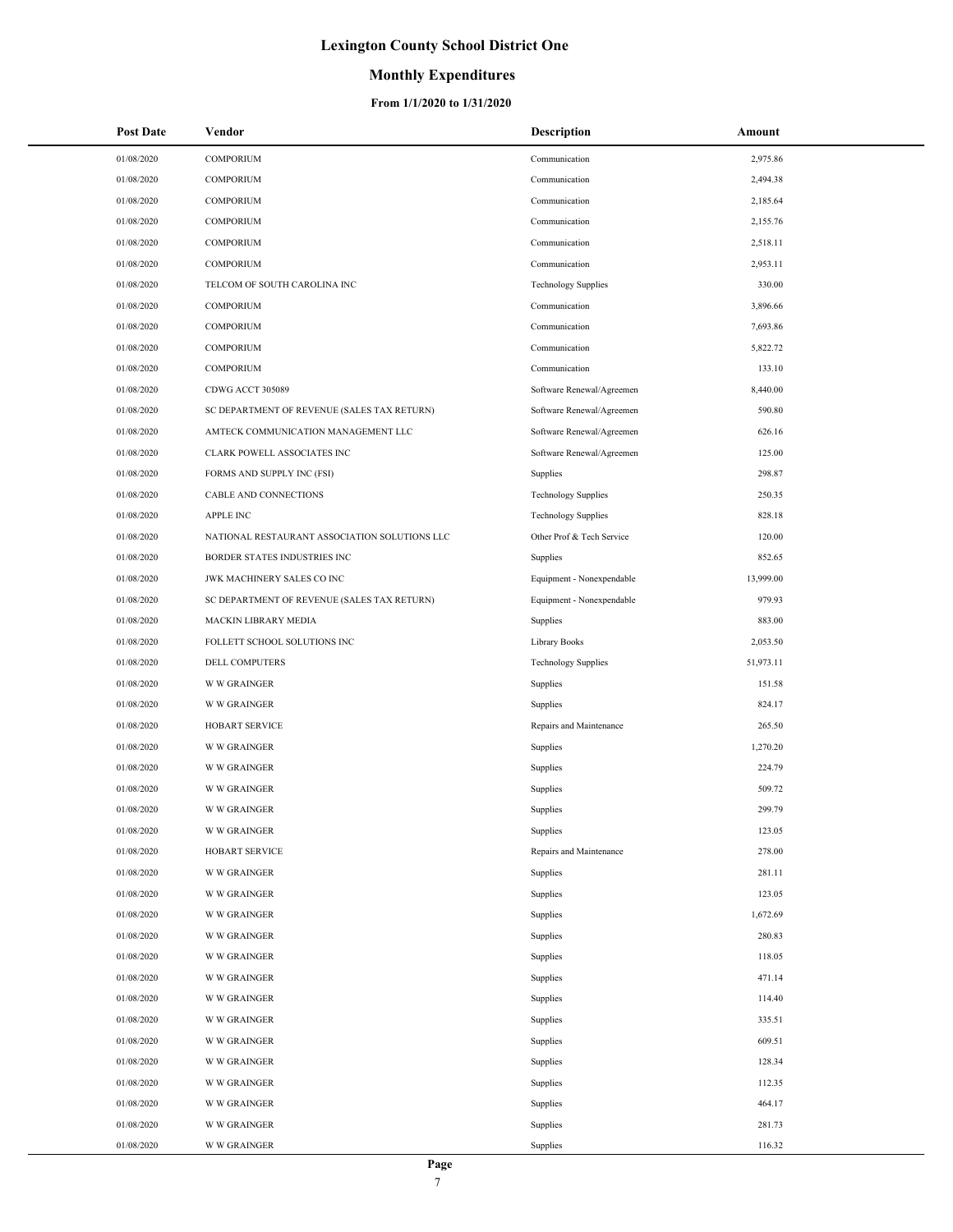### **Monthly Expenditures**

| <b>Post Date</b> | Vendor                                        | Description                | Amount    |
|------------------|-----------------------------------------------|----------------------------|-----------|
| 01/08/2020       | COMPORIUM                                     | Communication              | 2,975.86  |
| 01/08/2020       | <b>COMPORIUM</b>                              | Communication              | 2,494.38  |
| 01/08/2020       | <b>COMPORIUM</b>                              | Communication              | 2,185.64  |
| 01/08/2020       | <b>COMPORIUM</b>                              | Communication              | 2,155.76  |
| 01/08/2020       | <b>COMPORIUM</b>                              | Communication              | 2,518.11  |
| 01/08/2020       | <b>COMPORIUM</b>                              | Communication              | 2,953.11  |
| 01/08/2020       | TELCOM OF SOUTH CAROLINA INC                  | <b>Technology Supplies</b> | 330.00    |
| 01/08/2020       | <b>COMPORIUM</b>                              | Communication              | 3,896.66  |
| 01/08/2020       | <b>COMPORIUM</b>                              | Communication              | 7,693.86  |
| 01/08/2020       | <b>COMPORIUM</b>                              | Communication              | 5,822.72  |
| 01/08/2020       | <b>COMPORIUM</b>                              | Communication              | 133.10    |
| 01/08/2020       | CDWG ACCT 305089                              | Software Renewal/Agreemen  | 8,440.00  |
| 01/08/2020       | SC DEPARTMENT OF REVENUE (SALES TAX RETURN)   | Software Renewal/Agreemen  | 590.80    |
| 01/08/2020       | AMTECK COMMUNICATION MANAGEMENT LLC           | Software Renewal/Agreemen  | 626.16    |
| 01/08/2020       | CLARK POWELL ASSOCIATES INC                   | Software Renewal/Agreemen  | 125.00    |
| 01/08/2020       | FORMS AND SUPPLY INC (FSI)                    | Supplies                   | 298.87    |
| 01/08/2020       | CABLE AND CONNECTIONS                         | <b>Technology Supplies</b> | 250.35    |
| 01/08/2020       | <b>APPLE INC</b>                              | <b>Technology Supplies</b> | 828.18    |
| 01/08/2020       | NATIONAL RESTAURANT ASSOCIATION SOLUTIONS LLC | Other Prof & Tech Service  | 120.00    |
| 01/08/2020       | BORDER STATES INDUSTRIES INC                  | Supplies                   | 852.65    |
| 01/08/2020       | JWK MACHINERY SALES CO INC                    | Equipment - Nonexpendable  | 13,999.00 |
| 01/08/2020       | SC DEPARTMENT OF REVENUE (SALES TAX RETURN)   | Equipment - Nonexpendable  | 979.93    |
| 01/08/2020       | MACKIN LIBRARY MEDIA                          | Supplies                   | 883.00    |
| 01/08/2020       | FOLLETT SCHOOL SOLUTIONS INC                  | Library Books              | 2,053.50  |
| 01/08/2020       | DELL COMPUTERS                                | <b>Technology Supplies</b> | 51,973.11 |
| 01/08/2020       | <b>W W GRAINGER</b>                           | Supplies                   | 151.58    |
| 01/08/2020       | <b>W W GRAINGER</b>                           | Supplies                   | 824.17    |
| 01/08/2020       | <b>HOBART SERVICE</b>                         | Repairs and Maintenance    | 265.50    |
| 01/08/2020       | <b>W W GRAINGER</b>                           | Supplies                   | 1,270.20  |
| 01/08/2020       | <b>W W GRAINGER</b>                           | Supplies                   | 224.79    |
| 01/08/2020       | <b>W W GRAINGER</b>                           | Supplies                   | 509.72    |
| 01/08/2020       | <b>W W GRAINGER</b>                           | Supplies                   | 299.79    |
| 01/08/2020       | <b>W W GRAINGER</b>                           | Supplies                   | 123.05    |
| 01/08/2020       | <b>HOBART SERVICE</b>                         | Repairs and Maintenance    | 278.00    |
| 01/08/2020       | <b>W W GRAINGER</b>                           | Supplies                   | 281.11    |
| 01/08/2020       | <b>W W GRAINGER</b>                           | Supplies                   | 123.05    |
| 01/08/2020       | <b>W W GRAINGER</b>                           | Supplies                   | 1,672.69  |
| 01/08/2020       | <b>W W GRAINGER</b>                           | Supplies                   | 280.83    |
| 01/08/2020       | <b>W W GRAINGER</b>                           | Supplies                   | 118.05    |
| 01/08/2020       | <b>W W GRAINGER</b>                           | Supplies                   | 471.14    |
| 01/08/2020       | <b>W W GRAINGER</b>                           | Supplies                   | 114.40    |
| 01/08/2020       | <b>W W GRAINGER</b>                           | Supplies                   | 335.51    |
| 01/08/2020       | <b>W W GRAINGER</b>                           | Supplies                   | 609.51    |
| 01/08/2020       | <b>W W GRAINGER</b>                           | Supplies                   | 128.34    |
| 01/08/2020       | <b>W W GRAINGER</b>                           | Supplies                   | 112.35    |
| 01/08/2020       | <b>W W GRAINGER</b>                           | Supplies                   | 464.17    |
| 01/08/2020       | <b>W W GRAINGER</b>                           | Supplies                   | 281.73    |
| 01/08/2020       | <b>W W GRAINGER</b>                           | Supplies                   | 116.32    |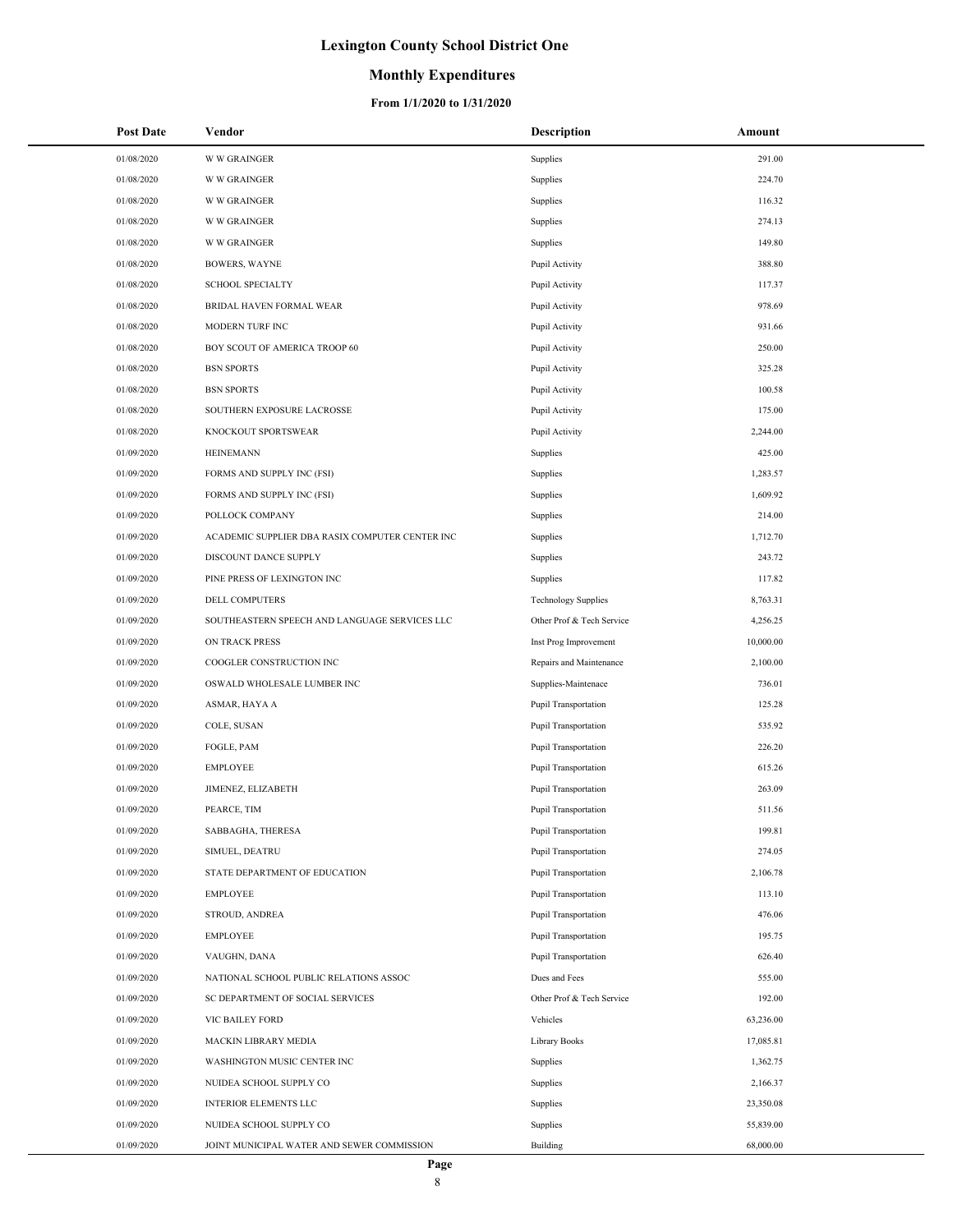### **Monthly Expenditures**

| <b>Post Date</b> | Vendor                                          | <b>Description</b>          | Amount    |
|------------------|-------------------------------------------------|-----------------------------|-----------|
| 01/08/2020       | <b>W W GRAINGER</b>                             | Supplies                    | 291.00    |
| 01/08/2020       | <b>W W GRAINGER</b>                             | Supplies                    | 224.70    |
| 01/08/2020       | <b>W W GRAINGER</b>                             | Supplies                    | 116.32    |
| 01/08/2020       | <b>W W GRAINGER</b>                             | Supplies                    | 274.13    |
| 01/08/2020       | <b>W W GRAINGER</b>                             | Supplies                    | 149.80    |
| 01/08/2020       | <b>BOWERS, WAYNE</b>                            | Pupil Activity              | 388.80    |
| 01/08/2020       | <b>SCHOOL SPECIALTY</b>                         | Pupil Activity              | 117.37    |
| 01/08/2020       | <b>BRIDAL HAVEN FORMAL WEAR</b>                 | Pupil Activity              | 978.69    |
| 01/08/2020       | MODERN TURF INC                                 | Pupil Activity              | 931.66    |
| 01/08/2020       | BOY SCOUT OF AMERICA TROOP 60                   | Pupil Activity              | 250.00    |
| 01/08/2020       | <b>BSN SPORTS</b>                               | Pupil Activity              | 325.28    |
| 01/08/2020       | <b>BSN SPORTS</b>                               | Pupil Activity              | 100.58    |
| 01/08/2020       | SOUTHERN EXPOSURE LACROSSE                      | Pupil Activity              | 175.00    |
| 01/08/2020       | KNOCKOUT SPORTSWEAR                             | Pupil Activity              | 2,244.00  |
| 01/09/2020       | <b>HEINEMANN</b>                                | Supplies                    | 425.00    |
| 01/09/2020       | FORMS AND SUPPLY INC (FSI)                      | Supplies                    | 1,283.57  |
| 01/09/2020       | FORMS AND SUPPLY INC (FSI)                      | Supplies                    | 1,609.92  |
| 01/09/2020       | POLLOCK COMPANY                                 | Supplies                    | 214.00    |
| 01/09/2020       | ACADEMIC SUPPLIER DBA RASIX COMPUTER CENTER INC | Supplies                    | 1,712.70  |
| 01/09/2020       | DISCOUNT DANCE SUPPLY                           | Supplies                    | 243.72    |
| 01/09/2020       | PINE PRESS OF LEXINGTON INC                     | Supplies                    | 117.82    |
| 01/09/2020       | DELL COMPUTERS                                  | <b>Technology Supplies</b>  | 8,763.31  |
| 01/09/2020       | SOUTHEASTERN SPEECH AND LANGUAGE SERVICES LLC   | Other Prof & Tech Service   | 4,256.25  |
| 01/09/2020       | ON TRACK PRESS                                  | Inst Prog Improvement       | 10,000.00 |
| 01/09/2020       | COOGLER CONSTRUCTION INC                        | Repairs and Maintenance     | 2,100.00  |
| 01/09/2020       | OSWALD WHOLESALE LUMBER INC                     | Supplies-Maintenace         | 736.01    |
| 01/09/2020       | ASMAR, HAYA A                                   | <b>Pupil Transportation</b> | 125.28    |
| 01/09/2020       | COLE, SUSAN                                     | <b>Pupil Transportation</b> | 535.92    |
| 01/09/2020       | FOGLE, PAM                                      | Pupil Transportation        | 226.20    |
| 01/09/2020       | <b>EMPLOYEE</b>                                 | Pupil Transportation        | 615.26    |
| 01/09/2020       | JIMENEZ, ELIZABETH                              | Pupil Transportation        | 263.09    |
| 01/09/2020       | PEARCE, TIM                                     | <b>Pupil Transportation</b> | 511.56    |
| 01/09/2020       | SABBAGHA, THERESA                               | Pupil Transportation        | 199.81    |
| 01/09/2020       | SIMUEL, DEATRU                                  | <b>Pupil Transportation</b> | 274.05    |
|                  | STATE DEPARTMENT OF EDUCATION                   | Pupil Transportation        |           |
| 01/09/2020       |                                                 |                             | 2,106.78  |
| 01/09/2020       | <b>EMPLOYEE</b>                                 | <b>Pupil Transportation</b> | 113.10    |
| 01/09/2020       | STROUD, ANDREA                                  | <b>Pupil Transportation</b> | 476.06    |
| 01/09/2020       | <b>EMPLOYEE</b>                                 | <b>Pupil Transportation</b> | 195.75    |
| 01/09/2020       | VAUGHN, DANA                                    | <b>Pupil Transportation</b> | 626.40    |
| 01/09/2020       | NATIONAL SCHOOL PUBLIC RELATIONS ASSOC          | Dues and Fees               | 555.00    |
| 01/09/2020       | SC DEPARTMENT OF SOCIAL SERVICES                | Other Prof & Tech Service   | 192.00    |
| 01/09/2020       | VIC BAILEY FORD                                 | Vehicles                    | 63,236.00 |
| 01/09/2020       | MACKIN LIBRARY MEDIA                            | Library Books               | 17,085.81 |
| 01/09/2020       | WASHINGTON MUSIC CENTER INC                     | Supplies                    | 1,362.75  |
| 01/09/2020       | NUIDEA SCHOOL SUPPLY CO                         | Supplies                    | 2,166.37  |
| 01/09/2020       | INTERIOR ELEMENTS LLC                           | Supplies                    | 23,350.08 |
| 01/09/2020       | NUIDEA SCHOOL SUPPLY CO                         | Supplies                    | 55,839.00 |
| 01/09/2020       | JOINT MUNICIPAL WATER AND SEWER COMMISSION      | Building                    | 68,000.00 |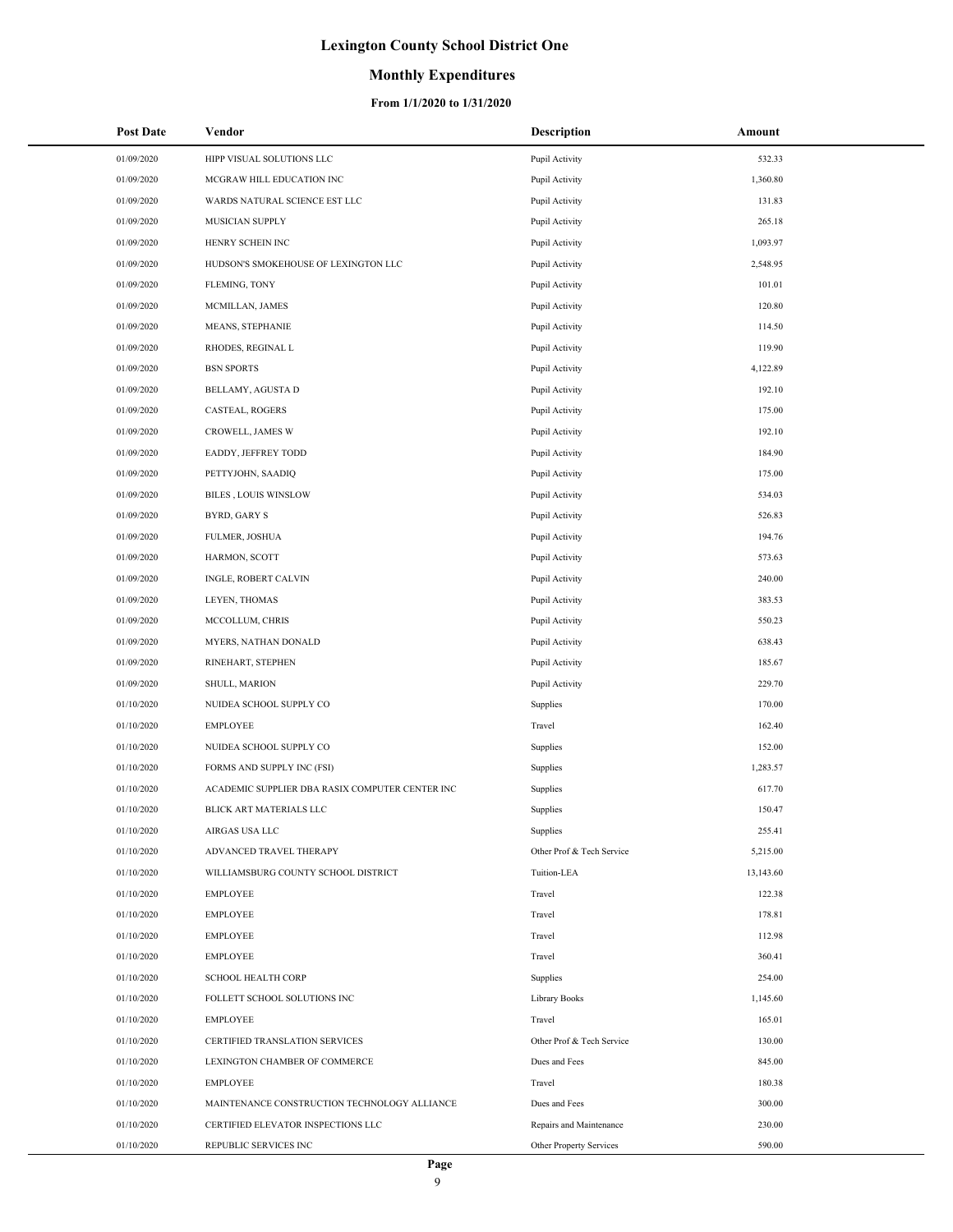### **Monthly Expenditures**

| <b>Post Date</b> | Vendor                                          | <b>Description</b>        | Amount    |
|------------------|-------------------------------------------------|---------------------------|-----------|
| 01/09/2020       | HIPP VISUAL SOLUTIONS LLC                       | Pupil Activity            | 532.33    |
| 01/09/2020       | MCGRAW HILL EDUCATION INC                       | Pupil Activity            | 1,360.80  |
| 01/09/2020       | WARDS NATURAL SCIENCE EST LLC                   | Pupil Activity            | 131.83    |
| 01/09/2020       | MUSICIAN SUPPLY                                 | Pupil Activity            | 265.18    |
| 01/09/2020       | HENRY SCHEIN INC                                | Pupil Activity            | 1,093.97  |
| 01/09/2020       | HUDSON'S SMOKEHOUSE OF LEXINGTON LLC            | Pupil Activity            | 2,548.95  |
| 01/09/2020       | FLEMING, TONY                                   | Pupil Activity            | 101.01    |
| 01/09/2020       | MCMILLAN, JAMES                                 | Pupil Activity            | 120.80    |
| 01/09/2020       | MEANS, STEPHANIE                                | Pupil Activity            | 114.50    |
| 01/09/2020       | RHODES, REGINAL L                               | Pupil Activity            | 119.90    |
| 01/09/2020       | <b>BSN SPORTS</b>                               | Pupil Activity            | 4,122.89  |
| 01/09/2020       | BELLAMY, AGUSTA D                               | Pupil Activity            | 192.10    |
| 01/09/2020       | CASTEAL, ROGERS                                 | Pupil Activity            | 175.00    |
| 01/09/2020       | <b>CROWELL, JAMES W</b>                         | Pupil Activity            | 192.10    |
| 01/09/2020       | EADDY, JEFFREY TODD                             | Pupil Activity            | 184.90    |
| 01/09/2020       | PETTYJOHN, SAADIQ                               | Pupil Activity            | 175.00    |
| 01/09/2020       | BILES, LOUIS WINSLOW                            | Pupil Activity            | 534.03    |
| 01/09/2020       | BYRD, GARY S                                    | Pupil Activity            | 526.83    |
| 01/09/2020       | <b>FULMER, JOSHUA</b>                           | Pupil Activity            | 194.76    |
| 01/09/2020       | HARMON, SCOTT                                   | Pupil Activity            | 573.63    |
| 01/09/2020       | INGLE, ROBERT CALVIN                            | Pupil Activity            | 240.00    |
| 01/09/2020       | LEYEN, THOMAS                                   | Pupil Activity            | 383.53    |
| 01/09/2020       | MCCOLLUM, CHRIS                                 | Pupil Activity            | 550.23    |
| 01/09/2020       | MYERS, NATHAN DONALD                            | Pupil Activity            | 638.43    |
| 01/09/2020       | RINEHART, STEPHEN                               | Pupil Activity            | 185.67    |
| 01/09/2020       | SHULL, MARION                                   | Pupil Activity            | 229.70    |
| 01/10/2020       | NUIDEA SCHOOL SUPPLY CO                         | Supplies                  | 170.00    |
| 01/10/2020       | <b>EMPLOYEE</b>                                 | Travel                    | 162.40    |
| 01/10/2020       | NUIDEA SCHOOL SUPPLY CO                         | Supplies                  | 152.00    |
| 01/10/2020       | FORMS AND SUPPLY INC (FSI)                      | Supplies                  | 1,283.57  |
| 01/10/2020       | ACADEMIC SUPPLIER DBA RASIX COMPUTER CENTER INC | Supplies                  | 617.70    |
| 01/10/2020       | BLICK ART MATERIALS LLC                         | Supplies                  | 150.47    |
| 01/10/2020       | AIRGAS USA LLC                                  | Supplies                  | 255.41    |
| 01/10/2020       | ADVANCED TRAVEL THERAPY                         | Other Prof & Tech Service | 5,215.00  |
| 01/10/2020       | WILLIAMSBURG COUNTY SCHOOL DISTRICT             | Tuition-LEA               | 13,143.60 |
| 01/10/2020       | EMPLOYEE                                        | Travel                    | 122.38    |
| 01/10/2020       | <b>EMPLOYEE</b>                                 | Travel                    | 178.81    |
| 01/10/2020       | <b>EMPLOYEE</b>                                 | Travel                    | 112.98    |
| 01/10/2020       | <b>EMPLOYEE</b>                                 | Travel                    | 360.41    |
| 01/10/2020       | <b>SCHOOL HEALTH CORP</b>                       | Supplies                  | 254.00    |
| 01/10/2020       | FOLLETT SCHOOL SOLUTIONS INC                    | Library Books             | 1,145.60  |
| 01/10/2020       | <b>EMPLOYEE</b>                                 | Travel                    | 165.01    |
| 01/10/2020       | CERTIFIED TRANSLATION SERVICES                  | Other Prof & Tech Service | 130.00    |
| 01/10/2020       | LEXINGTON CHAMBER OF COMMERCE                   | Dues and Fees             | 845.00    |
| 01/10/2020       | <b>EMPLOYEE</b>                                 | Travel                    | 180.38    |
| 01/10/2020       | MAINTENANCE CONSTRUCTION TECHNOLOGY ALLIANCE    | Dues and Fees             | 300.00    |
| 01/10/2020       | CERTIFIED ELEVATOR INSPECTIONS LLC              | Repairs and Maintenance   | 230.00    |
| 01/10/2020       | REPUBLIC SERVICES INC                           | Other Property Services   | 590.00    |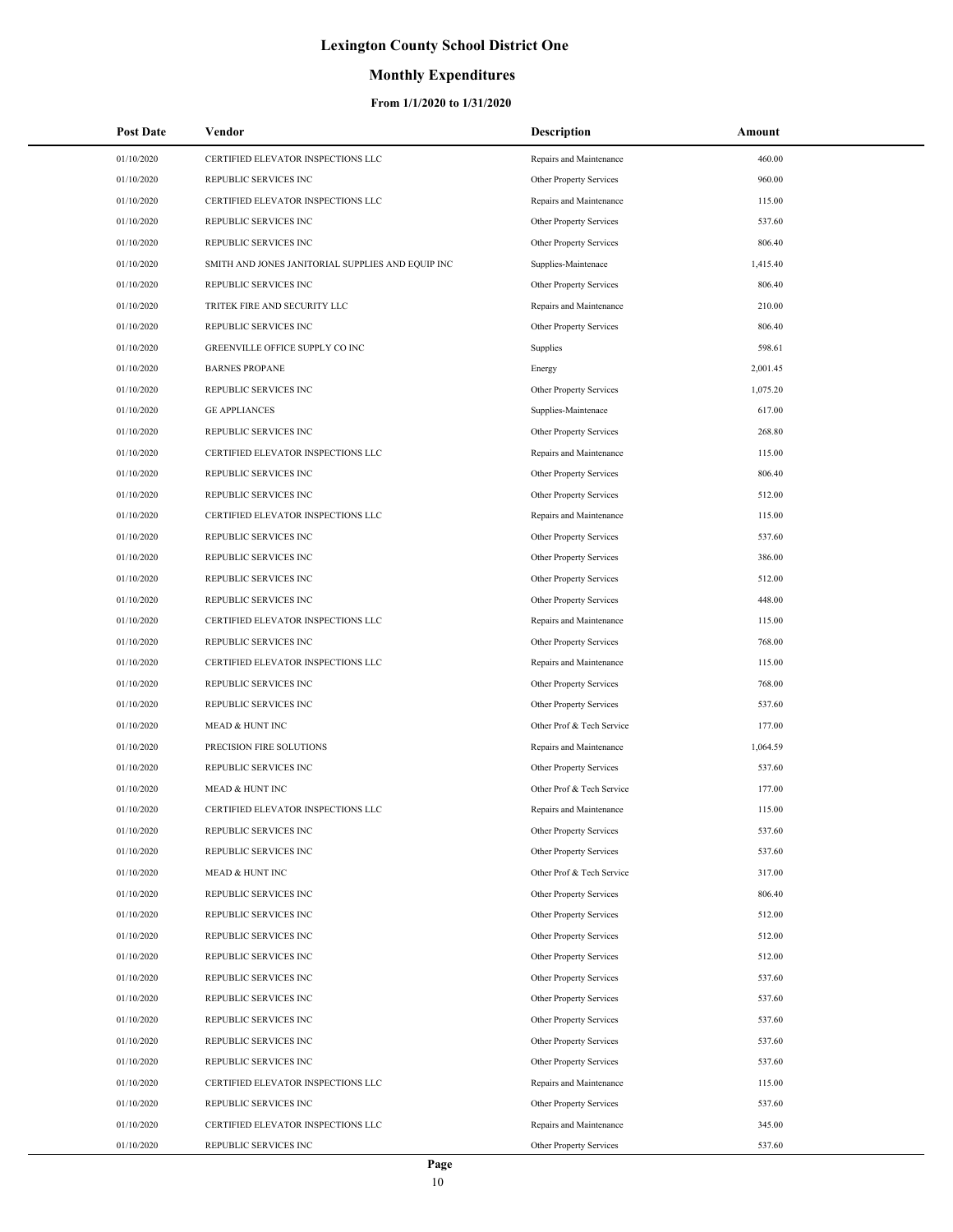### **Monthly Expenditures**

| <b>Post Date</b> | Vendor                                            | Description               | Amount   |
|------------------|---------------------------------------------------|---------------------------|----------|
| 01/10/2020       | CERTIFIED ELEVATOR INSPECTIONS LLC                | Repairs and Maintenance   | 460.00   |
| 01/10/2020       | REPUBLIC SERVICES INC                             | Other Property Services   | 960.00   |
| 01/10/2020       | CERTIFIED ELEVATOR INSPECTIONS LLC                | Repairs and Maintenance   | 115.00   |
| 01/10/2020       | REPUBLIC SERVICES INC                             | Other Property Services   | 537.60   |
| 01/10/2020       | REPUBLIC SERVICES INC                             | Other Property Services   | 806.40   |
| 01/10/2020       | SMITH AND JONES JANITORIAL SUPPLIES AND EQUIP INC | Supplies-Maintenace       | 1,415.40 |
| 01/10/2020       | REPUBLIC SERVICES INC                             | Other Property Services   | 806.40   |
| 01/10/2020       | TRITEK FIRE AND SECURITY LLC                      | Repairs and Maintenance   | 210.00   |
| 01/10/2020       | REPUBLIC SERVICES INC                             | Other Property Services   | 806.40   |
| 01/10/2020       | GREENVILLE OFFICE SUPPLY CO INC                   | Supplies                  | 598.61   |
| 01/10/2020       | <b>BARNES PROPANE</b>                             | Energy                    | 2,001.45 |
| 01/10/2020       | REPUBLIC SERVICES INC                             | Other Property Services   | 1,075.20 |
| 01/10/2020       | <b>GE APPLIANCES</b>                              | Supplies-Maintenace       | 617.00   |
| 01/10/2020       | REPUBLIC SERVICES INC                             | Other Property Services   | 268.80   |
| 01/10/2020       | CERTIFIED ELEVATOR INSPECTIONS LLC                | Repairs and Maintenance   | 115.00   |
| 01/10/2020       | REPUBLIC SERVICES INC                             | Other Property Services   | 806.40   |
| 01/10/2020       | <b>REPUBLIC SERVICES INC</b>                      | Other Property Services   | 512.00   |
| 01/10/2020       | CERTIFIED ELEVATOR INSPECTIONS LLC                | Repairs and Maintenance   | 115.00   |
| 01/10/2020       | REPUBLIC SERVICES INC                             | Other Property Services   | 537.60   |
| 01/10/2020       | REPUBLIC SERVICES INC                             | Other Property Services   | 386.00   |
| 01/10/2020       | REPUBLIC SERVICES INC                             | Other Property Services   | 512.00   |
| 01/10/2020       | REPUBLIC SERVICES INC                             | Other Property Services   | 448.00   |
| 01/10/2020       | CERTIFIED ELEVATOR INSPECTIONS LLC                | Repairs and Maintenance   | 115.00   |
| 01/10/2020       | REPUBLIC SERVICES INC                             | Other Property Services   | 768.00   |
| 01/10/2020       | CERTIFIED ELEVATOR INSPECTIONS LLC                | Repairs and Maintenance   | 115.00   |
| 01/10/2020       | REPUBLIC SERVICES INC                             | Other Property Services   | 768.00   |
| 01/10/2020       | REPUBLIC SERVICES INC                             | Other Property Services   | 537.60   |
| 01/10/2020       | <b>MEAD &amp; HUNT INC</b>                        | Other Prof & Tech Service | 177.00   |
| 01/10/2020       | PRECISION FIRE SOLUTIONS                          | Repairs and Maintenance   | 1,064.59 |
| 01/10/2020       | REPUBLIC SERVICES INC                             | Other Property Services   | 537.60   |
| 01/10/2020       | <b>MEAD &amp; HUNT INC</b>                        | Other Prof & Tech Service | 177.00   |
| 01/10/2020       | CERTIFIED ELEVATOR INSPECTIONS LLC                | Repairs and Maintenance   | 115.00   |
| 01/10/2020       | REPUBLIC SERVICES INC                             | Other Property Services   | 537.60   |
| 01/10/2020       | REPUBLIC SERVICES INC                             | Other Property Services   | 537.60   |
| 01/10/2020       | MEAD & HUNT INC                                   | Other Prof & Tech Service | 317.00   |
| 01/10/2020       | REPUBLIC SERVICES INC                             | Other Property Services   | 806.40   |
| 01/10/2020       | REPUBLIC SERVICES INC                             | Other Property Services   | 512.00   |
| 01/10/2020       | REPUBLIC SERVICES INC                             | Other Property Services   | 512.00   |
| 01/10/2020       | REPUBLIC SERVICES INC                             | Other Property Services   | 512.00   |
| 01/10/2020       | REPUBLIC SERVICES INC                             | Other Property Services   | 537.60   |
| 01/10/2020       | REPUBLIC SERVICES INC                             | Other Property Services   | 537.60   |
| 01/10/2020       | REPUBLIC SERVICES INC                             | Other Property Services   | 537.60   |
| 01/10/2020       | REPUBLIC SERVICES INC                             | Other Property Services   | 537.60   |
| 01/10/2020       | REPUBLIC SERVICES INC                             | Other Property Services   | 537.60   |
| 01/10/2020       | CERTIFIED ELEVATOR INSPECTIONS LLC                | Repairs and Maintenance   | 115.00   |
| 01/10/2020       | REPUBLIC SERVICES INC                             | Other Property Services   | 537.60   |
| 01/10/2020       | CERTIFIED ELEVATOR INSPECTIONS LLC                | Repairs and Maintenance   | 345.00   |
| 01/10/2020       | REPUBLIC SERVICES INC                             | Other Property Services   | 537.60   |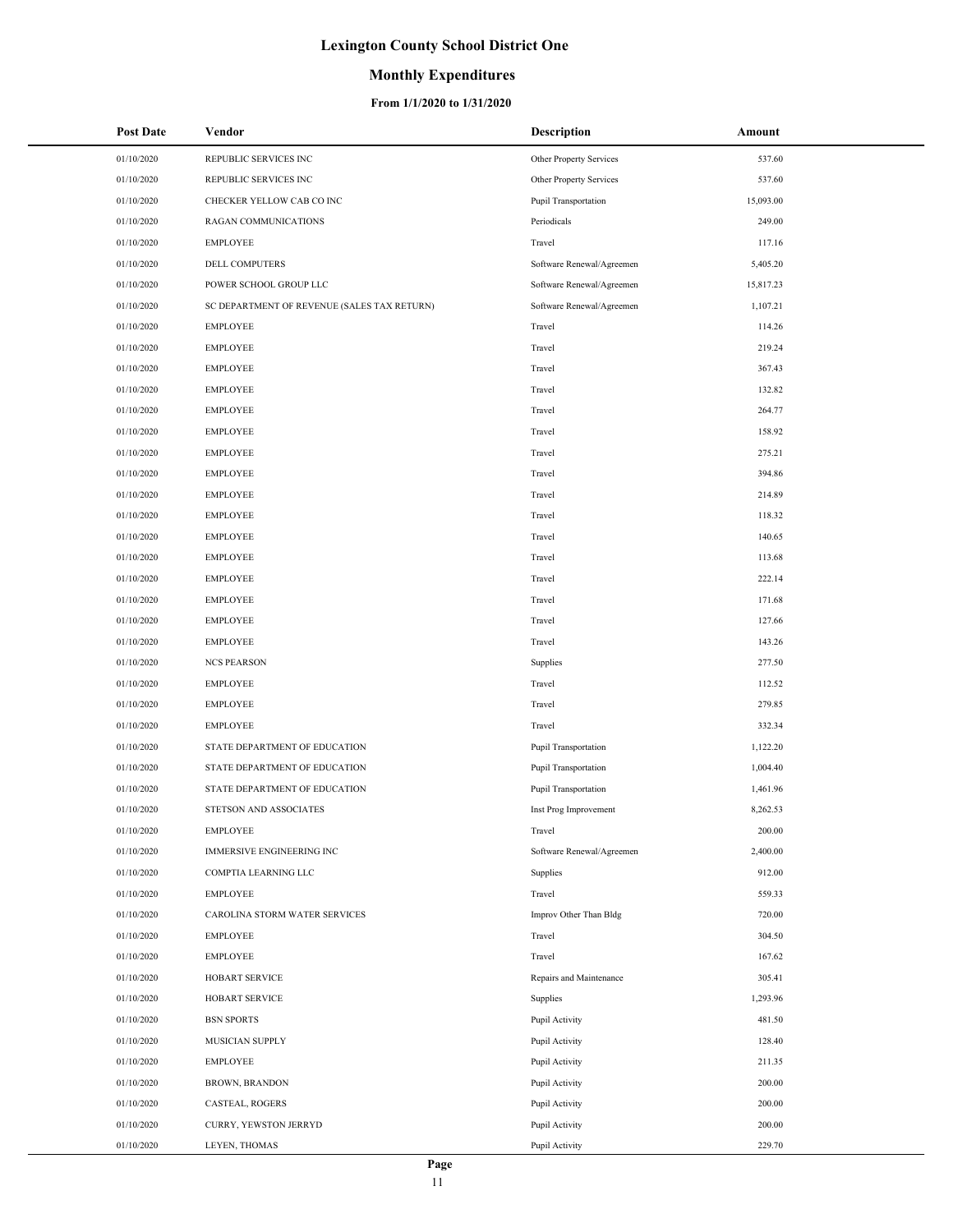### **Monthly Expenditures**

| <b>Post Date</b> | Vendor                                      | <b>Description</b>          | Amount    |
|------------------|---------------------------------------------|-----------------------------|-----------|
| 01/10/2020       | REPUBLIC SERVICES INC                       | Other Property Services     | 537.60    |
| 01/10/2020       | REPUBLIC SERVICES INC                       | Other Property Services     | 537.60    |
| 01/10/2020       | CHECKER YELLOW CAB CO INC                   | Pupil Transportation        | 15,093.00 |
| 01/10/2020       | <b>RAGAN COMMUNICATIONS</b>                 | Periodicals                 | 249.00    |
| 01/10/2020       | <b>EMPLOYEE</b>                             | Travel                      | 117.16    |
| 01/10/2020       | DELL COMPUTERS                              | Software Renewal/Agreemen   | 5,405.20  |
| 01/10/2020       | POWER SCHOOL GROUP LLC                      | Software Renewal/Agreemen   | 15,817.23 |
| 01/10/2020       | SC DEPARTMENT OF REVENUE (SALES TAX RETURN) | Software Renewal/Agreemen   | 1,107.21  |
| 01/10/2020       | <b>EMPLOYEE</b>                             | Travel                      | 114.26    |
| 01/10/2020       | <b>EMPLOYEE</b>                             | Travel                      | 219.24    |
| 01/10/2020       | <b>EMPLOYEE</b>                             | Travel                      | 367.43    |
| 01/10/2020       | <b>EMPLOYEE</b>                             | Travel                      | 132.82    |
| 01/10/2020       | <b>EMPLOYEE</b>                             | Travel                      | 264.77    |
| 01/10/2020       | <b>EMPLOYEE</b>                             | Travel                      | 158.92    |
| 01/10/2020       | <b>EMPLOYEE</b>                             | Travel                      | 275.21    |
| 01/10/2020       | <b>EMPLOYEE</b>                             | Travel                      | 394.86    |
| 01/10/2020       | <b>EMPLOYEE</b>                             | Travel                      | 214.89    |
| 01/10/2020       | <b>EMPLOYEE</b>                             | Travel                      | 118.32    |
| 01/10/2020       | <b>EMPLOYEE</b>                             | Travel                      | 140.65    |
| 01/10/2020       | <b>EMPLOYEE</b>                             | Travel                      | 113.68    |
| 01/10/2020       | <b>EMPLOYEE</b>                             | Travel                      | 222.14    |
| 01/10/2020       | <b>EMPLOYEE</b>                             | Travel                      | 171.68    |
| 01/10/2020       | <b>EMPLOYEE</b>                             | Travel                      | 127.66    |
| 01/10/2020       | <b>EMPLOYEE</b>                             | Travel                      | 143.26    |
| 01/10/2020       | <b>NCS PEARSON</b>                          | Supplies                    | 277.50    |
| 01/10/2020       | <b>EMPLOYEE</b>                             | Travel                      | 112.52    |
| 01/10/2020       | <b>EMPLOYEE</b>                             | Travel                      | 279.85    |
| 01/10/2020       | <b>EMPLOYEE</b>                             | Travel                      | 332.34    |
| 01/10/2020       | STATE DEPARTMENT OF EDUCATION               | Pupil Transportation        | 1,122.20  |
| 01/10/2020       | STATE DEPARTMENT OF EDUCATION               | <b>Pupil Transportation</b> | 1,004.40  |
| 01/10/2020       | STATE DEPARTMENT OF EDUCATION               | <b>Pupil Transportation</b> | 1,461.96  |
| 01/10/2020       | STETSON AND ASSOCIATES                      | Inst Prog Improvement       | 8.262.53  |
| 01/10/2020       | <b>EMPLOYEE</b>                             | Travel                      | 200.00    |
| 01/10/2020       | <b>IMMERSIVE ENGINEERING INC</b>            | Software Renewal/Agreemen   | 2,400.00  |
| 01/10/2020       | COMPTIA LEARNING LLC                        | Supplies                    | 912.00    |
| 01/10/2020       | <b>EMPLOYEE</b>                             | Travel                      | 559.33    |
| 01/10/2020       | CAROLINA STORM WATER SERVICES               | Improv Other Than Bldg      | 720.00    |
| 01/10/2020       | <b>EMPLOYEE</b>                             | Travel                      | 304.50    |
| 01/10/2020       | <b>EMPLOYEE</b>                             | Travel                      | 167.62    |
| 01/10/2020       | HOBART SERVICE                              | Repairs and Maintenance     | 305.41    |
| 01/10/2020       | HOBART SERVICE                              | Supplies                    | 1,293.96  |
| 01/10/2020       | <b>BSN SPORTS</b>                           | Pupil Activity              | 481.50    |
| 01/10/2020       | MUSICIAN SUPPLY                             | Pupil Activity              | 128.40    |
| 01/10/2020       | <b>EMPLOYEE</b>                             | Pupil Activity              | 211.35    |
| 01/10/2020       | <b>BROWN, BRANDON</b>                       | Pupil Activity              | 200.00    |
| 01/10/2020       | CASTEAL, ROGERS                             | Pupil Activity              | 200.00    |
| 01/10/2020       | CURRY, YEWSTON JERRYD                       | Pupil Activity              | 200.00    |
| 01/10/2020       | LEYEN, THOMAS                               | Pupil Activity              | 229.70    |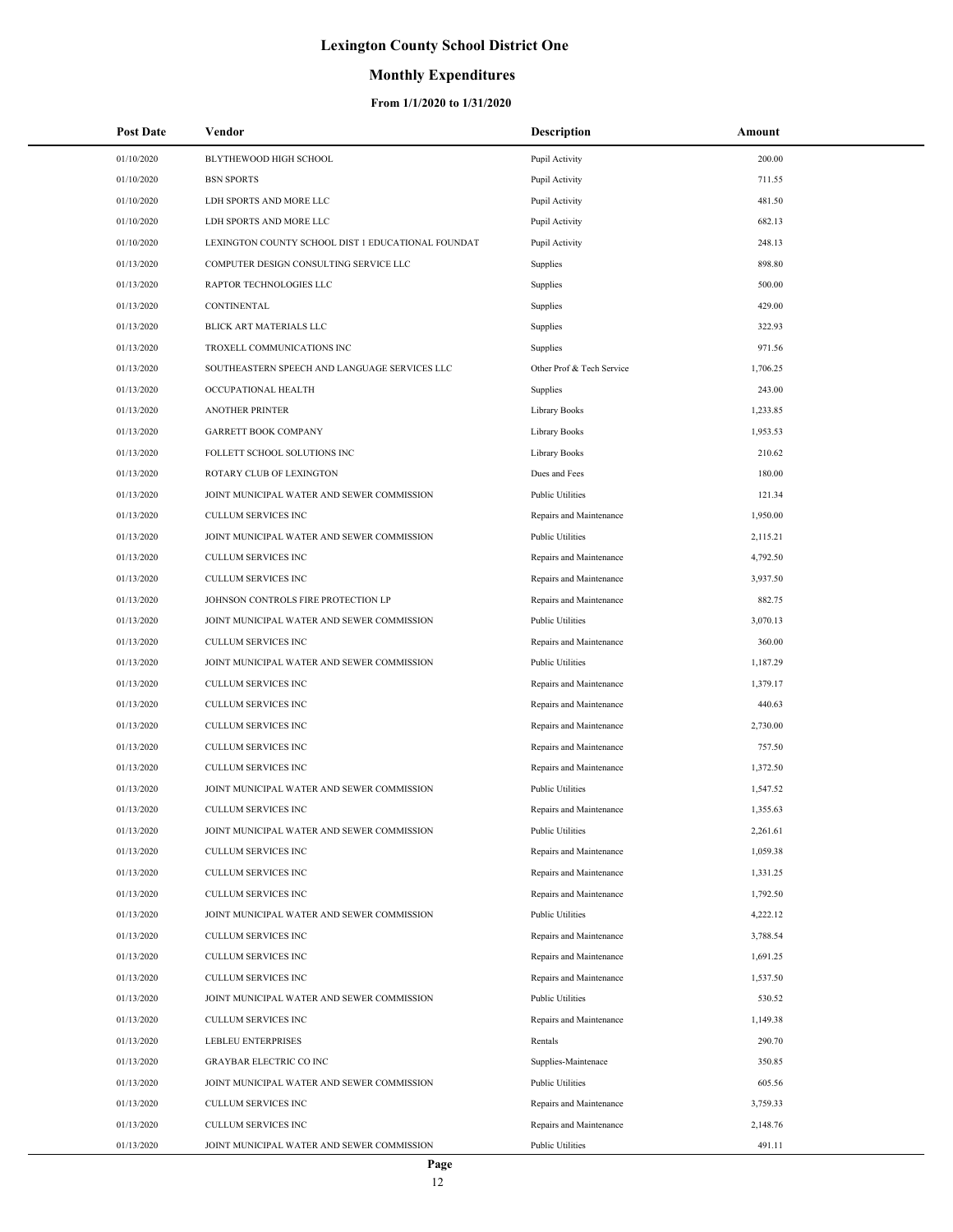### **Monthly Expenditures**

| <b>Post Date</b> | Vendor                                             | <b>Description</b>        | Amount   |
|------------------|----------------------------------------------------|---------------------------|----------|
| 01/10/2020       | BLYTHEWOOD HIGH SCHOOL                             | Pupil Activity            | 200.00   |
| 01/10/2020       | <b>BSN SPORTS</b>                                  | Pupil Activity            | 711.55   |
| 01/10/2020       | LDH SPORTS AND MORE LLC                            | Pupil Activity            | 481.50   |
| 01/10/2020       | LDH SPORTS AND MORE LLC                            | Pupil Activity            | 682.13   |
| 01/10/2020       | LEXINGTON COUNTY SCHOOL DIST 1 EDUCATIONAL FOUNDAT | Pupil Activity            | 248.13   |
| 01/13/2020       | COMPUTER DESIGN CONSULTING SERVICE LLC             | Supplies                  | 898.80   |
| 01/13/2020       | RAPTOR TECHNOLOGIES LLC                            | Supplies                  | 500.00   |
| 01/13/2020       | CONTINENTAL                                        | Supplies                  | 429.00   |
| 01/13/2020       | BLICK ART MATERIALS LLC                            | Supplies                  | 322.93   |
| 01/13/2020       | TROXELL COMMUNICATIONS INC                         | Supplies                  | 971.56   |
| 01/13/2020       | SOUTHEASTERN SPEECH AND LANGUAGE SERVICES LLC      | Other Prof & Tech Service | 1,706.25 |
| 01/13/2020       | OCCUPATIONAL HEALTH                                | Supplies                  | 243.00   |
| 01/13/2020       | <b>ANOTHER PRINTER</b>                             | Library Books             | 1,233.85 |
| 01/13/2020       | <b>GARRETT BOOK COMPANY</b>                        | <b>Library Books</b>      | 1,953.53 |
| 01/13/2020       | FOLLETT SCHOOL SOLUTIONS INC                       | Library Books             | 210.62   |
| 01/13/2020       | ROTARY CLUB OF LEXINGTON                           | Dues and Fees             | 180.00   |
| 01/13/2020       | JOINT MUNICIPAL WATER AND SEWER COMMISSION         | <b>Public Utilities</b>   | 121.34   |
| 01/13/2020       | <b>CULLUM SERVICES INC</b>                         | Repairs and Maintenance   | 1,950.00 |
| 01/13/2020       | JOINT MUNICIPAL WATER AND SEWER COMMISSION         | <b>Public Utilities</b>   | 2,115.21 |
| 01/13/2020       | CULLUM SERVICES INC                                | Repairs and Maintenance   | 4,792.50 |
| 01/13/2020       | CULLUM SERVICES INC                                | Repairs and Maintenance   | 3,937.50 |
| 01/13/2020       | JOHNSON CONTROLS FIRE PROTECTION LP                | Repairs and Maintenance   | 882.75   |
| 01/13/2020       | JOINT MUNICIPAL WATER AND SEWER COMMISSION         | <b>Public Utilities</b>   | 3,070.13 |
| 01/13/2020       | CULLUM SERVICES INC                                | Repairs and Maintenance   | 360.00   |
| 01/13/2020       | JOINT MUNICIPAL WATER AND SEWER COMMISSION         | <b>Public Utilities</b>   | 1,187.29 |
| 01/13/2020       | CULLUM SERVICES INC                                | Repairs and Maintenance   | 1,379.17 |
| 01/13/2020       | CULLUM SERVICES INC                                | Repairs and Maintenance   | 440.63   |
| 01/13/2020       | CULLUM SERVICES INC                                | Repairs and Maintenance   | 2,730.00 |
| 01/13/2020       | CULLUM SERVICES INC                                | Repairs and Maintenance   | 757.50   |
| 01/13/2020       | CULLUM SERVICES INC                                | Repairs and Maintenance   | 1,372.50 |
| 01/13/2020       | JOINT MUNICIPAL WATER AND SEWER COMMISSION         | <b>Public Utilities</b>   | 1.547.52 |
| 01/13/2020       | <b>CULLUM SERVICES INC</b>                         | Repairs and Maintenance   | 1,355.63 |
| 01/13/2020       | JOINT MUNICIPAL WATER AND SEWER COMMISSION         | <b>Public Utilities</b>   | 2,261.61 |
| 01/13/2020       | CULLUM SERVICES INC                                | Repairs and Maintenance   | 1,059.38 |
| 01/13/2020       | <b>CULLUM SERVICES INC</b>                         | Repairs and Maintenance   | 1,331.25 |
| 01/13/2020       | CULLUM SERVICES INC                                | Repairs and Maintenance   | 1,792.50 |
| 01/13/2020       | JOINT MUNICIPAL WATER AND SEWER COMMISSION         | <b>Public Utilities</b>   | 4,222.12 |
| 01/13/2020       | CULLUM SERVICES INC                                | Repairs and Maintenance   | 3,788.54 |
| 01/13/2020       | CULLUM SERVICES INC                                | Repairs and Maintenance   | 1,691.25 |
| 01/13/2020       | CULLUM SERVICES INC                                | Repairs and Maintenance   | 1,537.50 |
| 01/13/2020       | JOINT MUNICIPAL WATER AND SEWER COMMISSION         | <b>Public Utilities</b>   | 530.52   |
| 01/13/2020       | CULLUM SERVICES INC                                | Repairs and Maintenance   | 1,149.38 |
| 01/13/2020       | <b>LEBLEU ENTERPRISES</b>                          | Rentals                   | 290.70   |
| 01/13/2020       | <b>GRAYBAR ELECTRIC CO INC</b>                     | Supplies-Maintenace       | 350.85   |
| 01/13/2020       | JOINT MUNICIPAL WATER AND SEWER COMMISSION         | <b>Public Utilities</b>   | 605.56   |
| 01/13/2020       | CULLUM SERVICES INC                                | Repairs and Maintenance   | 3,759.33 |
| 01/13/2020       | CULLUM SERVICES INC                                | Repairs and Maintenance   | 2,148.76 |
| 01/13/2020       | JOINT MUNICIPAL WATER AND SEWER COMMISSION         | <b>Public Utilities</b>   | 491.11   |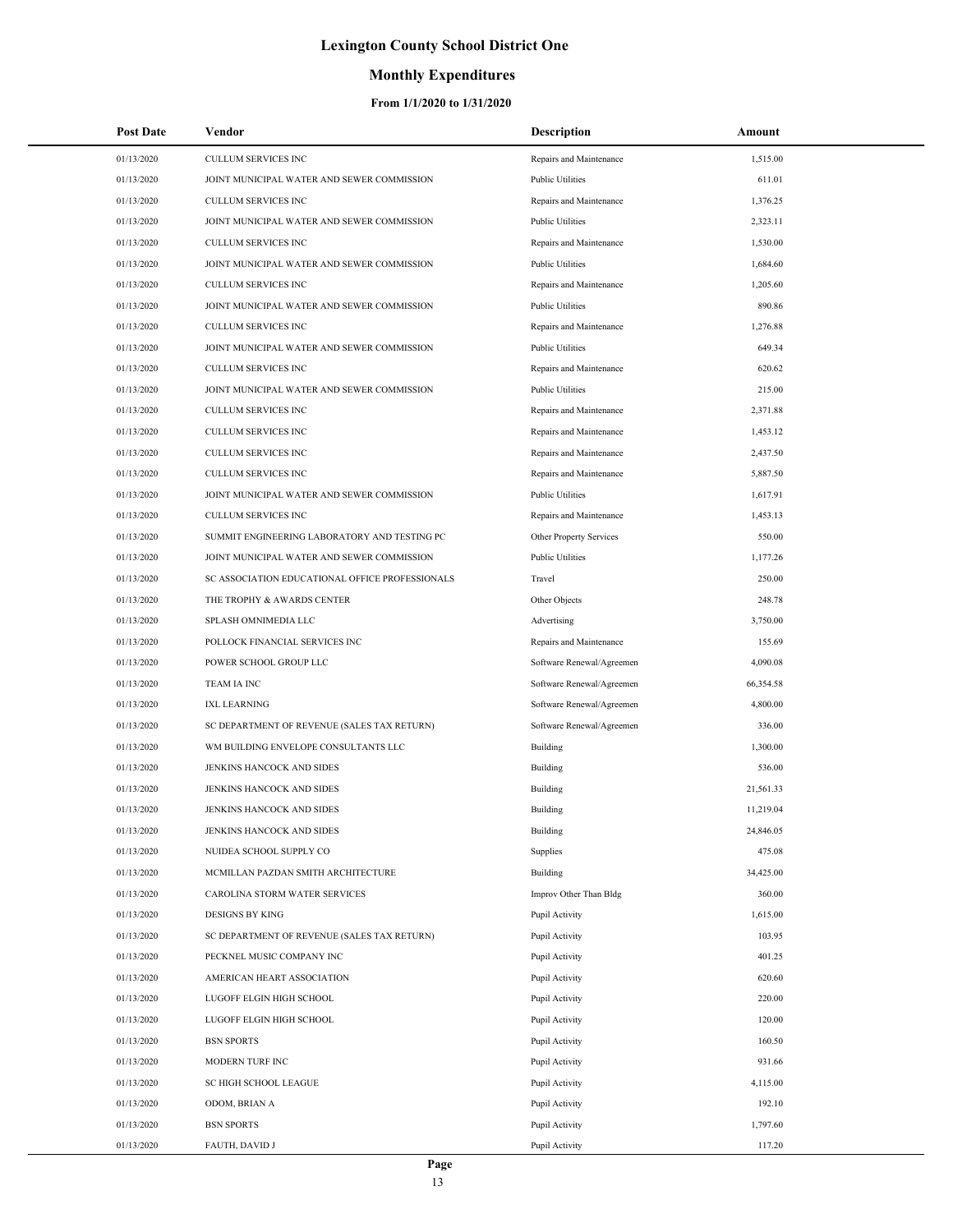## **Monthly Expenditures**

| <b>Post Date</b> | Vendor                                          | <b>Description</b>        | Amount    |
|------------------|-------------------------------------------------|---------------------------|-----------|
| 01/13/2020       | CULLUM SERVICES INC                             | Repairs and Maintenance   | 1,515.00  |
| 01/13/2020       | JOINT MUNICIPAL WATER AND SEWER COMMISSION      | <b>Public Utilities</b>   | 611.01    |
| 01/13/2020       | CULLUM SERVICES INC                             | Repairs and Maintenance   | 1,376.25  |
| 01/13/2020       | JOINT MUNICIPAL WATER AND SEWER COMMISSION      | <b>Public Utilities</b>   | 2,323.11  |
| 01/13/2020       | CULLUM SERVICES INC                             | Repairs and Maintenance   | 1,530.00  |
| 01/13/2020       | JOINT MUNICIPAL WATER AND SEWER COMMISSION      | <b>Public Utilities</b>   | 1,684.60  |
| 01/13/2020       | CULLUM SERVICES INC                             | Repairs and Maintenance   | 1,205.60  |
| 01/13/2020       | JOINT MUNICIPAL WATER AND SEWER COMMISSION      | <b>Public Utilities</b>   | 890.86    |
| 01/13/2020       | CULLUM SERVICES INC                             | Repairs and Maintenance   | 1,276.88  |
| 01/13/2020       | JOINT MUNICIPAL WATER AND SEWER COMMISSION      | <b>Public Utilities</b>   | 649.34    |
| 01/13/2020       | CULLUM SERVICES INC                             | Repairs and Maintenance   | 620.62    |
| 01/13/2020       | JOINT MUNICIPAL WATER AND SEWER COMMISSION      | <b>Public Utilities</b>   | 215.00    |
| 01/13/2020       | CULLUM SERVICES INC                             | Repairs and Maintenance   | 2,371.88  |
| 01/13/2020       | CULLUM SERVICES INC                             | Repairs and Maintenance   | 1,453.12  |
| 01/13/2020       | CULLUM SERVICES INC                             | Repairs and Maintenance   | 2,437.50  |
| 01/13/2020       | CULLUM SERVICES INC                             | Repairs and Maintenance   | 5,887.50  |
| 01/13/2020       | JOINT MUNICIPAL WATER AND SEWER COMMISSION      | <b>Public Utilities</b>   | 1,617.91  |
| 01/13/2020       | CULLUM SERVICES INC                             | Repairs and Maintenance   | 1,453.13  |
| 01/13/2020       | SUMMIT ENGINEERING LABORATORY AND TESTING PC    | Other Property Services   | 550.00    |
| 01/13/2020       | JOINT MUNICIPAL WATER AND SEWER COMMISSION      | <b>Public Utilities</b>   | 1,177.26  |
| 01/13/2020       | SC ASSOCIATION EDUCATIONAL OFFICE PROFESSIONALS | Travel                    | 250.00    |
| 01/13/2020       | THE TROPHY & AWARDS CENTER                      | Other Objects             | 248.78    |
| 01/13/2020       | SPLASH OMNIMEDIA LLC                            | Advertising               | 3,750.00  |
| 01/13/2020       | POLLOCK FINANCIAL SERVICES INC                  | Repairs and Maintenance   | 155.69    |
| 01/13/2020       | POWER SCHOOL GROUP LLC                          | Software Renewal/Agreemen | 4,090.08  |
| 01/13/2020       | TEAM IA INC                                     | Software Renewal/Agreemen | 66,354.58 |
| 01/13/2020       | <b>IXL LEARNING</b>                             | Software Renewal/Agreemen | 4,800.00  |
| 01/13/2020       | SC DEPARTMENT OF REVENUE (SALES TAX RETURN)     | Software Renewal/Agreemen | 336.00    |
| 01/13/2020       | WM BUILDING ENVELOPE CONSULTANTS LLC            | Building                  | 1,300.00  |
| 01/13/2020       | JENKINS HANCOCK AND SIDES                       | Building                  | 536.00    |
| 01/13/2020       | JENKINS HANCOCK AND SIDES                       | Building                  | 21,561.33 |
| 01/13/2020       | JENKINS HANCOCK AND SIDES                       | Building                  | 11,219.04 |
| 01/13/2020       | JENKINS HANCOCK AND SIDES                       | Building                  | 24,846.05 |
| 01/13/2020       | NUIDEA SCHOOL SUPPLY CO                         | Supplies                  | 475.08    |
| 01/13/2020       | MCMILLAN PAZDAN SMITH ARCHITECTURE              | Building                  | 34,425.00 |
| 01/13/2020       | CAROLINA STORM WATER SERVICES                   | Improv Other Than Bldg    | 360.00    |
| 01/13/2020       | <b>DESIGNS BY KING</b>                          | Pupil Activity            | 1,615.00  |
| 01/13/2020       | SC DEPARTMENT OF REVENUE (SALES TAX RETURN)     | Pupil Activity            | 103.95    |
| 01/13/2020       | PECKNEL MUSIC COMPANY INC                       | Pupil Activity            | 401.25    |
| 01/13/2020       | AMERICAN HEART ASSOCIATION                      | Pupil Activity            | 620.60    |
| 01/13/2020       | LUGOFF ELGIN HIGH SCHOOL                        | Pupil Activity            | 220.00    |
| 01/13/2020       | LUGOFF ELGIN HIGH SCHOOL                        | Pupil Activity            | 120.00    |
| 01/13/2020       | <b>BSN SPORTS</b>                               | Pupil Activity            | 160.50    |
| 01/13/2020       | MODERN TURF INC                                 | Pupil Activity            | 931.66    |
| 01/13/2020       | SC HIGH SCHOOL LEAGUE                           | Pupil Activity            | 4,115.00  |
| 01/13/2020       | ODOM, BRIAN A                                   | Pupil Activity            | 192.10    |
| 01/13/2020       | <b>BSN SPORTS</b>                               | Pupil Activity            | 1,797.60  |
| 01/13/2020       | FAUTH, DAVID J                                  | Pupil Activity            | 117.20    |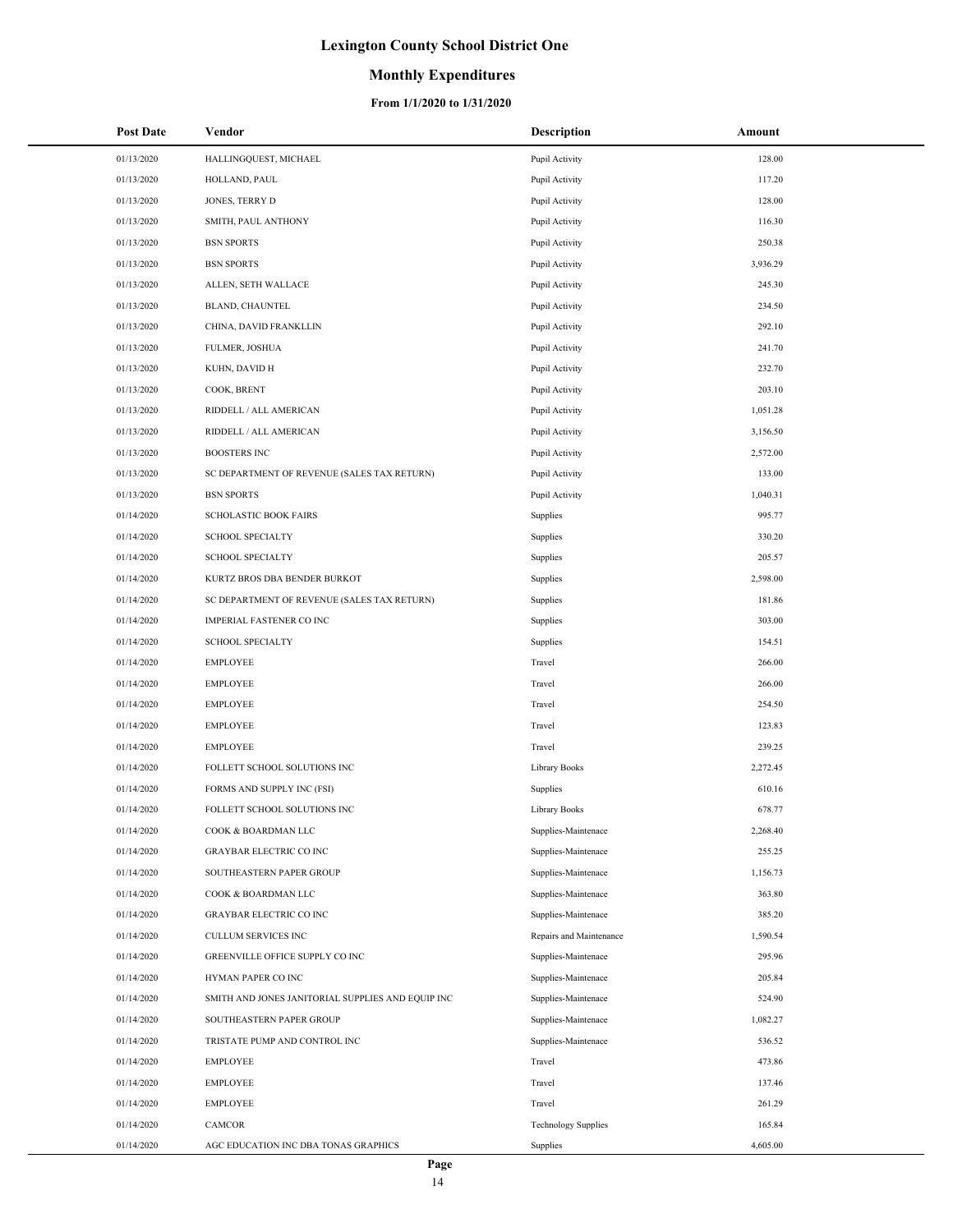### **Monthly Expenditures**

| <b>Post Date</b> | Vendor                                            | <b>Description</b>         | Amount   |
|------------------|---------------------------------------------------|----------------------------|----------|
| 01/13/2020       | HALLINGQUEST, MICHAEL                             | Pupil Activity             | 128.00   |
| 01/13/2020       | HOLLAND, PAUL                                     | Pupil Activity             | 117.20   |
| 01/13/2020       | JONES, TERRY D                                    | Pupil Activity             | 128.00   |
| 01/13/2020       | SMITH, PAUL ANTHONY                               | Pupil Activity             | 116.30   |
| 01/13/2020       | <b>BSN SPORTS</b>                                 | Pupil Activity             | 250.38   |
| 01/13/2020       | <b>BSN SPORTS</b>                                 | Pupil Activity             | 3,936.29 |
| 01/13/2020       | ALLEN, SETH WALLACE                               | Pupil Activity             | 245.30   |
| 01/13/2020       | BLAND, CHAUNTEL                                   | Pupil Activity             | 234.50   |
| 01/13/2020       | CHINA, DAVID FRANKLLIN                            | Pupil Activity             | 292.10   |
| 01/13/2020       | FULMER, JOSHUA                                    | Pupil Activity             | 241.70   |
| 01/13/2020       | KUHN, DAVID H                                     | Pupil Activity             | 232.70   |
| 01/13/2020       | COOK, BRENT                                       | Pupil Activity             | 203.10   |
| 01/13/2020       | RIDDELL / ALL AMERICAN                            | Pupil Activity             | 1,051.28 |
| 01/13/2020       | RIDDELL / ALL AMERICAN                            | Pupil Activity             | 3,156.50 |
| 01/13/2020       | <b>BOOSTERS INC</b>                               | Pupil Activity             | 2,572.00 |
| 01/13/2020       | SC DEPARTMENT OF REVENUE (SALES TAX RETURN)       | Pupil Activity             | 133.00   |
| 01/13/2020       | <b>BSN SPORTS</b>                                 | Pupil Activity             | 1,040.31 |
| 01/14/2020       | <b>SCHOLASTIC BOOK FAIRS</b>                      | Supplies                   | 995.77   |
| 01/14/2020       | <b>SCHOOL SPECIALTY</b>                           | Supplies                   | 330.20   |
| 01/14/2020       | <b>SCHOOL SPECIALTY</b>                           | Supplies                   | 205.57   |
| 01/14/2020       | KURTZ BROS DBA BENDER BURKOT                      | Supplies                   | 2,598.00 |
| 01/14/2020       | SC DEPARTMENT OF REVENUE (SALES TAX RETURN)       | Supplies                   | 181.86   |
| 01/14/2020       | IMPERIAL FASTENER CO INC                          | Supplies                   | 303.00   |
| 01/14/2020       | <b>SCHOOL SPECIALTY</b>                           | Supplies                   | 154.51   |
| 01/14/2020       | <b>EMPLOYEE</b>                                   | Travel                     | 266.00   |
| 01/14/2020       | <b>EMPLOYEE</b>                                   | Travel                     | 266.00   |
| 01/14/2020       | <b>EMPLOYEE</b>                                   | Travel                     | 254.50   |
| 01/14/2020       | <b>EMPLOYEE</b>                                   | Travel                     | 123.83   |
| 01/14/2020       | <b>EMPLOYEE</b>                                   | Travel                     | 239.25   |
| 01/14/2020       | FOLLETT SCHOOL SOLUTIONS INC                      | Library Books              | 2,272.45 |
| 01/14/2020       | FORMS AND SUPPLY INC (FSI)                        | Supplies                   | 610.16   |
| 01/14/2020       | FOLLETT SCHOOL SOLUTIONS INC                      | Library Books              | 678.77   |
| 01/14/2020       | COOK & BOARDMAN LLC                               | Supplies-Maintenace        | 2,268.40 |
| 01/14/2020       | <b>GRAYBAR ELECTRIC CO INC</b>                    | Supplies-Maintenace        | 255.25   |
| 01/14/2020       | SOUTHEASTERN PAPER GROUP                          | Supplies-Maintenace        | 1,156.73 |
| 01/14/2020       | COOK & BOARDMAN LLC                               | Supplies-Maintenace        | 363.80   |
| 01/14/2020       | <b>GRAYBAR ELECTRIC CO INC</b>                    | Supplies-Maintenace        | 385.20   |
| 01/14/2020       | CULLUM SERVICES INC                               | Repairs and Maintenance    | 1,590.54 |
| 01/14/2020       | GREENVILLE OFFICE SUPPLY CO INC                   | Supplies-Maintenace        | 295.96   |
| 01/14/2020       | HYMAN PAPER CO INC                                | Supplies-Maintenace        | 205.84   |
| 01/14/2020       | SMITH AND JONES JANITORIAL SUPPLIES AND EQUIP INC | Supplies-Maintenace        | 524.90   |
| 01/14/2020       | SOUTHEASTERN PAPER GROUP                          | Supplies-Maintenace        | 1,082.27 |
| 01/14/2020       | TRISTATE PUMP AND CONTROL INC                     | Supplies-Maintenace        | 536.52   |
| 01/14/2020       | <b>EMPLOYEE</b>                                   | Travel                     | 473.86   |
| 01/14/2020       | <b>EMPLOYEE</b>                                   | Travel                     | 137.46   |
| 01/14/2020       | <b>EMPLOYEE</b>                                   | Travel                     | 261.29   |
| 01/14/2020       | CAMCOR                                            | <b>Technology Supplies</b> | 165.84   |
| 01/14/2020       | AGC EDUCATION INC DBA TONAS GRAPHICS              | Supplies                   | 4,605.00 |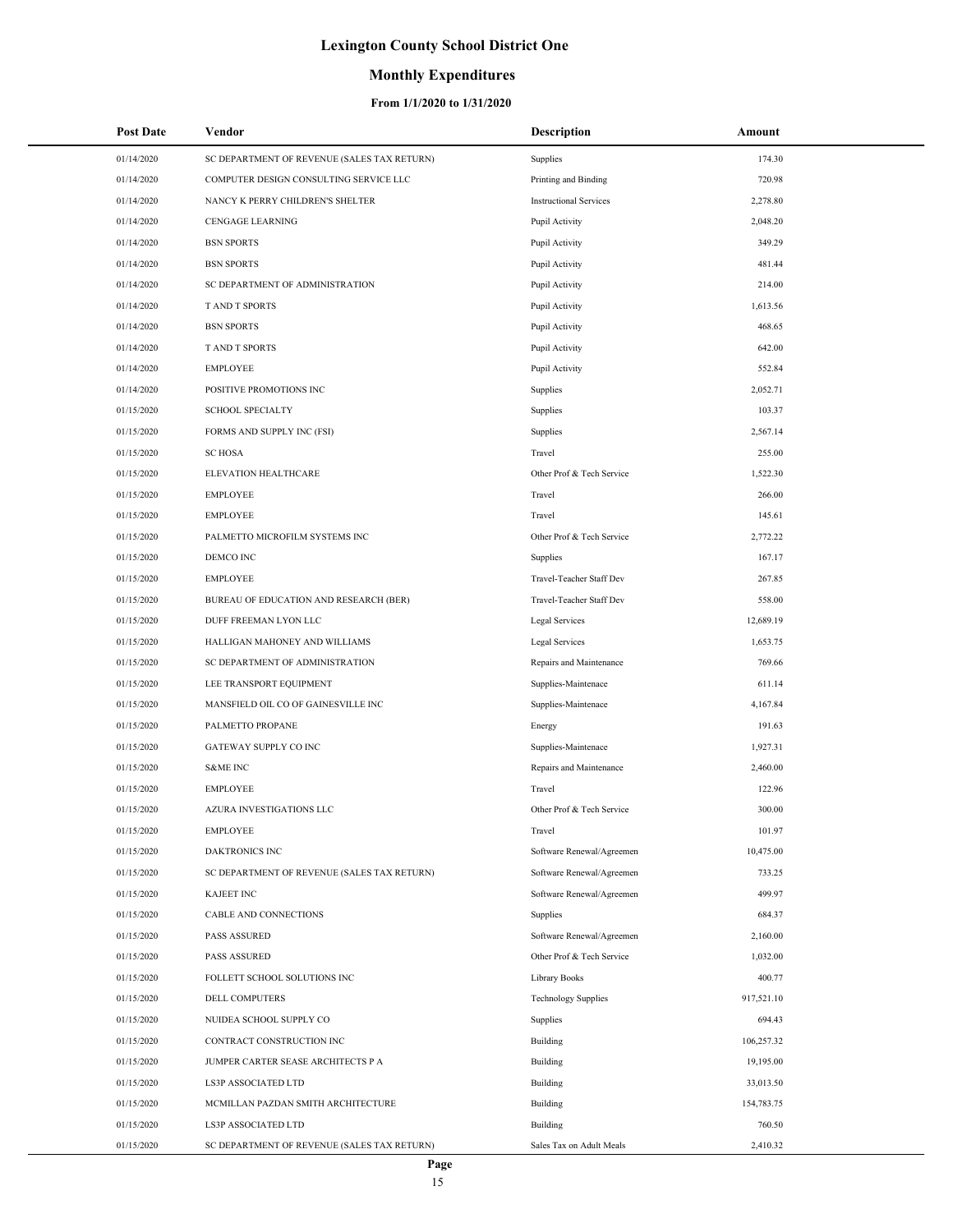### **Monthly Expenditures**

| <b>Post Date</b> | Vendor                                      | Description                   | Amount     |
|------------------|---------------------------------------------|-------------------------------|------------|
| 01/14/2020       | SC DEPARTMENT OF REVENUE (SALES TAX RETURN) | Supplies                      | 174.30     |
| 01/14/2020       | COMPUTER DESIGN CONSULTING SERVICE LLC      | Printing and Binding          | 720.98     |
| 01/14/2020       | NANCY K PERRY CHILDREN'S SHELTER            | <b>Instructional Services</b> | 2,278.80   |
| 01/14/2020       | CENGAGE LEARNING                            | Pupil Activity                | 2,048.20   |
| 01/14/2020       | <b>BSN SPORTS</b>                           | Pupil Activity                | 349.29     |
| 01/14/2020       | <b>BSN SPORTS</b>                           | Pupil Activity                | 481.44     |
| 01/14/2020       | SC DEPARTMENT OF ADMINISTRATION             | Pupil Activity                | 214.00     |
| 01/14/2020       | <b>TAND T SPORTS</b>                        | Pupil Activity                | 1,613.56   |
| 01/14/2020       | <b>BSN SPORTS</b>                           | Pupil Activity                | 468.65     |
| 01/14/2020       | T AND T SPORTS                              | Pupil Activity                | 642.00     |
| 01/14/2020       | <b>EMPLOYEE</b>                             | Pupil Activity                | 552.84     |
| 01/14/2020       | POSITIVE PROMOTIONS INC                     | Supplies                      | 2,052.71   |
| 01/15/2020       | <b>SCHOOL SPECIALTY</b>                     | Supplies                      | 103.37     |
| 01/15/2020       | FORMS AND SUPPLY INC (FSI)                  | Supplies                      | 2,567.14   |
| 01/15/2020       | <b>SC HOSA</b>                              | Travel                        | 255.00     |
| 01/15/2020       | ELEVATION HEALTHCARE                        | Other Prof & Tech Service     | 1,522.30   |
| 01/15/2020       | <b>EMPLOYEE</b>                             | Travel                        | 266.00     |
| 01/15/2020       | <b>EMPLOYEE</b>                             | Travel                        | 145.61     |
| 01/15/2020       | PALMETTO MICROFILM SYSTEMS INC              | Other Prof & Tech Service     | 2,772.22   |
| 01/15/2020       | DEMCO INC                                   | Supplies                      | 167.17     |
| 01/15/2020       | <b>EMPLOYEE</b>                             | Travel-Teacher Staff Dev      | 267.85     |
| 01/15/2020       | BUREAU OF EDUCATION AND RESEARCH (BER)      | Travel-Teacher Staff Dev      | 558.00     |
| 01/15/2020       | DUFF FREEMAN LYON LLC                       | Legal Services                | 12,689.19  |
| 01/15/2020       | HALLIGAN MAHONEY AND WILLIAMS               | Legal Services                | 1,653.75   |
| 01/15/2020       | SC DEPARTMENT OF ADMINISTRATION             | Repairs and Maintenance       | 769.66     |
| 01/15/2020       | LEE TRANSPORT EQUIPMENT                     | Supplies-Maintenace           | 611.14     |
| 01/15/2020       | MANSFIELD OIL CO OF GAINESVILLE INC         | Supplies-Maintenace           | 4,167.84   |
| 01/15/2020       | PALMETTO PROPANE                            | Energy                        | 191.63     |
| 01/15/2020       | GATEWAY SUPPLY CO INC                       | Supplies-Maintenace           | 1,927.31   |
| 01/15/2020       | <b>S&amp;ME INC</b>                         | Repairs and Maintenance       | 2,460.00   |
| 01/15/2020       | <b>EMPLOYEE</b>                             | Travel                        | 122.96     |
| 01/15/2020       | <b>AZURA INVESTIGATIONS LLC</b>             | Other Prof & Tech Service     | 300.00     |
| 01/15/2020       | <b>EMPLOYEE</b>                             | Travel                        | 101.97     |
| 01/15/2020       | <b>DAKTRONICS INC</b>                       | Software Renewal/Agreemen     | 10,475.00  |
| 01/15/2020       | SC DEPARTMENT OF REVENUE (SALES TAX RETURN) | Software Renewal/Agreemen     | 733.25     |
| 01/15/2020       | <b>KAJEET INC</b>                           | Software Renewal/Agreemen     | 499.97     |
| 01/15/2020       | CABLE AND CONNECTIONS                       | Supplies                      | 684.37     |
| 01/15/2020       | <b>PASS ASSURED</b>                         | Software Renewal/Agreemen     | 2,160.00   |
| 01/15/2020       | <b>PASS ASSURED</b>                         | Other Prof & Tech Service     | 1,032.00   |
| 01/15/2020       | FOLLETT SCHOOL SOLUTIONS INC                | Library Books                 | 400.77     |
| 01/15/2020       | DELL COMPUTERS                              | <b>Technology Supplies</b>    | 917,521.10 |
| 01/15/2020       | NUIDEA SCHOOL SUPPLY CO                     | Supplies                      | 694.43     |
| 01/15/2020       | CONTRACT CONSTRUCTION INC                   | Building                      | 106,257.32 |
| 01/15/2020       | JUMPER CARTER SEASE ARCHITECTS P A          | Building                      | 19,195.00  |
| 01/15/2020       | LS3P ASSOCIATED LTD                         | Building                      | 33,013.50  |
| 01/15/2020       | MCMILLAN PAZDAN SMITH ARCHITECTURE          | Building                      | 154,783.75 |
| 01/15/2020       | LS3P ASSOCIATED LTD                         | Building                      | 760.50     |
| 01/15/2020       | SC DEPARTMENT OF REVENUE (SALES TAX RETURN) | Sales Tax on Adult Meals      | 2,410.32   |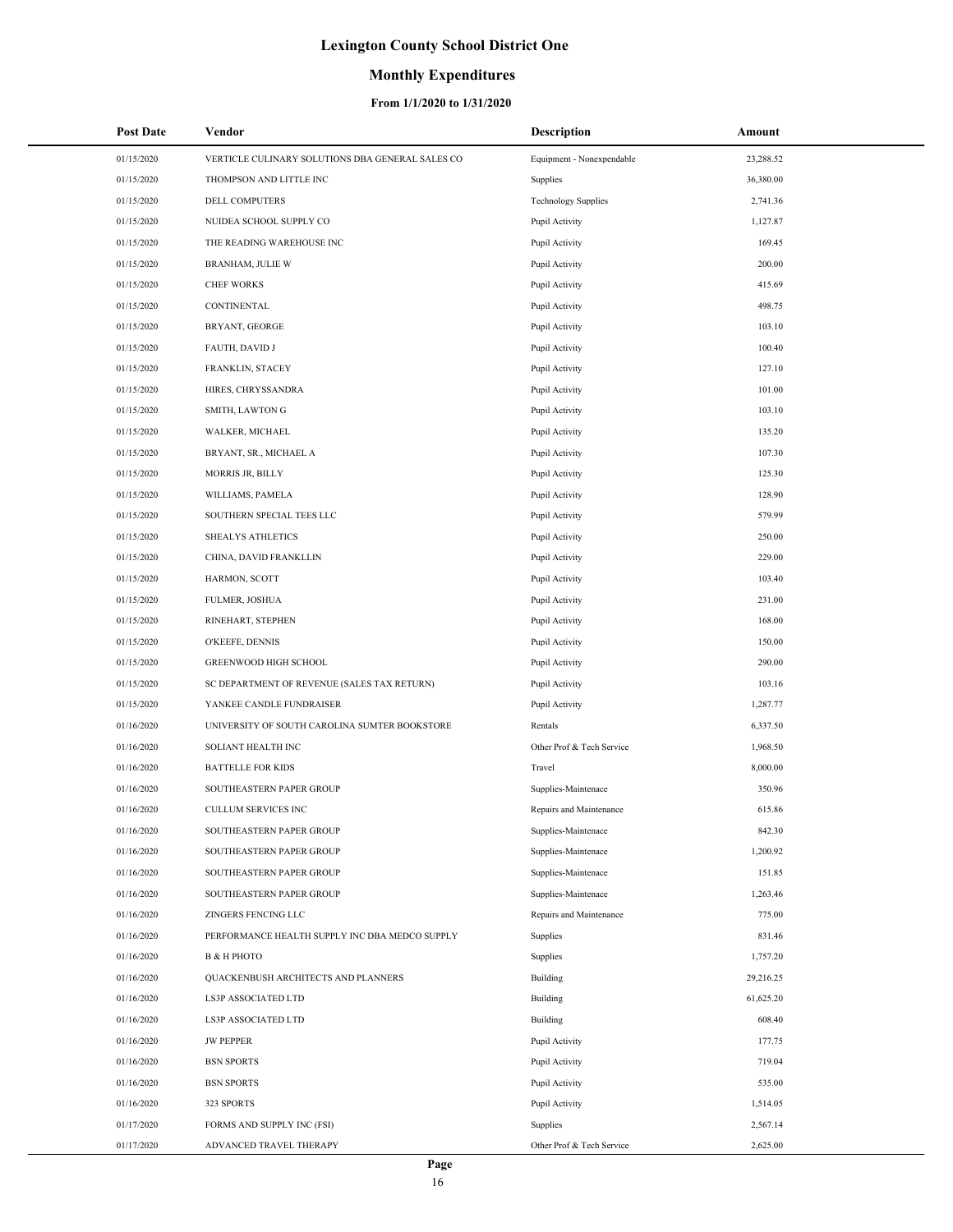### **Monthly Expenditures**

| <b>Post Date</b> | Vendor                                           | <b>Description</b>         | Amount    |
|------------------|--------------------------------------------------|----------------------------|-----------|
| 01/15/2020       | VERTICLE CULINARY SOLUTIONS DBA GENERAL SALES CO | Equipment - Nonexpendable  | 23,288.52 |
| 01/15/2020       | THOMPSON AND LITTLE INC                          | Supplies                   | 36,380.00 |
| 01/15/2020       | <b>DELL COMPUTERS</b>                            | <b>Technology Supplies</b> | 2,741.36  |
| 01/15/2020       | NUIDEA SCHOOL SUPPLY CO                          | Pupil Activity             | 1,127.87  |
| 01/15/2020       | THE READING WAREHOUSE INC                        | Pupil Activity             | 169.45    |
| 01/15/2020       | BRANHAM, JULIE W                                 | Pupil Activity             | 200.00    |
| 01/15/2020       | <b>CHEF WORKS</b>                                | Pupil Activity             | 415.69    |
| 01/15/2020       | CONTINENTAL                                      | Pupil Activity             | 498.75    |
| 01/15/2020       | BRYANT, GEORGE                                   | Pupil Activity             | 103.10    |
| 01/15/2020       | FAUTH, DAVID J                                   | Pupil Activity             | 100.40    |
| 01/15/2020       | FRANKLIN, STACEY                                 | Pupil Activity             | 127.10    |
| 01/15/2020       | HIRES, CHRYSSANDRA                               | Pupil Activity             | 101.00    |
| 01/15/2020       | SMITH, LAWTON G                                  | Pupil Activity             | 103.10    |
| 01/15/2020       | WALKER, MICHAEL                                  | Pupil Activity             | 135.20    |
| 01/15/2020       | BRYANT, SR., MICHAEL A                           | Pupil Activity             | 107.30    |
| 01/15/2020       | <b>MORRIS JR, BILLY</b>                          | Pupil Activity             | 125.30    |
| 01/15/2020       | WILLIAMS, PAMELA                                 | Pupil Activity             | 128.90    |
| 01/15/2020       | SOUTHERN SPECIAL TEES LLC                        | Pupil Activity             | 579.99    |
| 01/15/2020       | <b>SHEALYS ATHLETICS</b>                         | Pupil Activity             | 250.00    |
| 01/15/2020       | CHINA, DAVID FRANKLLIN                           | Pupil Activity             | 229.00    |
| 01/15/2020       | HARMON, SCOTT                                    | Pupil Activity             | 103.40    |
| 01/15/2020       | FULMER, JOSHUA                                   | Pupil Activity             | 231.00    |
| 01/15/2020       | RINEHART, STEPHEN                                | Pupil Activity             | 168.00    |
| 01/15/2020       | O'KEEFE, DENNIS                                  | Pupil Activity             | 150.00    |
| 01/15/2020       | GREENWOOD HIGH SCHOOL                            | Pupil Activity             | 290.00    |
| 01/15/2020       | SC DEPARTMENT OF REVENUE (SALES TAX RETURN)      | Pupil Activity             | 103.16    |
| 01/15/2020       | YANKEE CANDLE FUNDRAISER                         | Pupil Activity             | 1,287.77  |
| 01/16/2020       | UNIVERSITY OF SOUTH CAROLINA SUMTER BOOKSTORE    | Rentals                    | 6,337.50  |
| 01/16/2020       | SOLIANT HEALTH INC                               | Other Prof & Tech Service  | 1,968.50  |
| 01/16/2020       | <b>BATTELLE FOR KIDS</b>                         | Travel                     | 8,000.00  |
| 01/16/2020       | SOUTHEASTERN PAPER GROUP                         | Supplies-Maintenace        | 350.96    |
| 01/16/2020       | <b>CULLUM SERVICES INC</b>                       | Repairs and Maintenance    | 615.86    |
| 01/16/2020       | SOUTHEASTERN PAPER GROUP                         | Supplies-Maintenace        | 842.30    |
| 01/16/2020       | SOUTHEASTERN PAPER GROUP                         | Supplies-Maintenace        | 1,200.92  |
| 01/16/2020       | SOUTHEASTERN PAPER GROUP                         | Supplies-Maintenace        | 151.85    |
| 01/16/2020       | SOUTHEASTERN PAPER GROUP                         | Supplies-Maintenace        | 1,263.46  |
| 01/16/2020       | ZINGERS FENCING LLC                              | Repairs and Maintenance    | 775.00    |
| 01/16/2020       | PERFORMANCE HEALTH SUPPLY INC DBA MEDCO SUPPLY   | Supplies                   | 831.46    |
| 01/16/2020       | <b>B &amp; H PHOTO</b>                           | Supplies                   | 1,757.20  |
| 01/16/2020       | QUACKENBUSH ARCHITECTS AND PLANNERS              | <b>Building</b>            | 29,216.25 |
| 01/16/2020       | <b>LS3P ASSOCIATED LTD</b>                       | Building                   | 61,625.20 |
| 01/16/2020       | LS3P ASSOCIATED LTD                              | Building                   | 608.40    |
| 01/16/2020       | <b>JW PEPPER</b>                                 | Pupil Activity             | 177.75    |
| 01/16/2020       | <b>BSN SPORTS</b>                                | Pupil Activity             | 719.04    |
| 01/16/2020       | <b>BSN SPORTS</b>                                | Pupil Activity             | 535.00    |
| 01/16/2020       | 323 SPORTS                                       | Pupil Activity             | 1,514.05  |
| 01/17/2020       | FORMS AND SUPPLY INC (FSI)                       | Supplies                   | 2,567.14  |
| 01/17/2020       | ADVANCED TRAVEL THERAPY                          | Other Prof & Tech Service  | 2,625.00  |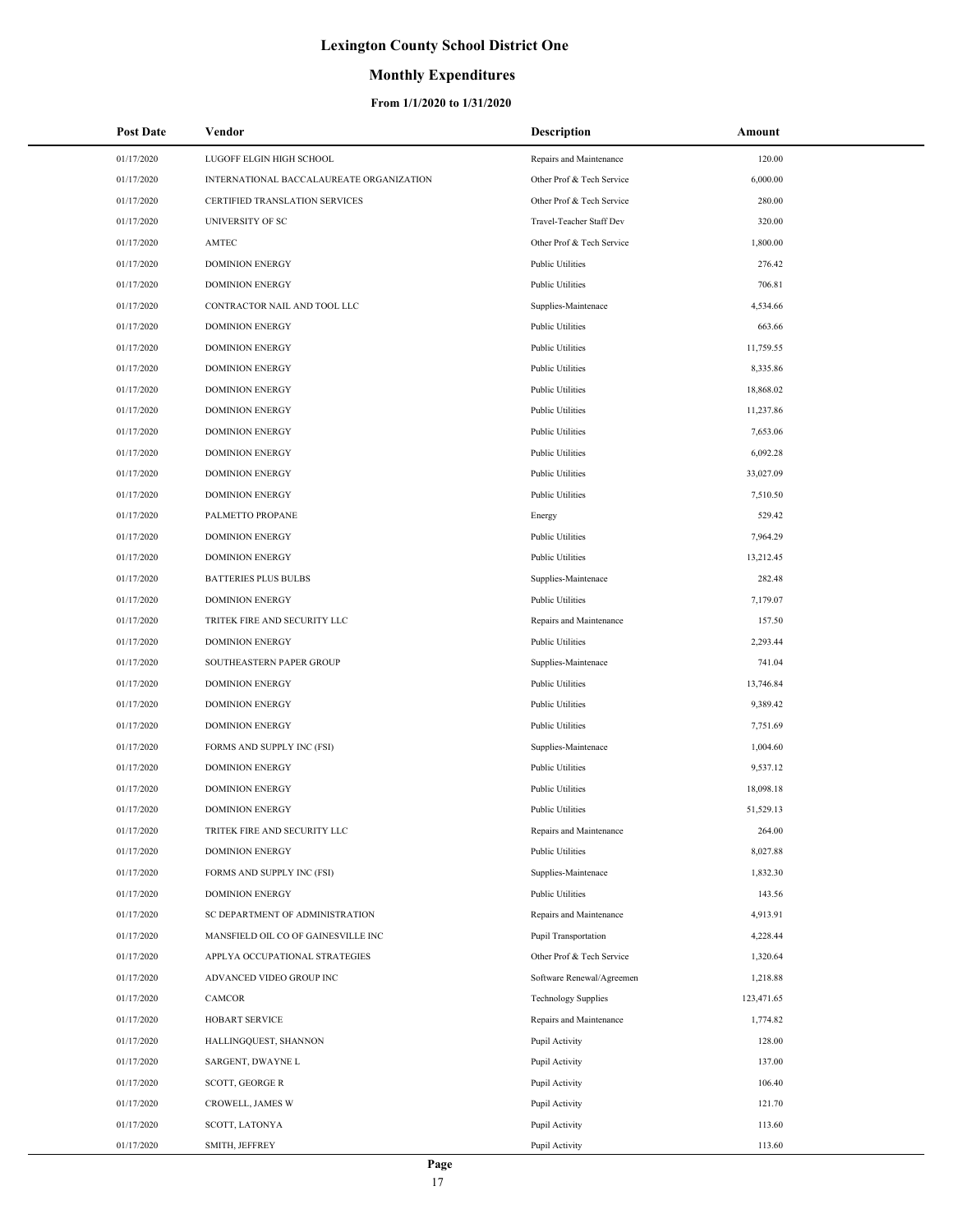## **Monthly Expenditures**

| <b>Post Date</b> | Vendor                                   | <b>Description</b>          | Amount     |
|------------------|------------------------------------------|-----------------------------|------------|
| 01/17/2020       | LUGOFF ELGIN HIGH SCHOOL                 | Repairs and Maintenance     | 120.00     |
| 01/17/2020       | INTERNATIONAL BACCALAUREATE ORGANIZATION | Other Prof & Tech Service   | 6,000.00   |
| 01/17/2020       | CERTIFIED TRANSLATION SERVICES           | Other Prof & Tech Service   | 280.00     |
| 01/17/2020       | UNIVERSITY OF SC                         | Travel-Teacher Staff Dev    | 320.00     |
| 01/17/2020       | AMTEC                                    | Other Prof & Tech Service   | 1,800.00   |
| 01/17/2020       | <b>DOMINION ENERGY</b>                   | <b>Public Utilities</b>     | 276.42     |
| 01/17/2020       | <b>DOMINION ENERGY</b>                   | <b>Public Utilities</b>     | 706.81     |
| 01/17/2020       | CONTRACTOR NAIL AND TOOL LLC             | Supplies-Maintenace         | 4,534.66   |
| 01/17/2020       | <b>DOMINION ENERGY</b>                   | <b>Public Utilities</b>     | 663.66     |
| 01/17/2020       | <b>DOMINION ENERGY</b>                   | <b>Public Utilities</b>     | 11,759.55  |
| 01/17/2020       | <b>DOMINION ENERGY</b>                   | <b>Public Utilities</b>     | 8,335.86   |
| 01/17/2020       | <b>DOMINION ENERGY</b>                   | <b>Public Utilities</b>     | 18,868.02  |
| 01/17/2020       | <b>DOMINION ENERGY</b>                   | <b>Public Utilities</b>     | 11,237.86  |
| 01/17/2020       | <b>DOMINION ENERGY</b>                   | <b>Public Utilities</b>     | 7,653.06   |
| 01/17/2020       | <b>DOMINION ENERGY</b>                   | <b>Public Utilities</b>     | 6,092.28   |
| 01/17/2020       | <b>DOMINION ENERGY</b>                   | <b>Public Utilities</b>     | 33,027.09  |
| 01/17/2020       | <b>DOMINION ENERGY</b>                   | <b>Public Utilities</b>     | 7,510.50   |
| 01/17/2020       | PALMETTO PROPANE                         | Energy                      | 529.42     |
| 01/17/2020       | <b>DOMINION ENERGY</b>                   | <b>Public Utilities</b>     | 7,964.29   |
| 01/17/2020       | <b>DOMINION ENERGY</b>                   | <b>Public Utilities</b>     | 13,212.45  |
| 01/17/2020       | <b>BATTERIES PLUS BULBS</b>              | Supplies-Maintenace         | 282.48     |
| 01/17/2020       | <b>DOMINION ENERGY</b>                   | <b>Public Utilities</b>     | 7,179.07   |
| 01/17/2020       | TRITEK FIRE AND SECURITY LLC             | Repairs and Maintenance     | 157.50     |
| 01/17/2020       | <b>DOMINION ENERGY</b>                   | <b>Public Utilities</b>     | 2,293.44   |
| 01/17/2020       | SOUTHEASTERN PAPER GROUP                 | Supplies-Maintenace         | 741.04     |
| 01/17/2020       | <b>DOMINION ENERGY</b>                   | <b>Public Utilities</b>     | 13,746.84  |
| 01/17/2020       | <b>DOMINION ENERGY</b>                   | <b>Public Utilities</b>     | 9,389.42   |
| 01/17/2020       | <b>DOMINION ENERGY</b>                   | <b>Public Utilities</b>     | 7,751.69   |
| 01/17/2020       | FORMS AND SUPPLY INC (FSI)               | Supplies-Maintenace         | 1,004.60   |
| 01/17/2020       | <b>DOMINION ENERGY</b>                   | <b>Public Utilities</b>     | 9,537.12   |
| 01/17/2020       | <b>DOMINION ENERGY</b>                   | <b>Public Utilities</b>     | 18,098.18  |
| 01/17/2020       | <b>DOMINION ENERGY</b>                   | <b>Public Utilities</b>     | 51,529.13  |
| 01/17/2020       | TRITEK FIRE AND SECURITY LLC             | Repairs and Maintenance     | 264.00     |
| 01/17/2020       | <b>DOMINION ENERGY</b>                   | <b>Public Utilities</b>     | 8,027.88   |
| 01/17/2020       | FORMS AND SUPPLY INC (FSI)               | Supplies-Maintenace         | 1,832.30   |
| 01/17/2020       | <b>DOMINION ENERGY</b>                   | <b>Public Utilities</b>     | 143.56     |
| 01/17/2020       | SC DEPARTMENT OF ADMINISTRATION          | Repairs and Maintenance     | 4,913.91   |
| 01/17/2020       | MANSFIELD OIL CO OF GAINESVILLE INC      | <b>Pupil Transportation</b> | 4,228.44   |
| 01/17/2020       | APPLYA OCCUPATIONAL STRATEGIES           | Other Prof & Tech Service   | 1,320.64   |
| 01/17/2020       | ADVANCED VIDEO GROUP INC                 | Software Renewal/Agreemen   | 1,218.88   |
| 01/17/2020       | CAMCOR                                   | <b>Technology Supplies</b>  | 123,471.65 |
| 01/17/2020       | HOBART SERVICE                           | Repairs and Maintenance     | 1,774.82   |
| 01/17/2020       | HALLINGQUEST, SHANNON                    | Pupil Activity              | 128.00     |
| 01/17/2020       | SARGENT, DWAYNE L                        | Pupil Activity              | 137.00     |
| 01/17/2020       | SCOTT, GEORGE R                          | Pupil Activity              | 106.40     |
| 01/17/2020       | CROWELL, JAMES W                         | Pupil Activity              | 121.70     |
| 01/17/2020       | SCOTT, LATONYA                           | Pupil Activity              | 113.60     |
| 01/17/2020       | SMITH, JEFFREY                           | Pupil Activity              | 113.60     |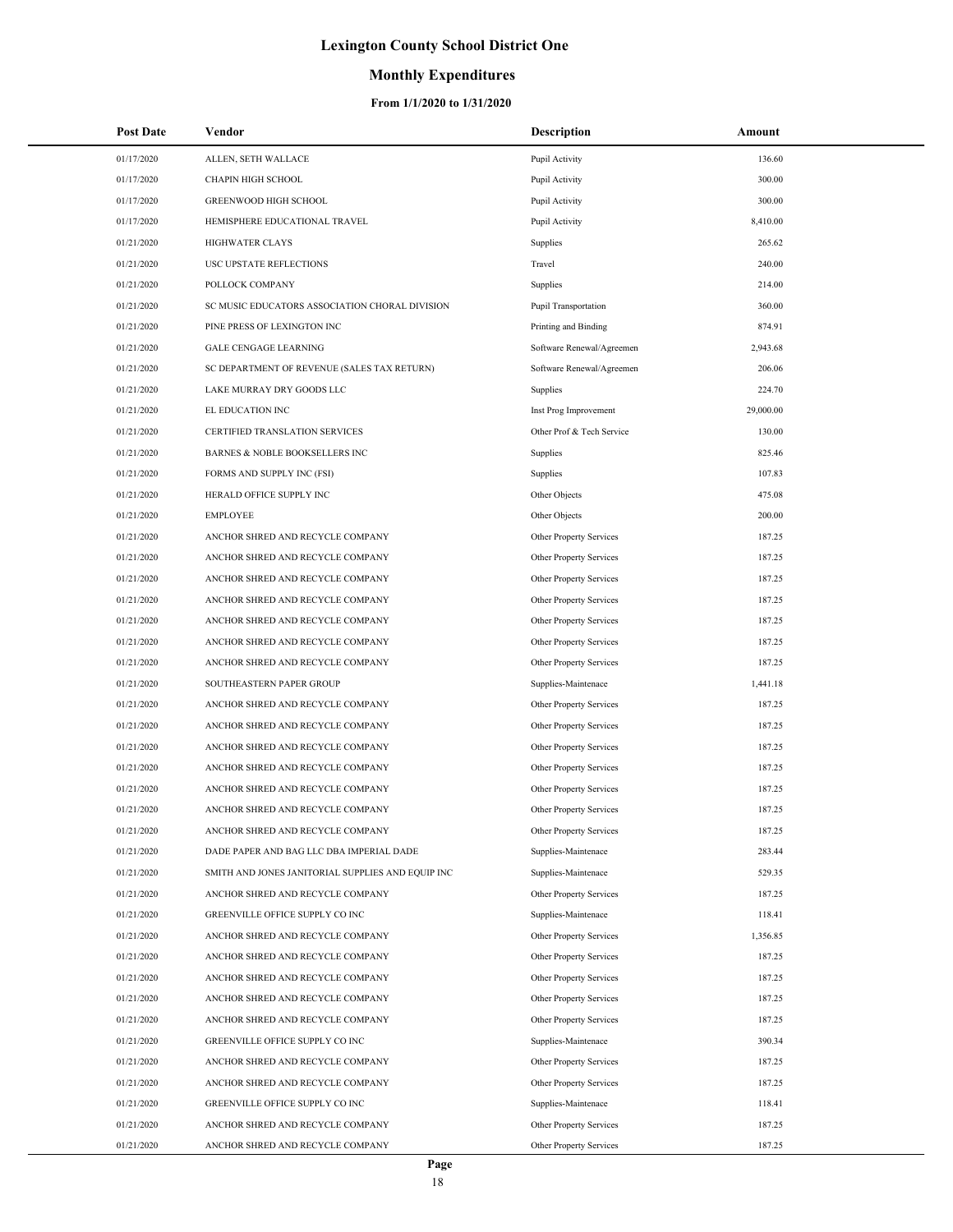## **Monthly Expenditures**

| <b>Post Date</b> | Vendor                                            | <b>Description</b>        | Amount    |
|------------------|---------------------------------------------------|---------------------------|-----------|
| 01/17/2020       | ALLEN, SETH WALLACE                               | Pupil Activity            | 136.60    |
| 01/17/2020       | <b>CHAPIN HIGH SCHOOL</b>                         | Pupil Activity            | 300.00    |
| 01/17/2020       | <b>GREENWOOD HIGH SCHOOL</b>                      | Pupil Activity            | 300.00    |
| 01/17/2020       | HEMISPHERE EDUCATIONAL TRAVEL                     | Pupil Activity            | 8,410.00  |
| 01/21/2020       | <b>HIGHWATER CLAYS</b>                            | Supplies                  | 265.62    |
| 01/21/2020       | USC UPSTATE REFLECTIONS                           | Travel                    | 240.00    |
| 01/21/2020       | POLLOCK COMPANY                                   | Supplies                  | 214.00    |
| 01/21/2020       | SC MUSIC EDUCATORS ASSOCIATION CHORAL DIVISION    | Pupil Transportation      | 360.00    |
| 01/21/2020       | PINE PRESS OF LEXINGTON INC                       | Printing and Binding      | 874.91    |
| 01/21/2020       | <b>GALE CENGAGE LEARNING</b>                      | Software Renewal/Agreemen | 2,943.68  |
| 01/21/2020       | SC DEPARTMENT OF REVENUE (SALES TAX RETURN)       | Software Renewal/Agreemen | 206.06    |
| 01/21/2020       | LAKE MURRAY DRY GOODS LLC                         | Supplies                  | 224.70    |
| 01/21/2020       | EL EDUCATION INC                                  | Inst Prog Improvement     | 29,000.00 |
| 01/21/2020       | CERTIFIED TRANSLATION SERVICES                    | Other Prof & Tech Service | 130.00    |
| 01/21/2020       | BARNES & NOBLE BOOKSELLERS INC                    | Supplies                  | 825.46    |
| 01/21/2020       | FORMS AND SUPPLY INC (FSI)                        | Supplies                  | 107.83    |
| 01/21/2020       | HERALD OFFICE SUPPLY INC                          | Other Objects             | 475.08    |
| 01/21/2020       | <b>EMPLOYEE</b>                                   | Other Objects             | 200.00    |
| 01/21/2020       | ANCHOR SHRED AND RECYCLE COMPANY                  | Other Property Services   | 187.25    |
| 01/21/2020       | ANCHOR SHRED AND RECYCLE COMPANY                  | Other Property Services   | 187.25    |
| 01/21/2020       | ANCHOR SHRED AND RECYCLE COMPANY                  | Other Property Services   | 187.25    |
| 01/21/2020       | ANCHOR SHRED AND RECYCLE COMPANY                  | Other Property Services   | 187.25    |
| 01/21/2020       | ANCHOR SHRED AND RECYCLE COMPANY                  | Other Property Services   | 187.25    |
| 01/21/2020       | ANCHOR SHRED AND RECYCLE COMPANY                  | Other Property Services   | 187.25    |
| 01/21/2020       | ANCHOR SHRED AND RECYCLE COMPANY                  | Other Property Services   | 187.25    |
| 01/21/2020       | SOUTHEASTERN PAPER GROUP                          | Supplies-Maintenace       | 1,441.18  |
| 01/21/2020       | ANCHOR SHRED AND RECYCLE COMPANY                  | Other Property Services   | 187.25    |
| 01/21/2020       | ANCHOR SHRED AND RECYCLE COMPANY                  | Other Property Services   | 187.25    |
| 01/21/2020       | ANCHOR SHRED AND RECYCLE COMPANY                  | Other Property Services   | 187.25    |
| 01/21/2020       | ANCHOR SHRED AND RECYCLE COMPANY                  | Other Property Services   | 187.25    |
| 01/21/2020       | ANCHOR SHRED AND RECYCLE COMPANY                  | Other Property Services   | 187.25    |
| 01/21/2020       | ANCHOR SHRED AND RECYCLE COMPANY                  | Other Property Services   | 187.25    |
| 01/21/2020       | ANCHOR SHRED AND RECYCLE COMPANY                  | Other Property Services   | 187.25    |
| 01/21/2020       | DADE PAPER AND BAG LLC DBA IMPERIAL DADE          | Supplies-Maintenace       | 283.44    |
| 01/21/2020       | SMITH AND JONES JANITORIAL SUPPLIES AND EQUIP INC | Supplies-Maintenace       | 529.35    |
| 01/21/2020       | ANCHOR SHRED AND RECYCLE COMPANY                  | Other Property Services   | 187.25    |
| 01/21/2020       | GREENVILLE OFFICE SUPPLY CO INC                   | Supplies-Maintenace       | 118.41    |
| 01/21/2020       | ANCHOR SHRED AND RECYCLE COMPANY                  | Other Property Services   | 1,356.85  |
| 01/21/2020       | ANCHOR SHRED AND RECYCLE COMPANY                  | Other Property Services   | 187.25    |
| 01/21/2020       | ANCHOR SHRED AND RECYCLE COMPANY                  | Other Property Services   | 187.25    |
| 01/21/2020       | ANCHOR SHRED AND RECYCLE COMPANY                  | Other Property Services   | 187.25    |
| 01/21/2020       | ANCHOR SHRED AND RECYCLE COMPANY                  | Other Property Services   | 187.25    |
| 01/21/2020       | GREENVILLE OFFICE SUPPLY CO INC                   | Supplies-Maintenace       | 390.34    |
| 01/21/2020       | ANCHOR SHRED AND RECYCLE COMPANY                  | Other Property Services   | 187.25    |
| 01/21/2020       | ANCHOR SHRED AND RECYCLE COMPANY                  | Other Property Services   | 187.25    |
| 01/21/2020       | GREENVILLE OFFICE SUPPLY CO INC                   | Supplies-Maintenace       | 118.41    |
| 01/21/2020       | ANCHOR SHRED AND RECYCLE COMPANY                  | Other Property Services   | 187.25    |
| 01/21/2020       | ANCHOR SHRED AND RECYCLE COMPANY                  | Other Property Services   | 187.25    |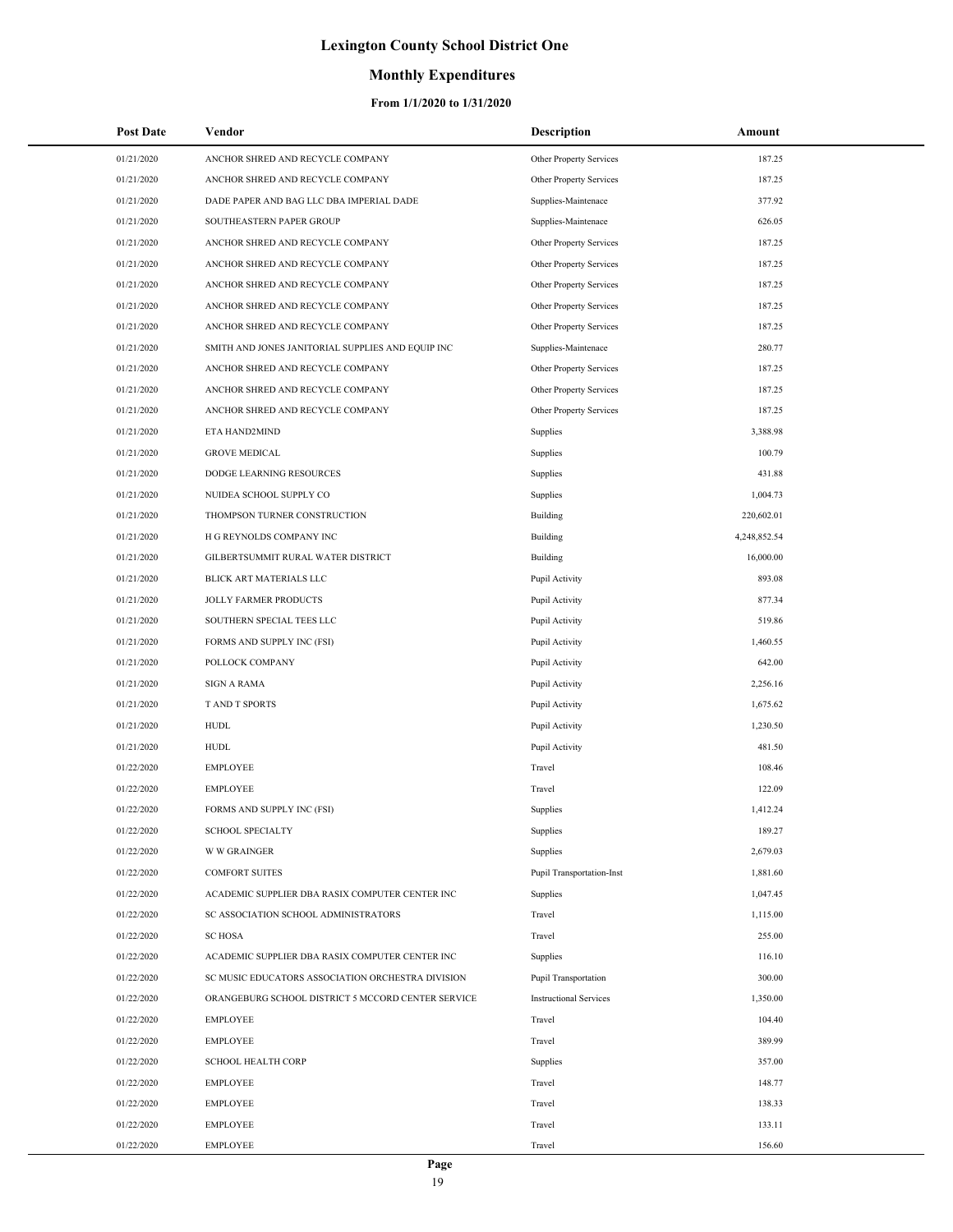### **Monthly Expenditures**

| <b>Post Date</b> | Vendor                                             | <b>Description</b>            | Amount       |
|------------------|----------------------------------------------------|-------------------------------|--------------|
| 01/21/2020       | ANCHOR SHRED AND RECYCLE COMPANY                   | Other Property Services       | 187.25       |
| 01/21/2020       | ANCHOR SHRED AND RECYCLE COMPANY                   | Other Property Services       | 187.25       |
| 01/21/2020       | DADE PAPER AND BAG LLC DBA IMPERIAL DADE           | Supplies-Maintenace           | 377.92       |
| 01/21/2020       | SOUTHEASTERN PAPER GROUP                           | Supplies-Maintenace           | 626.05       |
| 01/21/2020       | ANCHOR SHRED AND RECYCLE COMPANY                   | Other Property Services       | 187.25       |
| 01/21/2020       | ANCHOR SHRED AND RECYCLE COMPANY                   | Other Property Services       | 187.25       |
| 01/21/2020       | ANCHOR SHRED AND RECYCLE COMPANY                   | Other Property Services       | 187.25       |
| 01/21/2020       | ANCHOR SHRED AND RECYCLE COMPANY                   | Other Property Services       | 187.25       |
| 01/21/2020       | ANCHOR SHRED AND RECYCLE COMPANY                   | Other Property Services       | 187.25       |
| 01/21/2020       | SMITH AND JONES JANITORIAL SUPPLIES AND EQUIP INC  | Supplies-Maintenace           | 280.77       |
| 01/21/2020       | ANCHOR SHRED AND RECYCLE COMPANY                   | Other Property Services       | 187.25       |
| 01/21/2020       | ANCHOR SHRED AND RECYCLE COMPANY                   | Other Property Services       | 187.25       |
| 01/21/2020       | ANCHOR SHRED AND RECYCLE COMPANY                   | Other Property Services       | 187.25       |
| 01/21/2020       | ETA HAND2MIND                                      | Supplies                      | 3,388.98     |
| 01/21/2020       | <b>GROVE MEDICAL</b>                               | Supplies                      | 100.79       |
| 01/21/2020       | DODGE LEARNING RESOURCES                           | Supplies                      | 431.88       |
| 01/21/2020       | NUIDEA SCHOOL SUPPLY CO                            | Supplies                      | 1,004.73     |
| 01/21/2020       | THOMPSON TURNER CONSTRUCTION                       | Building                      | 220,602.01   |
| 01/21/2020       | H G REYNOLDS COMPANY INC                           | Building                      | 4,248,852.54 |
| 01/21/2020       | GILBERTSUMMIT RURAL WATER DISTRICT                 | Building                      | 16,000.00    |
| 01/21/2020       | BLICK ART MATERIALS LLC                            | Pupil Activity                | 893.08       |
| 01/21/2020       | JOLLY FARMER PRODUCTS                              | Pupil Activity                | 877.34       |
| 01/21/2020       | SOUTHERN SPECIAL TEES LLC                          | Pupil Activity                | 519.86       |
| 01/21/2020       | FORMS AND SUPPLY INC (FSI)                         | Pupil Activity                | 1,460.55     |
| 01/21/2020       | POLLOCK COMPANY                                    | Pupil Activity                | 642.00       |
| 01/21/2020       | <b>SIGN A RAMA</b>                                 | Pupil Activity                | 2,256.16     |
| 01/21/2020       | T AND T SPORTS                                     | Pupil Activity                | 1,675.62     |
| 01/21/2020       | <b>HUDL</b>                                        | Pupil Activity                | 1,230.50     |
| 01/21/2020       | <b>HUDL</b>                                        | Pupil Activity                | 481.50       |
| 01/22/2020       | <b>EMPLOYEE</b>                                    | Travel                        | 108.46       |
| 01/22/2020       | <b>EMPLOYEE</b>                                    | Travel                        | 122.09       |
| 01/22/2020       | FORMS AND SUPPLY INC (FSI)                         | Supplies                      | 1,412.24     |
| 01/22/2020       | <b>SCHOOL SPECIALTY</b>                            | Supplies                      | 189.27       |
| 01/22/2020       | <b>W W GRAINGER</b>                                | Supplies                      | 2,679.03     |
| 01/22/2020       | <b>COMFORT SUITES</b>                              | Pupil Transportation-Inst     | 1,881.60     |
| 01/22/2020       | ACADEMIC SUPPLIER DBA RASIX COMPUTER CENTER INC    | Supplies                      | 1,047.45     |
| 01/22/2020       | SC ASSOCIATION SCHOOL ADMINISTRATORS               | Travel                        | 1,115.00     |
| 01/22/2020       | <b>SC HOSA</b>                                     | Travel                        | 255.00       |
| 01/22/2020       | ACADEMIC SUPPLIER DBA RASIX COMPUTER CENTER INC    | Supplies                      | 116.10       |
| 01/22/2020       | SC MUSIC EDUCATORS ASSOCIATION ORCHESTRA DIVISION  | Pupil Transportation          | 300.00       |
| 01/22/2020       | ORANGEBURG SCHOOL DISTRICT 5 MCCORD CENTER SERVICE | <b>Instructional Services</b> | 1,350.00     |
| 01/22/2020       | <b>EMPLOYEE</b>                                    | Travel                        | 104.40       |
| 01/22/2020       | <b>EMPLOYEE</b>                                    | Travel                        | 389.99       |
| 01/22/2020       | <b>SCHOOL HEALTH CORP</b>                          | Supplies                      | 357.00       |
| 01/22/2020       | EMPLOYEE                                           | Travel                        | 148.77       |
| 01/22/2020       | <b>EMPLOYEE</b>                                    | Travel                        | 138.33       |
| 01/22/2020       | <b>EMPLOYEE</b>                                    | Travel                        | 133.11       |
| 01/22/2020       | <b>EMPLOYEE</b>                                    | Travel                        | 156.60       |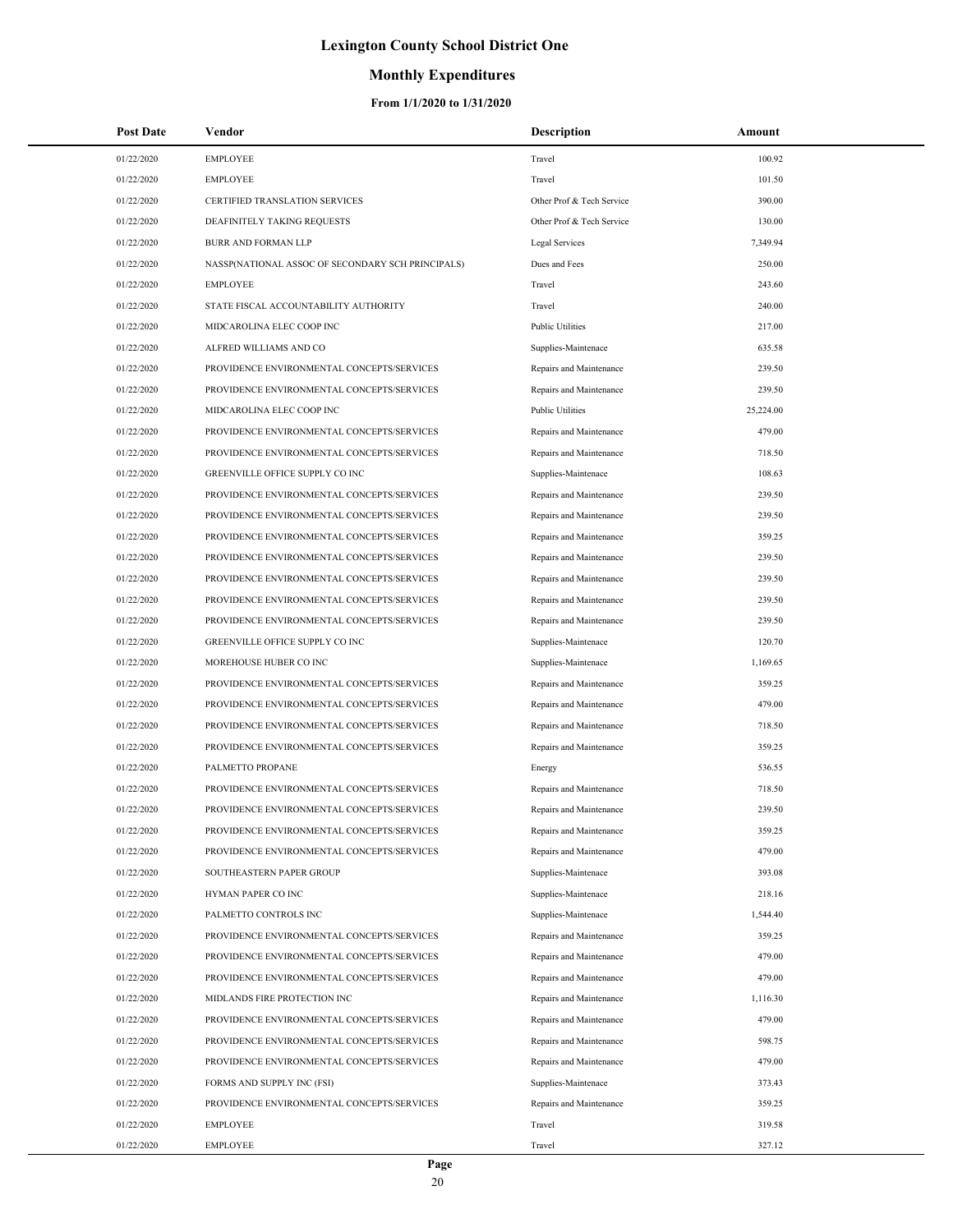## **Monthly Expenditures**

| <b>Post Date</b> | Vendor                                            | <b>Description</b>        | Amount    |
|------------------|---------------------------------------------------|---------------------------|-----------|
| 01/22/2020       | <b>EMPLOYEE</b>                                   | Travel                    | 100.92    |
| 01/22/2020       | <b>EMPLOYEE</b>                                   | Travel                    | 101.50    |
| 01/22/2020       | CERTIFIED TRANSLATION SERVICES                    | Other Prof & Tech Service | 390.00    |
| 01/22/2020       | DEAFINITELY TAKING REQUESTS                       | Other Prof & Tech Service | 130.00    |
| 01/22/2020       | <b>BURR AND FORMAN LLP</b>                        | Legal Services            | 7,349.94  |
| 01/22/2020       | NASSP(NATIONAL ASSOC OF SECONDARY SCH PRINCIPALS) | Dues and Fees             | 250.00    |
| 01/22/2020       | <b>EMPLOYEE</b>                                   | Travel                    | 243.60    |
| 01/22/2020       | STATE FISCAL ACCOUNTABILITY AUTHORITY             | Travel                    | 240.00    |
| 01/22/2020       | MIDCAROLINA ELEC COOP INC                         | <b>Public Utilities</b>   | 217.00    |
| 01/22/2020       | ALFRED WILLIAMS AND CO                            | Supplies-Maintenace       | 635.58    |
| 01/22/2020       | PROVIDENCE ENVIRONMENTAL CONCEPTS/SERVICES        | Repairs and Maintenance   | 239.50    |
| 01/22/2020       | PROVIDENCE ENVIRONMENTAL CONCEPTS/SERVICES        | Repairs and Maintenance   | 239.50    |
| 01/22/2020       | MIDCAROLINA ELEC COOP INC                         | <b>Public Utilities</b>   | 25,224.00 |
| 01/22/2020       | PROVIDENCE ENVIRONMENTAL CONCEPTS/SERVICES        | Repairs and Maintenance   | 479.00    |
| 01/22/2020       | PROVIDENCE ENVIRONMENTAL CONCEPTS/SERVICES        | Repairs and Maintenance   | 718.50    |
| 01/22/2020       | GREENVILLE OFFICE SUPPLY CO INC                   | Supplies-Maintenace       | 108.63    |
| 01/22/2020       | PROVIDENCE ENVIRONMENTAL CONCEPTS/SERVICES        | Repairs and Maintenance   | 239.50    |
| 01/22/2020       | PROVIDENCE ENVIRONMENTAL CONCEPTS/SERVICES        | Repairs and Maintenance   | 239.50    |
| 01/22/2020       | PROVIDENCE ENVIRONMENTAL CONCEPTS/SERVICES        | Repairs and Maintenance   | 359.25    |
| 01/22/2020       | PROVIDENCE ENVIRONMENTAL CONCEPTS/SERVICES        | Repairs and Maintenance   | 239.50    |
| 01/22/2020       | PROVIDENCE ENVIRONMENTAL CONCEPTS/SERVICES        | Repairs and Maintenance   | 239.50    |
| 01/22/2020       | PROVIDENCE ENVIRONMENTAL CONCEPTS/SERVICES        | Repairs and Maintenance   | 239.50    |
| 01/22/2020       | PROVIDENCE ENVIRONMENTAL CONCEPTS/SERVICES        | Repairs and Maintenance   | 239.50    |
| 01/22/2020       | GREENVILLE OFFICE SUPPLY CO INC                   | Supplies-Maintenace       | 120.70    |
| 01/22/2020       | MOREHOUSE HUBER CO INC                            | Supplies-Maintenace       | 1,169.65  |
| 01/22/2020       | PROVIDENCE ENVIRONMENTAL CONCEPTS/SERVICES        | Repairs and Maintenance   | 359.25    |
| 01/22/2020       | PROVIDENCE ENVIRONMENTAL CONCEPTS/SERVICES        | Repairs and Maintenance   | 479.00    |
| 01/22/2020       | PROVIDENCE ENVIRONMENTAL CONCEPTS/SERVICES        | Repairs and Maintenance   | 718.50    |
| 01/22/2020       | PROVIDENCE ENVIRONMENTAL CONCEPTS/SERVICES        | Repairs and Maintenance   | 359.25    |
| 01/22/2020       | PALMETTO PROPANE                                  | Energy                    | 536.55    |
| 01/22/2020       | PROVIDENCE ENVIRONMENTAL CONCEPTS/SERVICES        | Repairs and Maintenance   | 718.50    |
| 01/22/2020       | PROVIDENCE ENVIRONMENTAL CONCEPTS/SERVICES        | Repairs and Maintenance   | 239.50    |
| 01/22/2020       | PROVIDENCE ENVIRONMENTAL CONCEPTS/SERVICES        | Repairs and Maintenance   | 359.25    |
| 01/22/2020       | PROVIDENCE ENVIRONMENTAL CONCEPTS/SERVICES        | Repairs and Maintenance   | 479.00    |
| 01/22/2020       | SOUTHEASTERN PAPER GROUP                          | Supplies-Maintenace       | 393.08    |
| 01/22/2020       | HYMAN PAPER CO INC                                | Supplies-Maintenace       | 218.16    |
| 01/22/2020       | PALMETTO CONTROLS INC                             | Supplies-Maintenace       | 1,544.40  |
| 01/22/2020       | PROVIDENCE ENVIRONMENTAL CONCEPTS/SERVICES        | Repairs and Maintenance   | 359.25    |
| 01/22/2020       | PROVIDENCE ENVIRONMENTAL CONCEPTS/SERVICES        | Repairs and Maintenance   | 479.00    |
| 01/22/2020       | PROVIDENCE ENVIRONMENTAL CONCEPTS/SERVICES        | Repairs and Maintenance   | 479.00    |
| 01/22/2020       | MIDLANDS FIRE PROTECTION INC                      | Repairs and Maintenance   | 1,116.30  |
| 01/22/2020       | PROVIDENCE ENVIRONMENTAL CONCEPTS/SERVICES        | Repairs and Maintenance   | 479.00    |
| 01/22/2020       | PROVIDENCE ENVIRONMENTAL CONCEPTS/SERVICES        | Repairs and Maintenance   | 598.75    |
| 01/22/2020       | PROVIDENCE ENVIRONMENTAL CONCEPTS/SERVICES        | Repairs and Maintenance   | 479.00    |
| 01/22/2020       | FORMS AND SUPPLY INC (FSI)                        | Supplies-Maintenace       | 373.43    |
| 01/22/2020       | PROVIDENCE ENVIRONMENTAL CONCEPTS/SERVICES        | Repairs and Maintenance   | 359.25    |
| 01/22/2020       | <b>EMPLOYEE</b>                                   | Travel                    | 319.58    |
| 01/22/2020       | EMPLOYEE                                          | Travel                    | 327.12    |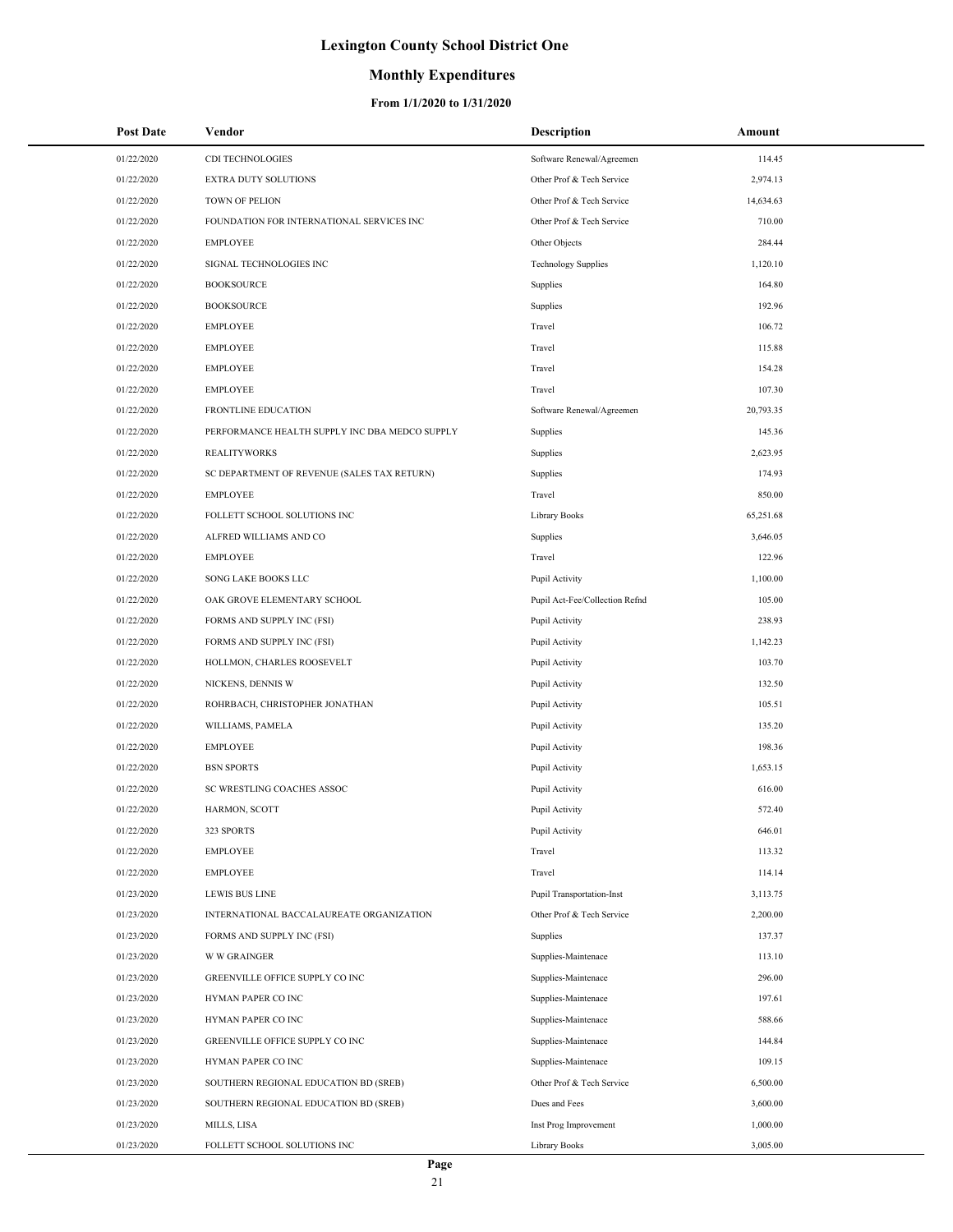### **Monthly Expenditures**

| <b>Post Date</b> | Vendor                                         | <b>Description</b>             | Amount    |
|------------------|------------------------------------------------|--------------------------------|-----------|
| 01/22/2020       | CDI TECHNOLOGIES                               | Software Renewal/Agreemen      | 114.45    |
| 01/22/2020       | EXTRA DUTY SOLUTIONS                           | Other Prof & Tech Service      | 2,974.13  |
| 01/22/2020       | TOWN OF PELION                                 | Other Prof & Tech Service      | 14,634.63 |
| 01/22/2020       | FOUNDATION FOR INTERNATIONAL SERVICES INC      | Other Prof & Tech Service      | 710.00    |
| 01/22/2020       | <b>EMPLOYEE</b>                                | Other Objects                  | 284.44    |
| 01/22/2020       | SIGNAL TECHNOLOGIES INC                        | <b>Technology Supplies</b>     | 1,120.10  |
| 01/22/2020       | <b>BOOKSOURCE</b>                              | Supplies                       | 164.80    |
| 01/22/2020       | <b>BOOKSOURCE</b>                              | Supplies                       | 192.96    |
| 01/22/2020       | <b>EMPLOYEE</b>                                | Travel                         | 106.72    |
| 01/22/2020       | <b>EMPLOYEE</b>                                | Travel                         | 115.88    |
| 01/22/2020       | <b>EMPLOYEE</b>                                | Travel                         | 154.28    |
| 01/22/2020       | <b>EMPLOYEE</b>                                | Travel                         | 107.30    |
| 01/22/2020       | FRONTLINE EDUCATION                            | Software Renewal/Agreemen      | 20,793.35 |
| 01/22/2020       | PERFORMANCE HEALTH SUPPLY INC DBA MEDCO SUPPLY | Supplies                       | 145.36    |
| 01/22/2020       | <b>REALITYWORKS</b>                            | Supplies                       | 2,623.95  |
| 01/22/2020       | SC DEPARTMENT OF REVENUE (SALES TAX RETURN)    | Supplies                       | 174.93    |
| 01/22/2020       | <b>EMPLOYEE</b>                                | Travel                         | 850.00    |
| 01/22/2020       | FOLLETT SCHOOL SOLUTIONS INC                   | Library Books                  | 65,251.68 |
| 01/22/2020       | ALFRED WILLIAMS AND CO                         | Supplies                       | 3,646.05  |
| 01/22/2020       | <b>EMPLOYEE</b>                                | Travel                         | 122.96    |
| 01/22/2020       | SONG LAKE BOOKS LLC                            | Pupil Activity                 | 1,100.00  |
| 01/22/2020       | OAK GROVE ELEMENTARY SCHOOL                    | Pupil Act-Fee/Collection Refnd | 105.00    |
| 01/22/2020       | FORMS AND SUPPLY INC (FSI)                     | Pupil Activity                 | 238.93    |
| 01/22/2020       | FORMS AND SUPPLY INC (FSI)                     | Pupil Activity                 | 1,142.23  |
| 01/22/2020       | HOLLMON, CHARLES ROOSEVELT                     | Pupil Activity                 | 103.70    |
| 01/22/2020       | NICKENS, DENNIS W                              | Pupil Activity                 | 132.50    |
| 01/22/2020       | ROHRBACH, CHRISTOPHER JONATHAN                 | Pupil Activity                 | 105.51    |
| 01/22/2020       | WILLIAMS, PAMELA                               | Pupil Activity                 | 135.20    |
| 01/22/2020       | <b>EMPLOYEE</b>                                | Pupil Activity                 | 198.36    |
| 01/22/2020       | <b>BSN SPORTS</b>                              | Pupil Activity                 | 1,653.15  |
| 01/22/2020       | SC WRESTLING COACHES ASSOC                     | Pupil Activity                 | 616.00    |
| 01/22/2020       | HARMON, SCOTT                                  | Pupil Activity                 | 572.40    |
| 01/22/2020       | 323 SPORTS                                     | Pupil Activity                 | 646.01    |
| 01/22/2020       | <b>EMPLOYEE</b>                                | Travel                         | 113.32    |
| 01/22/2020       | <b>EMPLOYEE</b>                                | Travel                         | 114.14    |
| 01/23/2020       | <b>LEWIS BUS LINE</b>                          | Pupil Transportation-Inst      | 3,113.75  |
| 01/23/2020       | INTERNATIONAL BACCALAUREATE ORGANIZATION       | Other Prof & Tech Service      | 2,200.00  |
| 01/23/2020       | FORMS AND SUPPLY INC (FSI)                     | Supplies                       | 137.37    |
| 01/23/2020       | <b>W W GRAINGER</b>                            | Supplies-Maintenace            | 113.10    |
| 01/23/2020       | GREENVILLE OFFICE SUPPLY CO INC                | Supplies-Maintenace            | 296.00    |
| 01/23/2020       | HYMAN PAPER CO INC                             | Supplies-Maintenace            | 197.61    |
| 01/23/2020       | HYMAN PAPER CO INC                             | Supplies-Maintenace            | 588.66    |
| 01/23/2020       | GREENVILLE OFFICE SUPPLY CO INC                | Supplies-Maintenace            | 144.84    |
| 01/23/2020       | HYMAN PAPER CO INC                             | Supplies-Maintenace            | 109.15    |
| 01/23/2020       | SOUTHERN REGIONAL EDUCATION BD (SREB)          | Other Prof & Tech Service      | 6,500.00  |
| 01/23/2020       | SOUTHERN REGIONAL EDUCATION BD (SREB)          | Dues and Fees                  | 3,600.00  |
| 01/23/2020       | MILLS, LISA                                    | Inst Prog Improvement          | 1,000.00  |
| 01/23/2020       | FOLLETT SCHOOL SOLUTIONS INC                   | Library Books                  | 3,005.00  |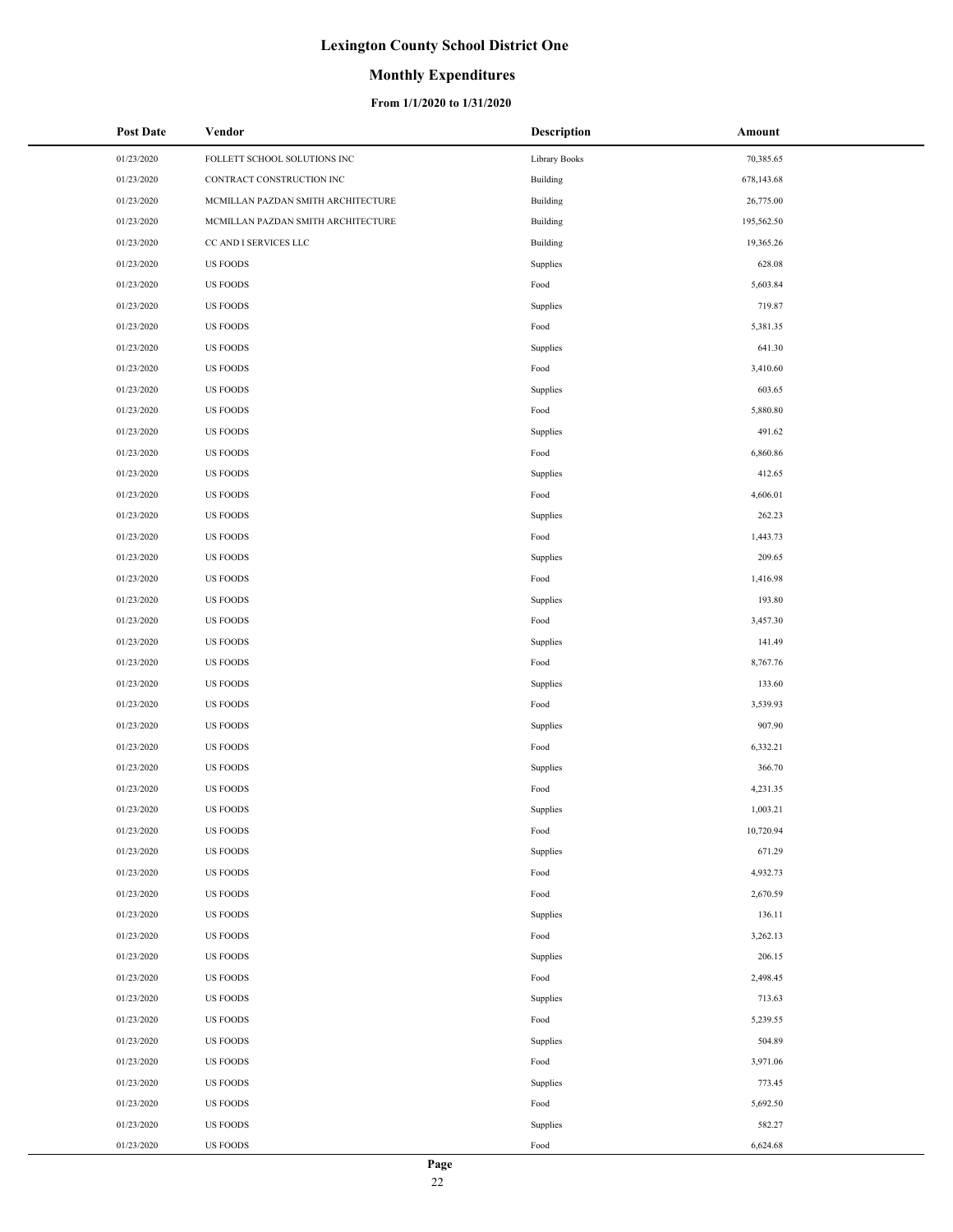### **Monthly Expenditures**

| <b>Post Date</b> | Vendor                             | <b>Description</b> | Amount     |
|------------------|------------------------------------|--------------------|------------|
| 01/23/2020       | FOLLETT SCHOOL SOLUTIONS INC       | Library Books      | 70,385.65  |
| 01/23/2020       | CONTRACT CONSTRUCTION INC          | Building           | 678,143.68 |
| 01/23/2020       | MCMILLAN PAZDAN SMITH ARCHITECTURE | Building           | 26,775.00  |
| 01/23/2020       | MCMILLAN PAZDAN SMITH ARCHITECTURE | Building           | 195,562.50 |
| 01/23/2020       | CC AND I SERVICES LLC              | Building           | 19,365.26  |
| 01/23/2020       | <b>US FOODS</b>                    | Supplies           | 628.08     |
| 01/23/2020       | <b>US FOODS</b>                    | Food               | 5,603.84   |
| 01/23/2020       | <b>US FOODS</b>                    | Supplies           | 719.87     |
| 01/23/2020       | <b>US FOODS</b>                    | Food               | 5,381.35   |
| 01/23/2020       | <b>US FOODS</b>                    | Supplies           | 641.30     |
| 01/23/2020       | <b>US FOODS</b>                    | Food               | 3,410.60   |
| 01/23/2020       | <b>US FOODS</b>                    | Supplies           | 603.65     |
| 01/23/2020       | <b>US FOODS</b>                    | Food               | 5,880.80   |
| 01/23/2020       | <b>US FOODS</b>                    | Supplies           | 491.62     |
| 01/23/2020       | <b>US FOODS</b>                    | Food               | 6,860.86   |
| 01/23/2020       | <b>US FOODS</b>                    | Supplies           | 412.65     |
| 01/23/2020       | <b>US FOODS</b>                    | Food               | 4,606.01   |
| 01/23/2020       | <b>US FOODS</b>                    | Supplies           | 262.23     |
| 01/23/2020       | <b>US FOODS</b>                    | Food               | 1,443.73   |
| 01/23/2020       | <b>US FOODS</b>                    | Supplies           | 209.65     |
| 01/23/2020       | <b>US FOODS</b>                    | Food               | 1,416.98   |
| 01/23/2020       | <b>US FOODS</b>                    | Supplies           | 193.80     |
| 01/23/2020       | <b>US FOODS</b>                    | Food               | 3,457.30   |
| 01/23/2020       | <b>US FOODS</b>                    | Supplies           | 141.49     |
| 01/23/2020       | <b>US FOODS</b>                    | Food               | 8,767.76   |
| 01/23/2020       | <b>US FOODS</b>                    | Supplies           | 133.60     |
| 01/23/2020       | <b>US FOODS</b>                    | Food               | 3,539.93   |
| 01/23/2020       | <b>US FOODS</b>                    | Supplies           | 907.90     |
| 01/23/2020       | <b>US FOODS</b>                    | Food               | 6,332.21   |
| 01/23/2020       | <b>US FOODS</b>                    | Supplies           | 366.70     |
| 01/23/2020       | <b>US FOODS</b>                    | Food               | 4,231.35   |
| 01/23/2020       | <b>US FOODS</b>                    | Supplies           | 1,003.21   |
| 01/23/2020       | <b>US FOODS</b>                    | Food               | 10,720.94  |
| 01/23/2020       | <b>US FOODS</b>                    | Supplies           | 671.29     |
| 01/23/2020       | <b>US FOODS</b>                    | Food               | 4,932.73   |
| 01/23/2020       | <b>US FOODS</b>                    | Food               | 2,670.59   |
| 01/23/2020       | <b>US FOODS</b>                    | Supplies           | 136.11     |
| 01/23/2020       | <b>US FOODS</b>                    | Food               | 3,262.13   |
| 01/23/2020       | <b>US FOODS</b>                    | Supplies           | 206.15     |
| 01/23/2020       | <b>US FOODS</b>                    | Food               | 2,498.45   |
| 01/23/2020       | <b>US FOODS</b>                    | Supplies           | 713.63     |
| 01/23/2020       | <b>US FOODS</b>                    | Food               | 5,239.55   |
| 01/23/2020       | <b>US FOODS</b>                    | Supplies           | 504.89     |
| 01/23/2020       | <b>US FOODS</b>                    | Food               | 3,971.06   |
| 01/23/2020       | <b>US FOODS</b>                    | Supplies           | 773.45     |
| 01/23/2020       | <b>US FOODS</b>                    | Food               | 5,692.50   |
| 01/23/2020       | <b>US FOODS</b>                    | Supplies           | 582.27     |
| 01/23/2020       | <b>US FOODS</b>                    | Food               | 6,624.68   |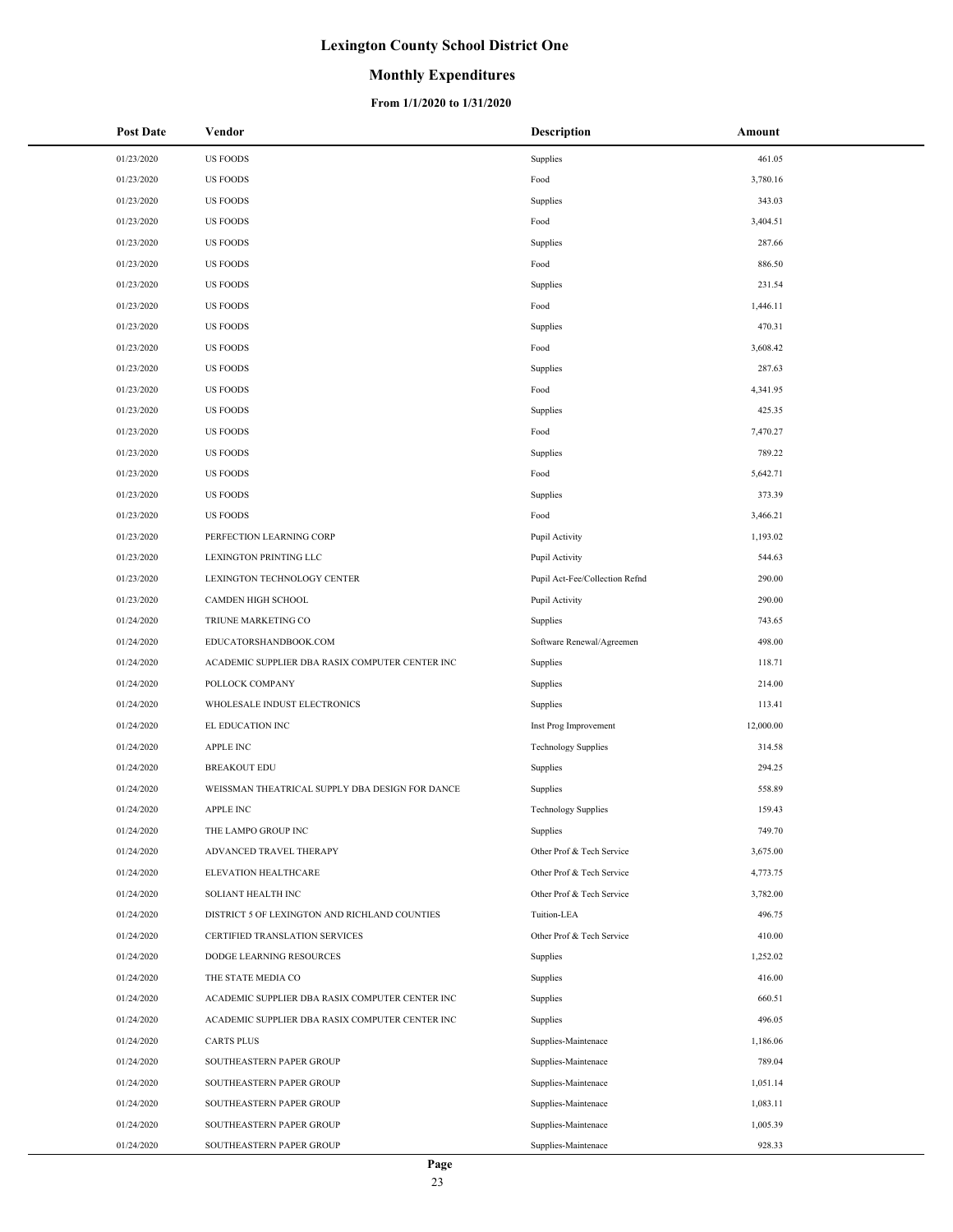### **Monthly Expenditures**

#### **From 1/1/2020 to 1/31/2020**

| <b>Post Date</b> | Vendor                                          | <b>Description</b>             | Amount    |
|------------------|-------------------------------------------------|--------------------------------|-----------|
| 01/23/2020       | <b>US FOODS</b>                                 | Supplies                       | 461.05    |
| 01/23/2020       | <b>US FOODS</b>                                 | Food                           | 3,780.16  |
| 01/23/2020       | <b>US FOODS</b>                                 | Supplies                       | 343.03    |
| 01/23/2020       | <b>US FOODS</b>                                 | Food                           | 3,404.51  |
| 01/23/2020       | <b>US FOODS</b>                                 | Supplies                       | 287.66    |
| 01/23/2020       | <b>US FOODS</b>                                 | Food                           | 886.50    |
| 01/23/2020       | <b>US FOODS</b>                                 | Supplies                       | 231.54    |
| 01/23/2020       | <b>US FOODS</b>                                 | Food                           | 1,446.11  |
| 01/23/2020       | <b>US FOODS</b>                                 | Supplies                       | 470.31    |
| 01/23/2020       | <b>US FOODS</b>                                 | Food                           | 3,608.42  |
| 01/23/2020       | <b>US FOODS</b>                                 | Supplies                       | 287.63    |
| 01/23/2020       | <b>US FOODS</b>                                 | Food                           | 4,341.95  |
| 01/23/2020       | <b>US FOODS</b>                                 | Supplies                       | 425.35    |
| 01/23/2020       | <b>US FOODS</b>                                 | Food                           | 7,470.27  |
| 01/23/2020       | <b>US FOODS</b>                                 | Supplies                       | 789.22    |
| 01/23/2020       | <b>US FOODS</b>                                 | Food                           | 5,642.71  |
| 01/23/2020       | <b>US FOODS</b>                                 | Supplies                       | 373.39    |
| 01/23/2020       | <b>US FOODS</b>                                 | Food                           | 3,466.21  |
| 01/23/2020       | PERFECTION LEARNING CORP                        | Pupil Activity                 | 1,193.02  |
| 01/23/2020       | LEXINGTON PRINTING LLC                          | Pupil Activity                 | 544.63    |
| 01/23/2020       | LEXINGTON TECHNOLOGY CENTER                     | Pupil Act-Fee/Collection Refnd | 290.00    |
| 01/23/2020       | CAMDEN HIGH SCHOOL                              | Pupil Activity                 | 290.00    |
| 01/24/2020       | TRIUNE MARKETING CO                             | Supplies                       | 743.65    |
| 01/24/2020       | EDUCATORSHANDBOOK.COM                           | Software Renewal/Agreemen      | 498.00    |
| 01/24/2020       | ACADEMIC SUPPLIER DBA RASIX COMPUTER CENTER INC | Supplies                       | 118.71    |
| 01/24/2020       | POLLOCK COMPANY                                 | Supplies                       | 214.00    |
| 01/24/2020       | WHOLESALE INDUST ELECTRONICS                    | Supplies                       | 113.41    |
| 01/24/2020       | EL EDUCATION INC                                | Inst Prog Improvement          | 12,000.00 |
| 01/24/2020       | <b>APPLE INC</b>                                | <b>Technology Supplies</b>     | 314.58    |
| 01/24/2020       | <b>BREAKOUT EDU</b>                             | Supplies                       | 294.25    |
| 01/24/2020       | WEISSMAN THEATRICAL SUPPLY DBA DESIGN FOR DANCE | Supplies                       | 558.89    |
| 01/24/2020       | APPLE INC                                       | <b>Technology Supplies</b>     | 159.43    |
| 01/24/2020       | THE LAMPO GROUP INC                             | Supplies                       | 749.70    |
| 01/24/2020       | ADVANCED TRAVEL THERAPY                         | Other Prof & Tech Service      | 3,675.00  |
| 01/24/2020       | ELEVATION HEALTHCARE                            | Other Prof & Tech Service      | 4,773.75  |
| 01/24/2020       | SOLIANT HEALTH INC                              | Other Prof & Tech Service      | 3,782.00  |
| 01/24/2020       | DISTRICT 5 OF LEXINGTON AND RICHLAND COUNTIES   | Tuition-LEA                    | 496.75    |
| 01/24/2020       | CERTIFIED TRANSLATION SERVICES                  | Other Prof & Tech Service      | 410.00    |
| 01/24/2020       | DODGE LEARNING RESOURCES                        | Supplies                       | 1,252.02  |
| 01/24/2020       | THE STATE MEDIA CO                              | Supplies                       | 416.00    |
| 01/24/2020       | ACADEMIC SUPPLIER DBA RASIX COMPUTER CENTER INC | Supplies                       | 660.51    |
| 01/24/2020       | ACADEMIC SUPPLIER DBA RASIX COMPUTER CENTER INC | Supplies                       | 496.05    |
| 01/24/2020       | <b>CARTS PLUS</b>                               | Supplies-Maintenace            | 1,186.06  |
| 01/24/2020       | SOUTHEASTERN PAPER GROUP                        | Supplies-Maintenace            | 789.04    |
| 01/24/2020       | SOUTHEASTERN PAPER GROUP                        | Supplies-Maintenace            | 1,051.14  |
| 01/24/2020       | SOUTHEASTERN PAPER GROUP                        | Supplies-Maintenace            | 1,083.11  |
| 01/24/2020       | SOUTHEASTERN PAPER GROUP                        | Supplies-Maintenace            | 1,005.39  |
| 01/24/2020       | SOUTHEASTERN PAPER GROUP                        | Supplies-Maintenace            | 928.33    |

 $\overline{\phantom{a}}$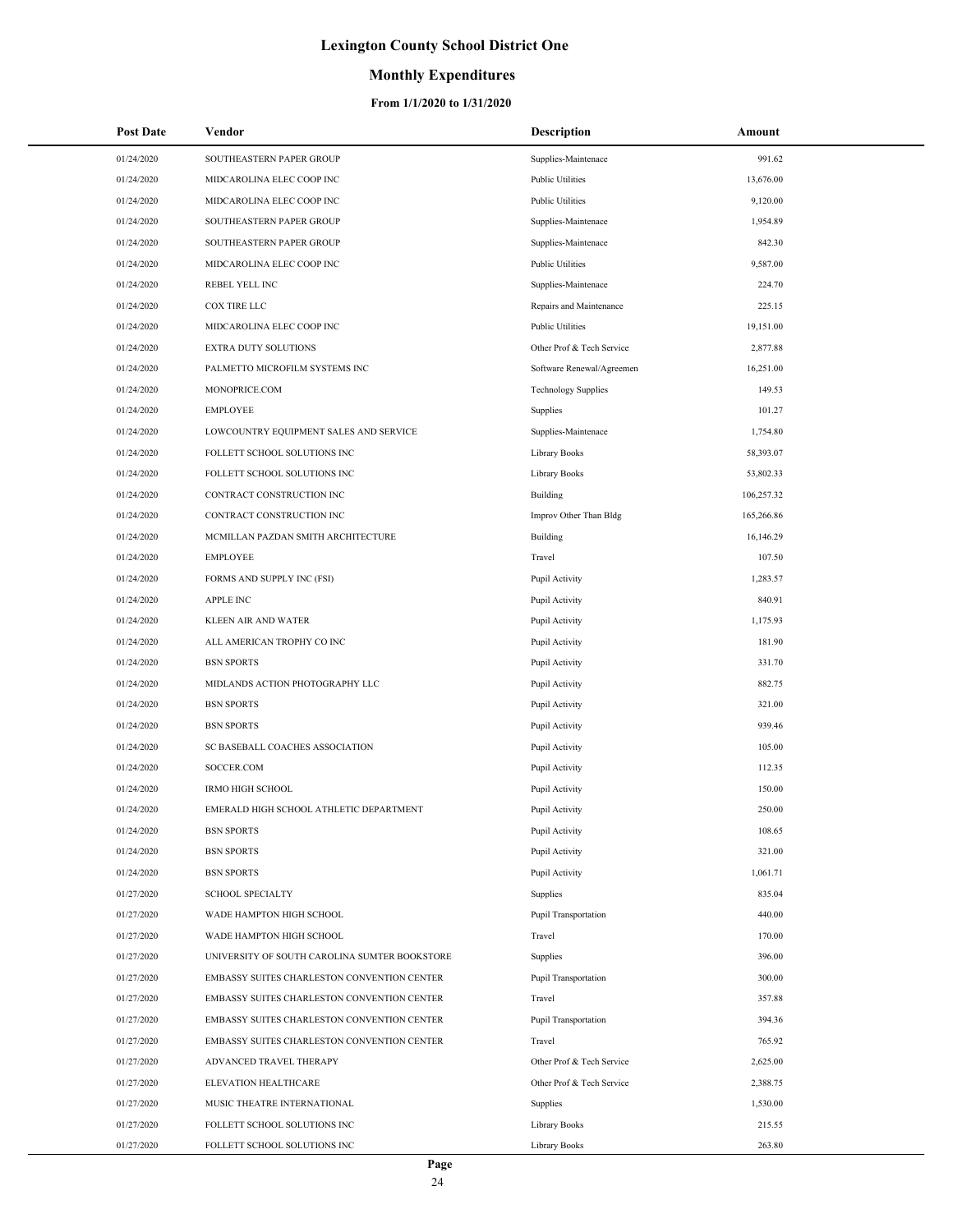## **Monthly Expenditures**

| <b>Post Date</b> | Vendor                                        | Description                 | Amount     |
|------------------|-----------------------------------------------|-----------------------------|------------|
| 01/24/2020       | SOUTHEASTERN PAPER GROUP                      | Supplies-Maintenace         | 991.62     |
| 01/24/2020       | MIDCAROLINA ELEC COOP INC                     | <b>Public Utilities</b>     | 13,676.00  |
| 01/24/2020       | MIDCAROLINA ELEC COOP INC                     | <b>Public Utilities</b>     | 9,120.00   |
| 01/24/2020       | SOUTHEASTERN PAPER GROUP                      | Supplies-Maintenace         | 1,954.89   |
| 01/24/2020       | SOUTHEASTERN PAPER GROUP                      | Supplies-Maintenace         | 842.30     |
| 01/24/2020       | MIDCAROLINA ELEC COOP INC                     | <b>Public Utilities</b>     | 9,587.00   |
| 01/24/2020       | REBEL YELL INC                                | Supplies-Maintenace         | 224.70     |
| 01/24/2020       | <b>COX TIRE LLC</b>                           | Repairs and Maintenance     | 225.15     |
| 01/24/2020       | MIDCAROLINA ELEC COOP INC                     | <b>Public Utilities</b>     | 19,151.00  |
| 01/24/2020       | EXTRA DUTY SOLUTIONS                          | Other Prof & Tech Service   | 2,877.88   |
| 01/24/2020       | PALMETTO MICROFILM SYSTEMS INC                | Software Renewal/Agreemen   | 16,251.00  |
| 01/24/2020       | MONOPRICE.COM                                 | <b>Technology Supplies</b>  | 149.53     |
| 01/24/2020       | <b>EMPLOYEE</b>                               | Supplies                    | 101.27     |
| 01/24/2020       | LOWCOUNTRY EQUIPMENT SALES AND SERVICE        | Supplies-Maintenace         | 1,754.80   |
| 01/24/2020       | FOLLETT SCHOOL SOLUTIONS INC                  | <b>Library Books</b>        | 58,393.07  |
| 01/24/2020       | FOLLETT SCHOOL SOLUTIONS INC                  | <b>Library Books</b>        | 53,802.33  |
| 01/24/2020       | CONTRACT CONSTRUCTION INC                     | Building                    | 106,257.32 |
| 01/24/2020       | CONTRACT CONSTRUCTION INC                     | Improv Other Than Bldg      | 165,266.86 |
| 01/24/2020       | MCMILLAN PAZDAN SMITH ARCHITECTURE            | Building                    | 16,146.29  |
| 01/24/2020       | <b>EMPLOYEE</b>                               | Travel                      | 107.50     |
| 01/24/2020       | FORMS AND SUPPLY INC (FSI)                    | Pupil Activity              | 1,283.57   |
| 01/24/2020       | <b>APPLE INC</b>                              | Pupil Activity              | 840.91     |
| 01/24/2020       | KLEEN AIR AND WATER                           | Pupil Activity              | 1,175.93   |
| 01/24/2020       | ALL AMERICAN TROPHY CO INC                    | Pupil Activity              | 181.90     |
| 01/24/2020       | <b>BSN SPORTS</b>                             | Pupil Activity              | 331.70     |
| 01/24/2020       | MIDLANDS ACTION PHOTOGRAPHY LLC               | Pupil Activity              | 882.75     |
| 01/24/2020       | <b>BSN SPORTS</b>                             | Pupil Activity              | 321.00     |
| 01/24/2020       | <b>BSN SPORTS</b>                             | Pupil Activity              | 939.46     |
| 01/24/2020       | SC BASEBALL COACHES ASSOCIATION               | Pupil Activity              | 105.00     |
| 01/24/2020       | SOCCER.COM                                    | Pupil Activity              | 112.35     |
| 01/24/2020       | <b>IRMO HIGH SCHOOL</b>                       | Pupil Activity              | 150.00     |
| 01/24/2020       | EMERALD HIGH SCHOOL ATHLETIC DEPARTMENT       | Pupil Activity              | 250.00     |
| 01/24/2020       | <b>BSN SPORTS</b>                             | Pupil Activity              | 108.65     |
| 01/24/2020       | <b>BSN SPORTS</b>                             | Pupil Activity              | 321.00     |
| 01/24/2020       | <b>BSN SPORTS</b>                             | Pupil Activity              | 1,061.71   |
| 01/27/2020       | <b>SCHOOL SPECIALTY</b>                       | Supplies                    | 835.04     |
| 01/27/2020       | WADE HAMPTON HIGH SCHOOL                      | Pupil Transportation        | 440.00     |
| 01/27/2020       | WADE HAMPTON HIGH SCHOOL                      | Travel                      | 170.00     |
| 01/27/2020       | UNIVERSITY OF SOUTH CAROLINA SUMTER BOOKSTORE | Supplies                    | 396.00     |
| 01/27/2020       | EMBASSY SUITES CHARLESTON CONVENTION CENTER   | <b>Pupil Transportation</b> | 300.00     |
| 01/27/2020       | EMBASSY SUITES CHARLESTON CONVENTION CENTER   | Travel                      | 357.88     |
| 01/27/2020       | EMBASSY SUITES CHARLESTON CONVENTION CENTER   | Pupil Transportation        | 394.36     |
| 01/27/2020       | EMBASSY SUITES CHARLESTON CONVENTION CENTER   | Travel                      | 765.92     |
| 01/27/2020       | ADVANCED TRAVEL THERAPY                       | Other Prof & Tech Service   | 2,625.00   |
| 01/27/2020       | ELEVATION HEALTHCARE                          | Other Prof & Tech Service   | 2,388.75   |
| 01/27/2020       | MUSIC THEATRE INTERNATIONAL                   | Supplies                    | 1,530.00   |
| 01/27/2020       | FOLLETT SCHOOL SOLUTIONS INC                  | <b>Library Books</b>        | 215.55     |
| 01/27/2020       | FOLLETT SCHOOL SOLUTIONS INC                  | Library Books               | 263.80     |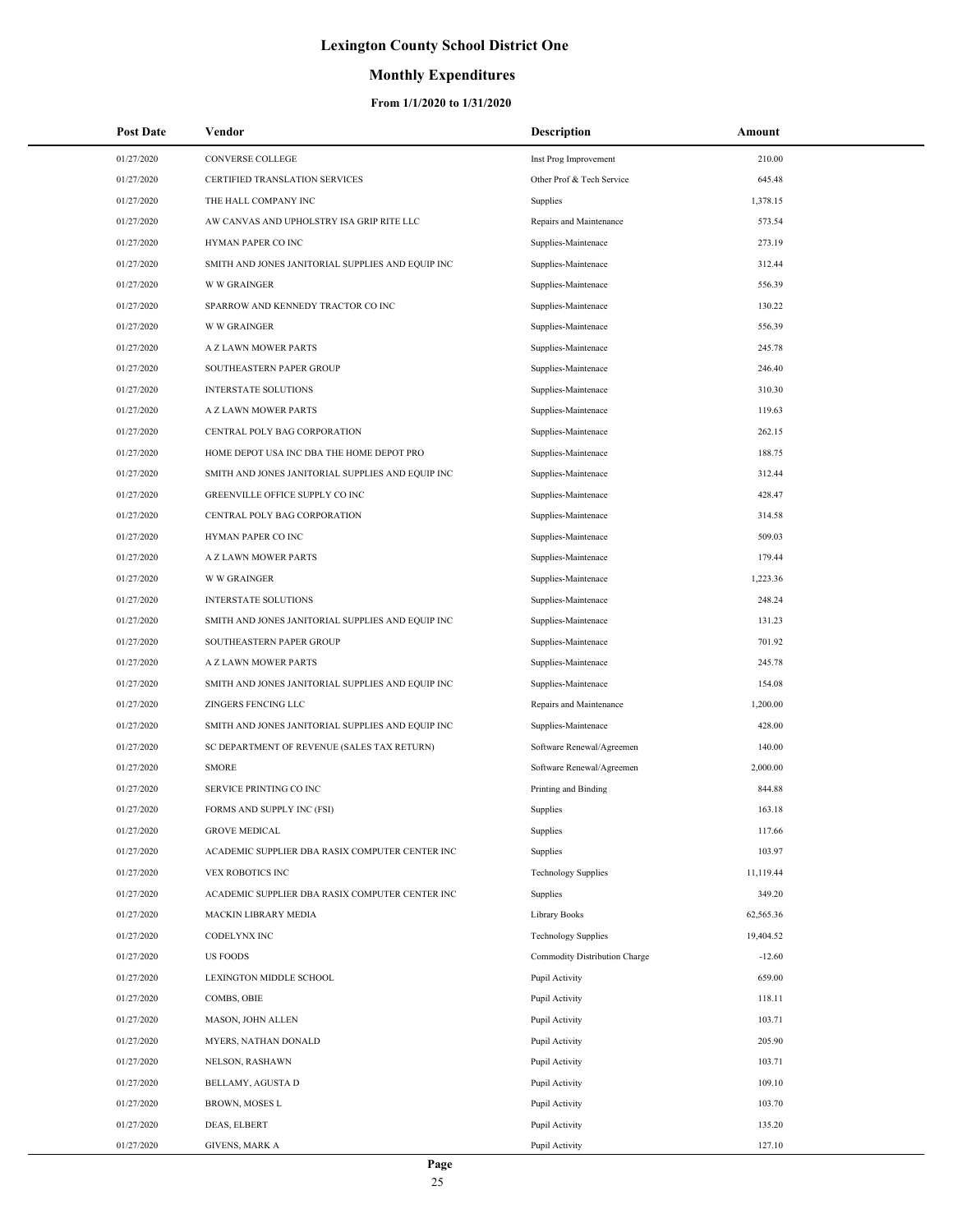## **Monthly Expenditures**

| <b>Post Date</b> | Vendor                                            | <b>Description</b>            | Amount    |
|------------------|---------------------------------------------------|-------------------------------|-----------|
| 01/27/2020       | CONVERSE COLLEGE                                  | Inst Prog Improvement         | 210.00    |
| 01/27/2020       | CERTIFIED TRANSLATION SERVICES                    | Other Prof & Tech Service     | 645.48    |
| 01/27/2020       | THE HALL COMPANY INC                              | Supplies                      | 1,378.15  |
| 01/27/2020       | AW CANVAS AND UPHOLSTRY ISA GRIP RITE LLC         | Repairs and Maintenance       | 573.54    |
| 01/27/2020       | HYMAN PAPER CO INC                                | Supplies-Maintenace           | 273.19    |
| 01/27/2020       | SMITH AND JONES JANITORIAL SUPPLIES AND EQUIP INC | Supplies-Maintenace           | 312.44    |
| 01/27/2020       | <b>W W GRAINGER</b>                               | Supplies-Maintenace           | 556.39    |
| 01/27/2020       | SPARROW AND KENNEDY TRACTOR CO INC                | Supplies-Maintenace           | 130.22    |
| 01/27/2020       | <b>W W GRAINGER</b>                               | Supplies-Maintenace           | 556.39    |
| 01/27/2020       | A Z LAWN MOWER PARTS                              | Supplies-Maintenace           | 245.78    |
| 01/27/2020       | SOUTHEASTERN PAPER GROUP                          | Supplies-Maintenace           | 246.40    |
| 01/27/2020       | <b>INTERSTATE SOLUTIONS</b>                       | Supplies-Maintenace           | 310.30    |
| 01/27/2020       | A Z LAWN MOWER PARTS                              | Supplies-Maintenace           | 119.63    |
| 01/27/2020       | CENTRAL POLY BAG CORPORATION                      | Supplies-Maintenace           | 262.15    |
| 01/27/2020       | HOME DEPOT USA INC DBA THE HOME DEPOT PRO         | Supplies-Maintenace           | 188.75    |
| 01/27/2020       | SMITH AND JONES JANITORIAL SUPPLIES AND EQUIP INC | Supplies-Maintenace           | 312.44    |
| 01/27/2020       | GREENVILLE OFFICE SUPPLY CO INC                   | Supplies-Maintenace           | 428.47    |
| 01/27/2020       | CENTRAL POLY BAG CORPORATION                      | Supplies-Maintenace           | 314.58    |
| 01/27/2020       | HYMAN PAPER CO INC                                | Supplies-Maintenace           | 509.03    |
| 01/27/2020       | A Z LAWN MOWER PARTS                              | Supplies-Maintenace           | 179.44    |
| 01/27/2020       | <b>W W GRAINGER</b>                               | Supplies-Maintenace           | 1,223.36  |
| 01/27/2020       | <b>INTERSTATE SOLUTIONS</b>                       | Supplies-Maintenace           | 248.24    |
| 01/27/2020       | SMITH AND JONES JANITORIAL SUPPLIES AND EQUIP INC | Supplies-Maintenace           | 131.23    |
| 01/27/2020       | SOUTHEASTERN PAPER GROUP                          | Supplies-Maintenace           | 701.92    |
| 01/27/2020       | A Z LAWN MOWER PARTS                              | Supplies-Maintenace           | 245.78    |
| 01/27/2020       | SMITH AND JONES JANITORIAL SUPPLIES AND EQUIP INC | Supplies-Maintenace           | 154.08    |
| 01/27/2020       | ZINGERS FENCING LLC                               | Repairs and Maintenance       | 1,200.00  |
| 01/27/2020       | SMITH AND JONES JANITORIAL SUPPLIES AND EQUIP INC | Supplies-Maintenace           | 428.00    |
| 01/27/2020       | SC DEPARTMENT OF REVENUE (SALES TAX RETURN)       | Software Renewal/Agreemen     | 140.00    |
| 01/27/2020       | <b>SMORE</b>                                      | Software Renewal/Agreemen     | 2,000.00  |
| 01/27/2020       | SERVICE PRINTING CO INC                           | Printing and Binding          | 844.88    |
| 01/27/2020       | FORMS AND SUPPLY INC (FSI)                        | Supplies                      | 163.18    |
| 01/27/2020       | <b>GROVE MEDICAL</b>                              | Supplies                      | 117.66    |
| 01/27/2020       | ACADEMIC SUPPLIER DBA RASIX COMPUTER CENTER INC   | Supplies                      | 103.97    |
| 01/27/2020       | VEX ROBOTICS INC                                  | <b>Technology Supplies</b>    | 11,119.44 |
| 01/27/2020       | ACADEMIC SUPPLIER DBA RASIX COMPUTER CENTER INC   | Supplies                      | 349.20    |
| 01/27/2020       | MACKIN LIBRARY MEDIA                              | Library Books                 | 62,565.36 |
| 01/27/2020       | CODELYNX INC                                      | <b>Technology Supplies</b>    | 19,404.52 |
| 01/27/2020       | <b>US FOODS</b>                                   | Commodity Distribution Charge | $-12.60$  |
| 01/27/2020       | LEXINGTON MIDDLE SCHOOL                           | Pupil Activity                | 659.00    |
| 01/27/2020       | COMBS, OBIE                                       | Pupil Activity                | 118.11    |
| 01/27/2020       | MASON, JOHN ALLEN                                 | Pupil Activity                | 103.71    |
| 01/27/2020       | MYERS, NATHAN DONALD                              | Pupil Activity                | 205.90    |
| 01/27/2020       | NELSON, RASHAWN                                   | Pupil Activity                | 103.71    |
| 01/27/2020       | BELLAMY, AGUSTA D                                 | Pupil Activity                | 109.10    |
| 01/27/2020       | BROWN, MOSES L                                    | Pupil Activity                | 103.70    |
| 01/27/2020       | DEAS, ELBERT                                      | Pupil Activity                | 135.20    |
| 01/27/2020       | <b>GIVENS, MARK A</b>                             | Pupil Activity                | 127.10    |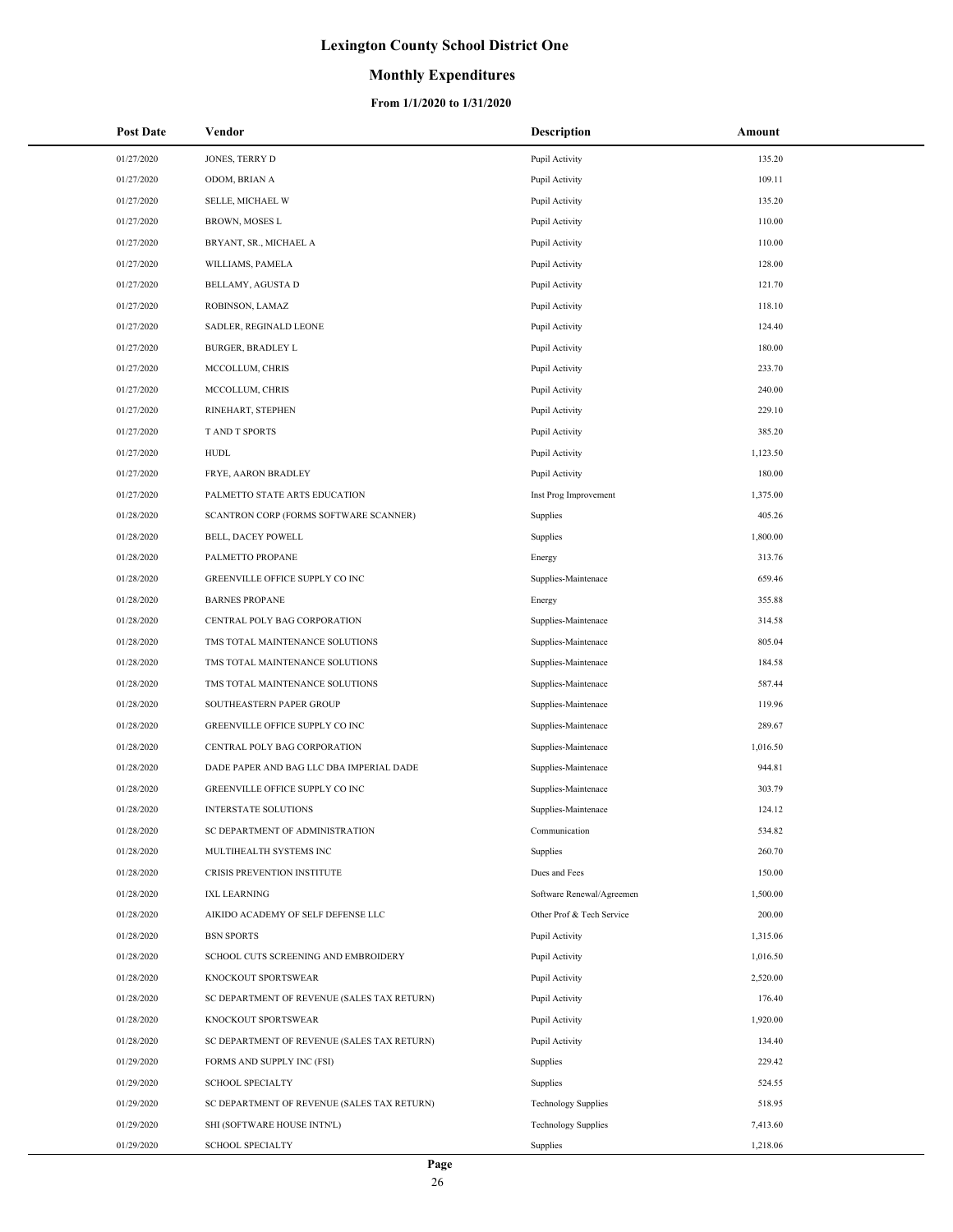## **Monthly Expenditures**

| <b>Post Date</b> | Vendor                                      | <b>Description</b>         | Amount   |
|------------------|---------------------------------------------|----------------------------|----------|
| 01/27/2020       | JONES, TERRY D                              | Pupil Activity             | 135.20   |
| 01/27/2020       | ODOM, BRIAN A                               | Pupil Activity             | 109.11   |
| 01/27/2020       | SELLE, MICHAEL W                            | Pupil Activity             | 135.20   |
| 01/27/2020       | BROWN, MOSES L                              | Pupil Activity             | 110.00   |
| 01/27/2020       | BRYANT, SR., MICHAEL A                      | Pupil Activity             | 110.00   |
| 01/27/2020       | WILLIAMS, PAMELA                            | Pupil Activity             | 128.00   |
| 01/27/2020       | BELLAMY, AGUSTA D                           | Pupil Activity             | 121.70   |
| 01/27/2020       | ROBINSON, LAMAZ                             | Pupil Activity             | 118.10   |
| 01/27/2020       | SADLER, REGINALD LEONE                      | Pupil Activity             | 124.40   |
| 01/27/2020       | <b>BURGER, BRADLEY L</b>                    | Pupil Activity             | 180.00   |
| 01/27/2020       | MCCOLLUM, CHRIS                             | Pupil Activity             | 233.70   |
| 01/27/2020       | MCCOLLUM, CHRIS                             | Pupil Activity             | 240.00   |
| 01/27/2020       | RINEHART, STEPHEN                           | Pupil Activity             | 229.10   |
| 01/27/2020       | T AND T SPORTS                              | Pupil Activity             | 385.20   |
| 01/27/2020       | <b>HUDL</b>                                 | Pupil Activity             | 1,123.50 |
| 01/27/2020       | FRYE, AARON BRADLEY                         | Pupil Activity             | 180.00   |
| 01/27/2020       | PALMETTO STATE ARTS EDUCATION               | Inst Prog Improvement      | 1,375.00 |
| 01/28/2020       | SCANTRON CORP (FORMS SOFTWARE SCANNER)      | Supplies                   | 405.26   |
| 01/28/2020       | <b>BELL, DACEY POWELL</b>                   | Supplies                   | 1,800.00 |
| 01/28/2020       | PALMETTO PROPANE                            | Energy                     | 313.76   |
| 01/28/2020       | GREENVILLE OFFICE SUPPLY CO INC             | Supplies-Maintenace        | 659.46   |
| 01/28/2020       | <b>BARNES PROPANE</b>                       | Energy                     | 355.88   |
| 01/28/2020       | CENTRAL POLY BAG CORPORATION                | Supplies-Maintenace        | 314.58   |
| 01/28/2020       | TMS TOTAL MAINTENANCE SOLUTIONS             | Supplies-Maintenace        | 805.04   |
| 01/28/2020       | TMS TOTAL MAINTENANCE SOLUTIONS             | Supplies-Maintenace        | 184.58   |
| 01/28/2020       | TMS TOTAL MAINTENANCE SOLUTIONS             | Supplies-Maintenace        | 587.44   |
| 01/28/2020       | SOUTHEASTERN PAPER GROUP                    | Supplies-Maintenace        | 119.96   |
| 01/28/2020       | GREENVILLE OFFICE SUPPLY CO INC             | Supplies-Maintenace        | 289.67   |
| 01/28/2020       | CENTRAL POLY BAG CORPORATION                | Supplies-Maintenace        | 1,016.50 |
| 01/28/2020       | DADE PAPER AND BAG LLC DBA IMPERIAL DADE    | Supplies-Maintenace        | 944.81   |
| 01/28/2020       | GREENVILLE OFFICE SUPPLY CO INC             | Supplies-Maintenace        | 303.79   |
| 01/28/2020       | <b>INTERSTATE SOLUTIONS</b>                 | Supplies-Maintenace        | 124.12   |
| 01/28/2020       | SC DEPARTMENT OF ADMINISTRATION             | Communication              | 534.82   |
| 01/28/2020       | MULTIHEALTH SYSTEMS INC                     | Supplies                   | 260.70   |
| 01/28/2020       | CRISIS PREVENTION INSTITUTE                 | Dues and Fees              | 150.00   |
| 01/28/2020       | <b>IXL LEARNING</b>                         | Software Renewal/Agreemen  | 1,500.00 |
| 01/28/2020       | AIKIDO ACADEMY OF SELF DEFENSE LLC          | Other Prof & Tech Service  | 200.00   |
| 01/28/2020       | <b>BSN SPORTS</b>                           | Pupil Activity             | 1,315.06 |
| 01/28/2020       | SCHOOL CUTS SCREENING AND EMBROIDERY        | Pupil Activity             | 1,016.50 |
| 01/28/2020       | KNOCKOUT SPORTSWEAR                         | Pupil Activity             | 2,520.00 |
| 01/28/2020       | SC DEPARTMENT OF REVENUE (SALES TAX RETURN) | Pupil Activity             | 176.40   |
| 01/28/2020       | KNOCKOUT SPORTSWEAR                         | Pupil Activity             | 1,920.00 |
| 01/28/2020       | SC DEPARTMENT OF REVENUE (SALES TAX RETURN) | Pupil Activity             | 134.40   |
| 01/29/2020       | FORMS AND SUPPLY INC (FSI)                  | Supplies                   | 229.42   |
| 01/29/2020       | <b>SCHOOL SPECIALTY</b>                     | Supplies                   | 524.55   |
| 01/29/2020       | SC DEPARTMENT OF REVENUE (SALES TAX RETURN) | <b>Technology Supplies</b> | 518.95   |
| 01/29/2020       | SHI (SOFTWARE HOUSE INTN'L)                 | <b>Technology Supplies</b> | 7,413.60 |
| 01/29/2020       | <b>SCHOOL SPECIALTY</b>                     | Supplies                   | 1,218.06 |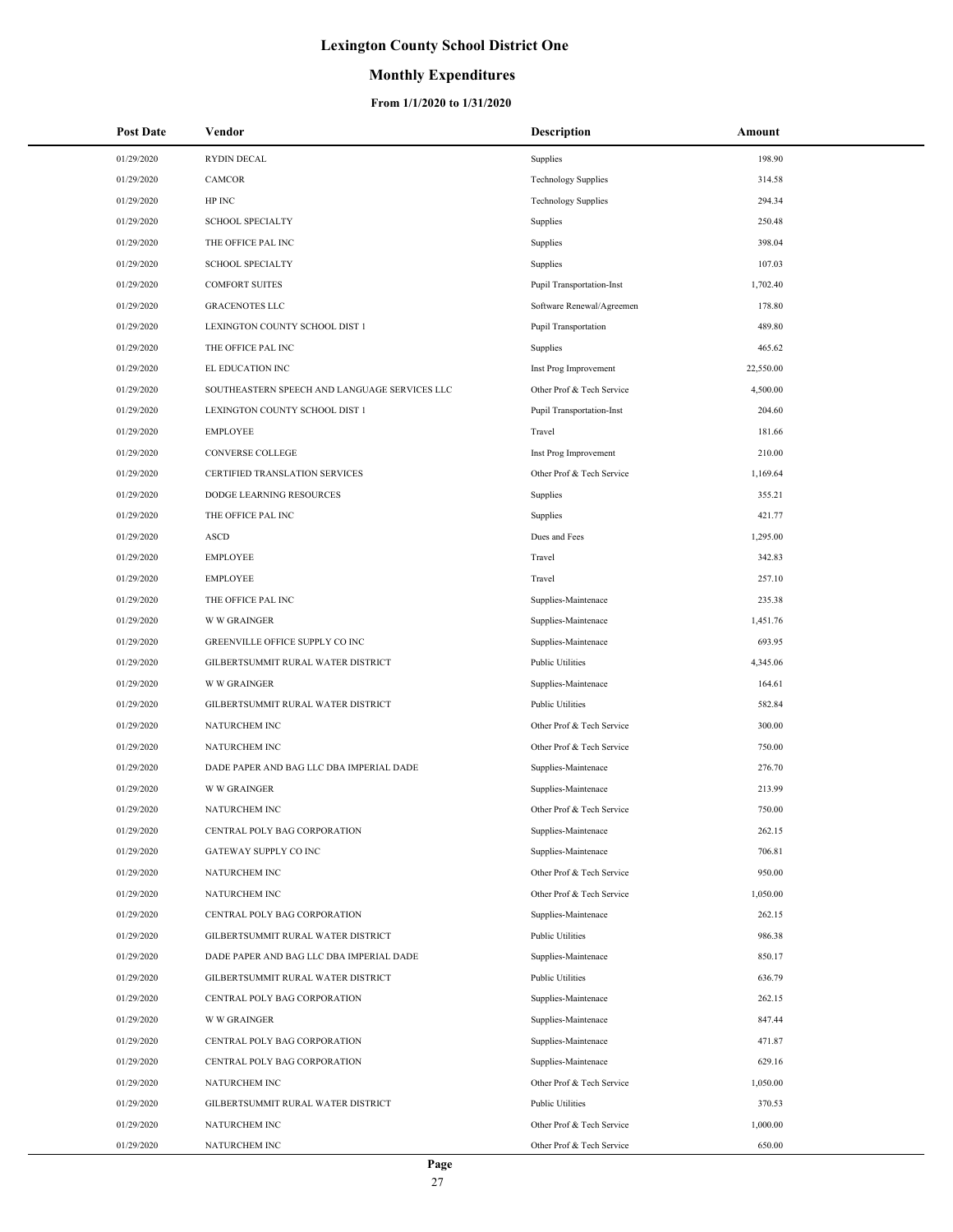## **Monthly Expenditures**

| <b>Post Date</b> | Vendor                                        | <b>Description</b>               | Amount    |
|------------------|-----------------------------------------------|----------------------------------|-----------|
| 01/29/2020       | <b>RYDIN DECAL</b>                            | Supplies                         | 198.90    |
| 01/29/2020       | CAMCOR                                        | <b>Technology Supplies</b>       | 314.58    |
| 01/29/2020       | HP INC                                        | <b>Technology Supplies</b>       | 294.34    |
| 01/29/2020       | <b>SCHOOL SPECIALTY</b>                       | Supplies                         | 250.48    |
| 01/29/2020       | THE OFFICE PAL INC                            | Supplies                         | 398.04    |
| 01/29/2020       | <b>SCHOOL SPECIALTY</b>                       | Supplies                         | 107.03    |
| 01/29/2020       | <b>COMFORT SUITES</b>                         | <b>Pupil Transportation-Inst</b> | 1,702.40  |
| 01/29/2020       | <b>GRACENOTES LLC</b>                         | Software Renewal/Agreemen        | 178.80    |
| 01/29/2020       | LEXINGTON COUNTY SCHOOL DIST 1                | Pupil Transportation             | 489.80    |
| 01/29/2020       | THE OFFICE PAL INC                            | Supplies                         | 465.62    |
| 01/29/2020       | EL EDUCATION INC                              | Inst Prog Improvement            | 22,550.00 |
| 01/29/2020       | SOUTHEASTERN SPEECH AND LANGUAGE SERVICES LLC | Other Prof & Tech Service        | 4,500.00  |
| 01/29/2020       | LEXINGTON COUNTY SCHOOL DIST 1                | <b>Pupil Transportation-Inst</b> | 204.60    |
| 01/29/2020       | <b>EMPLOYEE</b>                               | Travel                           | 181.66    |
| 01/29/2020       | <b>CONVERSE COLLEGE</b>                       | Inst Prog Improvement            | 210.00    |
| 01/29/2020       | CERTIFIED TRANSLATION SERVICES                | Other Prof & Tech Service        | 1,169.64  |
| 01/29/2020       | DODGE LEARNING RESOURCES                      | Supplies                         | 355.21    |
| 01/29/2020       | THE OFFICE PAL INC                            | Supplies                         | 421.77    |
| 01/29/2020       | <b>ASCD</b>                                   | Dues and Fees                    | 1,295.00  |
| 01/29/2020       | <b>EMPLOYEE</b>                               | Travel                           | 342.83    |
| 01/29/2020       | <b>EMPLOYEE</b>                               | Travel                           | 257.10    |
| 01/29/2020       | THE OFFICE PAL INC                            | Supplies-Maintenace              | 235.38    |
| 01/29/2020       | <b>W W GRAINGER</b>                           | Supplies-Maintenace              | 1,451.76  |
| 01/29/2020       | GREENVILLE OFFICE SUPPLY CO INC               | Supplies-Maintenace              | 693.95    |
| 01/29/2020       | GILBERTSUMMIT RURAL WATER DISTRICT            | Public Utilities                 | 4,345.06  |
| 01/29/2020       | <b>W W GRAINGER</b>                           | Supplies-Maintenace              | 164.61    |
| 01/29/2020       | GILBERTSUMMIT RURAL WATER DISTRICT            | <b>Public Utilities</b>          | 582.84    |
| 01/29/2020       | NATURCHEM INC                                 | Other Prof & Tech Service        | 300.00    |
| 01/29/2020       | NATURCHEM INC                                 | Other Prof & Tech Service        | 750.00    |
| 01/29/2020       | DADE PAPER AND BAG LLC DBA IMPERIAL DADE      | Supplies-Maintenace              | 276.70    |
| 01/29/2020       | <b>W W GRAINGER</b>                           | Supplies-Maintenace              | 213.99    |
| 01/29/2020       | <b>NATURCHEM INC</b>                          | Other Prof & Tech Service        | 750.00    |
| 01/29/2020       | CENTRAL POLY BAG CORPORATION                  | Supplies-Maintenace              | 262.15    |
| 01/29/2020       | GATEWAY SUPPLY CO INC                         | Supplies-Maintenace              | 706.81    |
| 01/29/2020       | NATURCHEM INC                                 | Other Prof & Tech Service        | 950.00    |
| 01/29/2020       | NATURCHEM INC                                 | Other Prof & Tech Service        | 1,050.00  |
| 01/29/2020       | CENTRAL POLY BAG CORPORATION                  | Supplies-Maintenace              | 262.15    |
| 01/29/2020       | GILBERTSUMMIT RURAL WATER DISTRICT            | Public Utilities                 | 986.38    |
| 01/29/2020       | DADE PAPER AND BAG LLC DBA IMPERIAL DADE      | Supplies-Maintenace              | 850.17    |
| 01/29/2020       | GILBERTSUMMIT RURAL WATER DISTRICT            | <b>Public Utilities</b>          | 636.79    |
| 01/29/2020       | CENTRAL POLY BAG CORPORATION                  | Supplies-Maintenace              | 262.15    |
| 01/29/2020       | <b>W W GRAINGER</b>                           | Supplies-Maintenace              | 847.44    |
| 01/29/2020       | CENTRAL POLY BAG CORPORATION                  | Supplies-Maintenace              | 471.87    |
| 01/29/2020       | CENTRAL POLY BAG CORPORATION                  | Supplies-Maintenace              | 629.16    |
| 01/29/2020       | NATURCHEM INC                                 | Other Prof & Tech Service        | 1,050.00  |
| 01/29/2020       | GILBERTSUMMIT RURAL WATER DISTRICT            | <b>Public Utilities</b>          | 370.53    |
| 01/29/2020       | NATURCHEM INC                                 | Other Prof & Tech Service        | 1,000.00  |
| 01/29/2020       | NATURCHEM INC                                 | Other Prof & Tech Service        | 650.00    |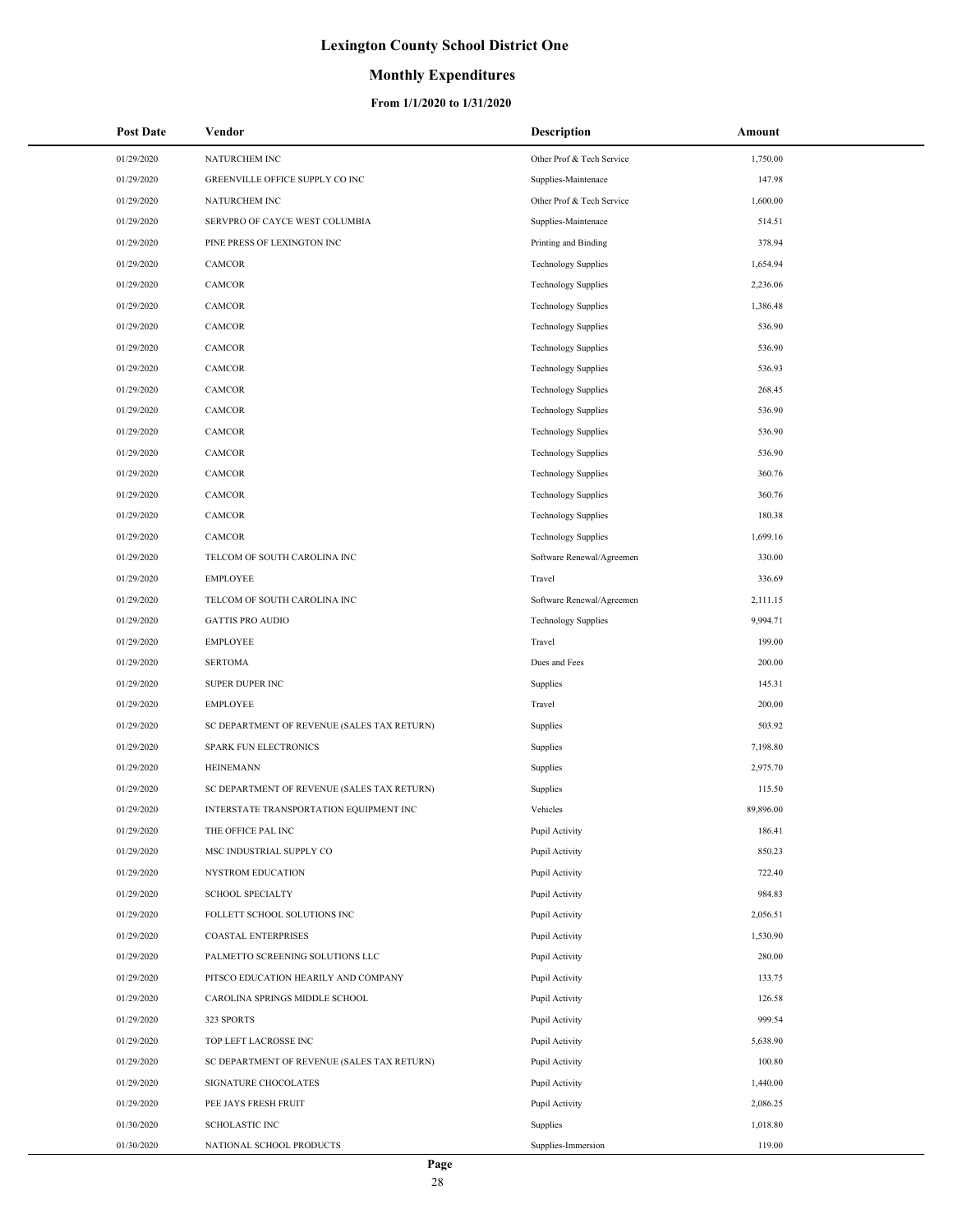### **Monthly Expenditures**

| <b>Post Date</b> | Vendor                                      | <b>Description</b>         | Amount    |
|------------------|---------------------------------------------|----------------------------|-----------|
| 01/29/2020       | NATURCHEM INC                               | Other Prof & Tech Service  | 1,750.00  |
| 01/29/2020       | GREENVILLE OFFICE SUPPLY CO INC             | Supplies-Maintenace        | 147.98    |
| 01/29/2020       | NATURCHEM INC                               | Other Prof & Tech Service  | 1,600.00  |
| 01/29/2020       | SERVPRO OF CAYCE WEST COLUMBIA              | Supplies-Maintenace        | 514.51    |
| 01/29/2020       | PINE PRESS OF LEXINGTON INC                 | Printing and Binding       | 378.94    |
| 01/29/2020       | CAMCOR                                      | <b>Technology Supplies</b> | 1,654.94  |
| 01/29/2020       | CAMCOR                                      | <b>Technology Supplies</b> | 2,236.06  |
| 01/29/2020       | CAMCOR                                      | <b>Technology Supplies</b> | 1,386.48  |
| 01/29/2020       | <b>CAMCOR</b>                               | <b>Technology Supplies</b> | 536.90    |
| 01/29/2020       | CAMCOR                                      | <b>Technology Supplies</b> | 536.90    |
| 01/29/2020       | CAMCOR                                      | <b>Technology Supplies</b> | 536.93    |
| 01/29/2020       | CAMCOR                                      | <b>Technology Supplies</b> | 268.45    |
| 01/29/2020       | CAMCOR                                      | <b>Technology Supplies</b> | 536.90    |
| 01/29/2020       | CAMCOR                                      | <b>Technology Supplies</b> | 536.90    |
| 01/29/2020       | CAMCOR                                      | <b>Technology Supplies</b> | 536.90    |
| 01/29/2020       | CAMCOR                                      | <b>Technology Supplies</b> | 360.76    |
| 01/29/2020       | CAMCOR                                      | <b>Technology Supplies</b> | 360.76    |
| 01/29/2020       | CAMCOR                                      | <b>Technology Supplies</b> | 180.38    |
| 01/29/2020       | CAMCOR                                      | <b>Technology Supplies</b> | 1,699.16  |
| 01/29/2020       | TELCOM OF SOUTH CAROLINA INC                | Software Renewal/Agreemen  | 330.00    |
| 01/29/2020       | <b>EMPLOYEE</b>                             | Travel                     | 336.69    |
| 01/29/2020       | TELCOM OF SOUTH CAROLINA INC                | Software Renewal/Agreemen  | 2,111.15  |
| 01/29/2020       | <b>GATTIS PRO AUDIO</b>                     | <b>Technology Supplies</b> | 9,994.71  |
| 01/29/2020       | <b>EMPLOYEE</b>                             | Travel                     | 199.00    |
| 01/29/2020       | <b>SERTOMA</b>                              | Dues and Fees              | 200.00    |
| 01/29/2020       | SUPER DUPER INC                             | Supplies                   | 145.31    |
| 01/29/2020       | <b>EMPLOYEE</b>                             | Travel                     | 200.00    |
| 01/29/2020       | SC DEPARTMENT OF REVENUE (SALES TAX RETURN) | Supplies                   | 503.92    |
| 01/29/2020       | SPARK FUN ELECTRONICS                       | Supplies                   | 7,198.80  |
| 01/29/2020       | <b>HEINEMANN</b>                            | Supplies                   | 2,975.70  |
| 01/29/2020       | SC DEPARTMENT OF REVENUE (SALES TAX RETURN) | Supplies                   | 115.50    |
| 01/29/2020       | INTERSTATE TRANSPORTATION EQUIPMENT INC     | Vehicles                   | 89,896.00 |
| 01/29/2020       | THE OFFICE PAL INC                          | Pupil Activity             | 186.41    |
| 01/29/2020       | MSC INDUSTRIAL SUPPLY CO                    | Pupil Activity             | 850.23    |
| 01/29/2020       | NYSTROM EDUCATION                           | Pupil Activity             | 722.40    |
| 01/29/2020       | <b>SCHOOL SPECIALTY</b>                     | Pupil Activity             | 984.83    |
| 01/29/2020       | FOLLETT SCHOOL SOLUTIONS INC                | Pupil Activity             | 2,056.51  |
| 01/29/2020       | <b>COASTAL ENTERPRISES</b>                  | Pupil Activity             | 1,530.90  |
| 01/29/2020       | PALMETTO SCREENING SOLUTIONS LLC            | Pupil Activity             | 280.00    |
| 01/29/2020       | PITSCO EDUCATION HEARILY AND COMPANY        | Pupil Activity             | 133.75    |
| 01/29/2020       | CAROLINA SPRINGS MIDDLE SCHOOL              | Pupil Activity             | 126.58    |
| 01/29/2020       | 323 SPORTS                                  | Pupil Activity             | 999.54    |
| 01/29/2020       | TOP LEFT LACROSSE INC                       | Pupil Activity             | 5,638.90  |
| 01/29/2020       | SC DEPARTMENT OF REVENUE (SALES TAX RETURN) | Pupil Activity             | 100.80    |
| 01/29/2020       | SIGNATURE CHOCOLATES                        | Pupil Activity             | 1,440.00  |
| 01/29/2020       | PEE JAYS FRESH FRUIT                        | Pupil Activity             | 2,086.25  |
| 01/30/2020       | <b>SCHOLASTIC INC</b>                       | Supplies                   | 1,018.80  |
| 01/30/2020       | NATIONAL SCHOOL PRODUCTS                    | Supplies-Immersion         | 119.00    |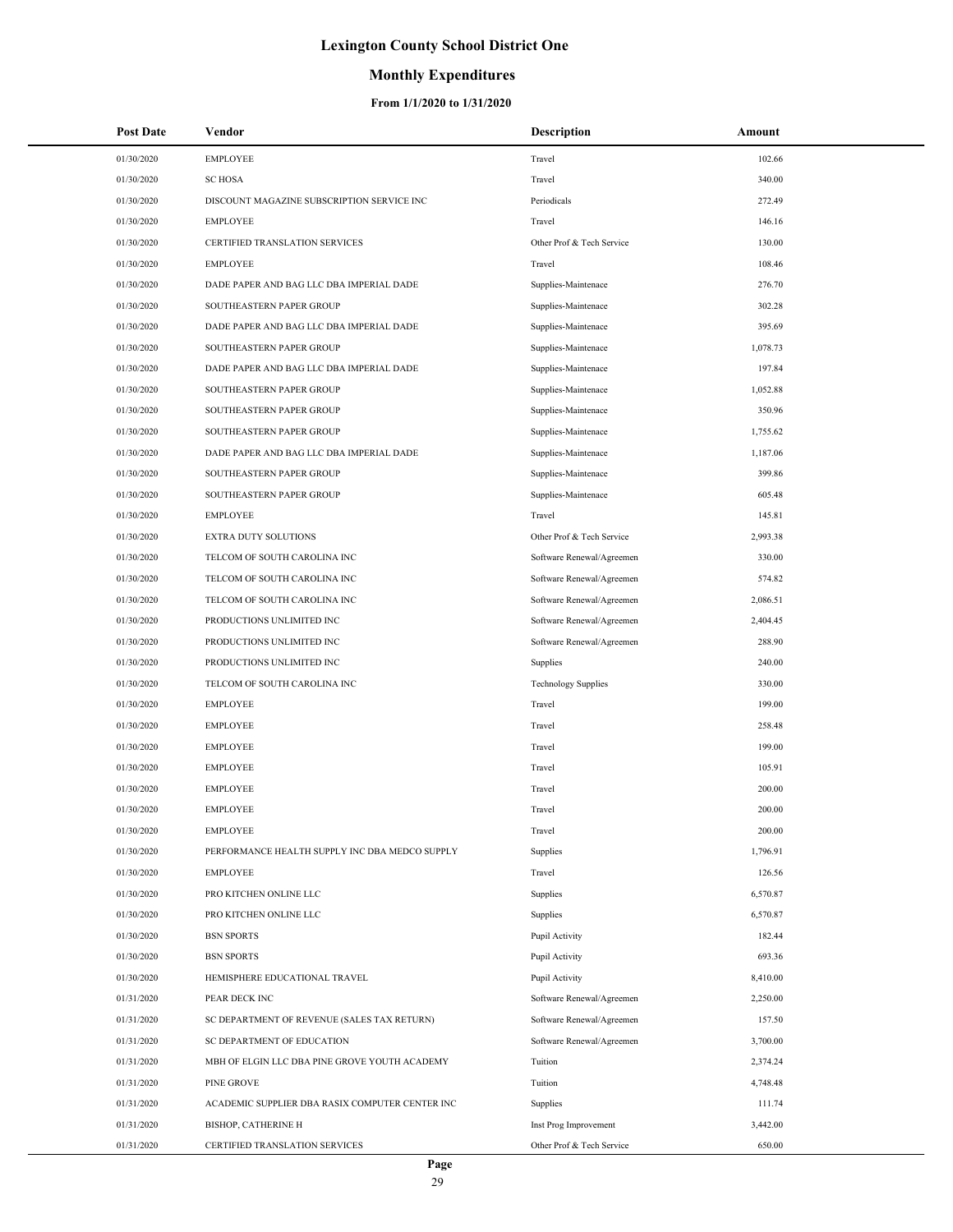### **Monthly Expenditures**

| <b>Post Date</b> | Vendor                                          | <b>Description</b>         | Amount   |
|------------------|-------------------------------------------------|----------------------------|----------|
| 01/30/2020       | <b>EMPLOYEE</b>                                 | Travel                     | 102.66   |
| 01/30/2020       | <b>SC HOSA</b>                                  | Travel                     | 340.00   |
| 01/30/2020       | DISCOUNT MAGAZINE SUBSCRIPTION SERVICE INC      | Periodicals                | 272.49   |
| 01/30/2020       | <b>EMPLOYEE</b>                                 | Travel                     | 146.16   |
| 01/30/2020       | CERTIFIED TRANSLATION SERVICES                  | Other Prof & Tech Service  | 130.00   |
| 01/30/2020       | <b>EMPLOYEE</b>                                 | Travel                     | 108.46   |
| 01/30/2020       | DADE PAPER AND BAG LLC DBA IMPERIAL DADE        | Supplies-Maintenace        | 276.70   |
| 01/30/2020       | SOUTHEASTERN PAPER GROUP                        | Supplies-Maintenace        | 302.28   |
| 01/30/2020       | DADE PAPER AND BAG LLC DBA IMPERIAL DADE        | Supplies-Maintenace        | 395.69   |
| 01/30/2020       | SOUTHEASTERN PAPER GROUP                        | Supplies-Maintenace        | 1,078.73 |
| 01/30/2020       | DADE PAPER AND BAG LLC DBA IMPERIAL DADE        | Supplies-Maintenace        | 197.84   |
| 01/30/2020       | SOUTHEASTERN PAPER GROUP                        | Supplies-Maintenace        | 1,052.88 |
| 01/30/2020       | SOUTHEASTERN PAPER GROUP                        | Supplies-Maintenace        | 350.96   |
| 01/30/2020       | SOUTHEASTERN PAPER GROUP                        | Supplies-Maintenace        | 1,755.62 |
| 01/30/2020       | DADE PAPER AND BAG LLC DBA IMPERIAL DADE        | Supplies-Maintenace        | 1,187.06 |
| 01/30/2020       | SOUTHEASTERN PAPER GROUP                        | Supplies-Maintenace        | 399.86   |
| 01/30/2020       | SOUTHEASTERN PAPER GROUP                        | Supplies-Maintenace        | 605.48   |
| 01/30/2020       | <b>EMPLOYEE</b>                                 | Travel                     | 145.81   |
| 01/30/2020       | EXTRA DUTY SOLUTIONS                            | Other Prof & Tech Service  | 2,993.38 |
| 01/30/2020       | TELCOM OF SOUTH CAROLINA INC                    | Software Renewal/Agreemen  | 330.00   |
| 01/30/2020       | TELCOM OF SOUTH CAROLINA INC                    | Software Renewal/Agreemen  | 574.82   |
| 01/30/2020       | TELCOM OF SOUTH CAROLINA INC                    | Software Renewal/Agreemen  | 2,086.51 |
| 01/30/2020       | PRODUCTIONS UNLIMITED INC                       | Software Renewal/Agreemen  | 2,404.45 |
| 01/30/2020       | PRODUCTIONS UNLIMITED INC                       | Software Renewal/Agreemen  | 288.90   |
| 01/30/2020       | PRODUCTIONS UNLIMITED INC                       | Supplies                   | 240.00   |
| 01/30/2020       | TELCOM OF SOUTH CAROLINA INC                    | <b>Technology Supplies</b> | 330.00   |
| 01/30/2020       | <b>EMPLOYEE</b>                                 | Travel                     | 199.00   |
| 01/30/2020       | <b>EMPLOYEE</b>                                 | Travel                     | 258.48   |
| 01/30/2020       | <b>EMPLOYEE</b>                                 | Travel                     | 199.00   |
| 01/30/2020       | <b>EMPLOYEE</b>                                 | Travel                     | 105.91   |
| 01/30/2020       | <b>EMPLOYEE</b>                                 | Travel                     | 200.00   |
| 01/30/2020       | <b>EMPLOYEE</b>                                 | Travel                     | 200.00   |
| 01/30/2020       | <b>EMPLOYEE</b>                                 | Travel                     | 200.00   |
| 01/30/2020       | PERFORMANCE HEALTH SUPPLY INC DBA MEDCO SUPPLY  | Supplies                   | 1,796.91 |
| 01/30/2020       | <b>EMPLOYEE</b>                                 | Travel                     | 126.56   |
| 01/30/2020       | PRO KITCHEN ONLINE LLC                          | Supplies                   | 6,570.87 |
| 01/30/2020       | PRO KITCHEN ONLINE LLC                          | Supplies                   | 6,570.87 |
| 01/30/2020       | <b>BSN SPORTS</b>                               | Pupil Activity             | 182.44   |
| 01/30/2020       | <b>BSN SPORTS</b>                               | Pupil Activity             | 693.36   |
| 01/30/2020       | HEMISPHERE EDUCATIONAL TRAVEL                   | Pupil Activity             | 8,410.00 |
| 01/31/2020       | PEAR DECK INC                                   | Software Renewal/Agreemen  | 2,250.00 |
| 01/31/2020       | SC DEPARTMENT OF REVENUE (SALES TAX RETURN)     | Software Renewal/Agreemen  | 157.50   |
| 01/31/2020       | SC DEPARTMENT OF EDUCATION                      | Software Renewal/Agreemen  | 3,700.00 |
| 01/31/2020       | MBH OF ELGIN LLC DBA PINE GROVE YOUTH ACADEMY   | Tuition                    | 2,374.24 |
| 01/31/2020       | PINE GROVE                                      | Tuition                    | 4,748.48 |
| 01/31/2020       | ACADEMIC SUPPLIER DBA RASIX COMPUTER CENTER INC | Supplies                   | 111.74   |
| 01/31/2020       | <b>BISHOP, CATHERINE H</b>                      | Inst Prog Improvement      | 3,442.00 |
| 01/31/2020       | CERTIFIED TRANSLATION SERVICES                  | Other Prof & Tech Service  | 650.00   |